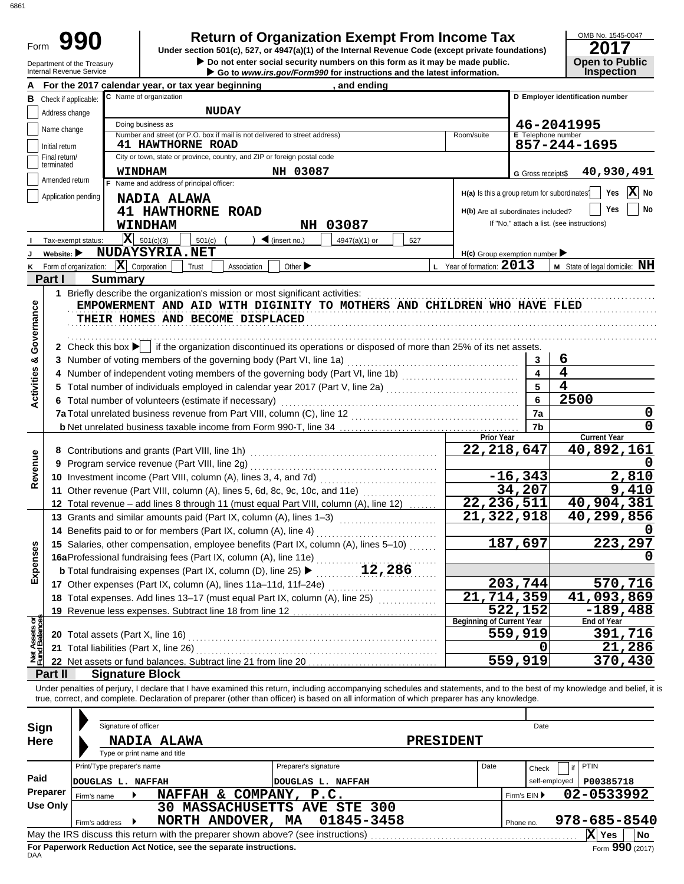| 51                             |                                |                                                               |                                                                      |                                                                                                                                                                                                                                                                                                                          |           |                                     |                    |                                                                         |
|--------------------------------|--------------------------------|---------------------------------------------------------------|----------------------------------------------------------------------|--------------------------------------------------------------------------------------------------------------------------------------------------------------------------------------------------------------------------------------------------------------------------------------------------------------------------|-----------|-------------------------------------|--------------------|-------------------------------------------------------------------------|
| Form                           |                                | 990<br>Department of the Treasury<br>Internal Revenue Service |                                                                      | <b>Return of Organization Exempt From Income Tax</b><br>Under section 501(c), 527, or 4947(a)(1) of the Internal Revenue Code (except private foundations)<br>Do not enter social security numbers on this form as it may be made public.<br>Go to www.irs.gov/Form990 for instructions and the latest information.      |           |                                     |                    | OMB No. 1545-0047<br>2017<br><b>Open to Public</b><br><b>Inspection</b> |
|                                |                                |                                                               | For the 2017 calendar year, or tax year beginning                    | , and ending                                                                                                                                                                                                                                                                                                             |           |                                     |                    |                                                                         |
|                                |                                | <b>B</b> Check if applicable:                                 | C Name of organization                                               |                                                                                                                                                                                                                                                                                                                          |           |                                     |                    | D Employer identification number                                        |
|                                | Address change                 |                                                               | <b>NUDAY</b>                                                         |                                                                                                                                                                                                                                                                                                                          |           |                                     |                    |                                                                         |
|                                | Name change                    |                                                               | Doing business as                                                    | Number and street (or P.O. box if mail is not delivered to street address)                                                                                                                                                                                                                                               |           | Room/suite                          | E Telephone number | 46-2041995                                                              |
|                                | Initial return                 |                                                               | <b>41 HAWTHORNE ROAD</b>                                             |                                                                                                                                                                                                                                                                                                                          |           |                                     |                    | 857-244-1695                                                            |
|                                | Final return/<br>terminated    |                                                               |                                                                      | City or town, state or province, country, and ZIP or foreign postal code                                                                                                                                                                                                                                                 |           |                                     |                    |                                                                         |
|                                | Amended return                 |                                                               | <b>WINDHAM</b>                                                       | NH 03087                                                                                                                                                                                                                                                                                                                 |           |                                     | G Gross receipts\$ | 40,930,491                                                              |
|                                |                                |                                                               | F Name and address of principal officer:                             |                                                                                                                                                                                                                                                                                                                          |           |                                     |                    | X No<br>H(a) Is this a group return for subordinates?<br>Yes            |
|                                |                                | Application pending                                           | NADIA ALAWA                                                          |                                                                                                                                                                                                                                                                                                                          |           |                                     |                    | No<br>Yes                                                               |
|                                |                                |                                                               | <b>41 HAWTHORNE ROAD</b>                                             |                                                                                                                                                                                                                                                                                                                          |           | H(b) Are all subordinates included? |                    | If "No," attach a list. (see instructions)                              |
|                                |                                |                                                               | WINDHAM<br>$\overline{\mathbf{X}}$ 501(c)(3)                         | NH 03087                                                                                                                                                                                                                                                                                                                 |           |                                     |                    |                                                                         |
|                                | Website: $\blacktriangleright$ | Tax-exempt status:                                            | 501(c)<br>NUDAYSYRIA.NET                                             | $\blacktriangleleft$ (insert no.)<br>4947(a)(1) or                                                                                                                                                                                                                                                                       | 527       | H(c) Group exemption number         |                    |                                                                         |
| ĸ                              |                                | Form of organization:                                         | $ \mathbf{X} $ Corporation<br>Trust                                  | Association<br>Other $\blacktriangleright$                                                                                                                                                                                                                                                                               |           | L Year of formation: $2013$         |                    | M State of legal domicile: NH                                           |
|                                | Part I                         | <b>Summary</b>                                                |                                                                      |                                                                                                                                                                                                                                                                                                                          |           |                                     |                    |                                                                         |
| Activities & Governance        |                                |                                                               | THEIR HOMES AND BECOME DISPLACED                                     | EMPOWERMENT AND AID WITH DIGINITY TO MOTHERS AND CHILDREN WHO HAVE FLED<br>2 Check this box $\blacktriangleright$   if the organization discontinued its operations or disposed of more than 25% of its net assets.                                                                                                      |           |                                     |                    |                                                                         |
|                                |                                |                                                               |                                                                      |                                                                                                                                                                                                                                                                                                                          |           |                                     | 3                  | 6                                                                       |
|                                |                                |                                                               |                                                                      | 4 Number of independent voting members of the governing body (Part VI, line 1b) [[[[[[[[[[[[[[[[[[[[[[[[[[[[[[                                                                                                                                                                                                           |           |                                     | $\overline{4}$     | $\overline{4}$                                                          |
|                                |                                |                                                               |                                                                      |                                                                                                                                                                                                                                                                                                                          |           |                                     | 5                  | $\overline{4}$                                                          |
|                                |                                |                                                               | 6 Total number of volunteers (estimate if necessary)                 |                                                                                                                                                                                                                                                                                                                          |           |                                     | $6\phantom{a}$     | 2500                                                                    |
|                                |                                |                                                               |                                                                      |                                                                                                                                                                                                                                                                                                                          |           |                                     | 7a                 | 0                                                                       |
|                                |                                |                                                               |                                                                      | b Net unrelated business taxable income from Form 990-T, line 34 [10] Met unrelated business taxable income from Form 990-T, line 34                                                                                                                                                                                     |           | Prior Year                          | 7b                 | 0<br><b>Current Year</b>                                                |
|                                |                                |                                                               |                                                                      |                                                                                                                                                                                                                                                                                                                          |           | 22, 218, 647                        |                    | 40,892,161                                                              |
|                                |                                |                                                               |                                                                      |                                                                                                                                                                                                                                                                                                                          |           |                                     |                    |                                                                         |
| Revenue                        |                                |                                                               |                                                                      |                                                                                                                                                                                                                                                                                                                          |           |                                     | $-16, 343$         | $\overline{2}$ , 810                                                    |
|                                |                                |                                                               |                                                                      | 11 Other revenue (Part VIII, column (A), lines 5, 6d, 8c, 9c, 10c, and 11e)                                                                                                                                                                                                                                              |           |                                     | 34,207             | 9,410                                                                   |
|                                |                                |                                                               |                                                                      | 12 Total revenue - add lines 8 through 11 (must equal Part VIII, column (A), line 12)                                                                                                                                                                                                                                    |           | 22, 236, 511                        |                    | 40,904,381                                                              |
|                                |                                |                                                               |                                                                      | 13 Grants and similar amounts paid (Part IX, column (A), lines 1-3)                                                                                                                                                                                                                                                      |           | 21,322,918                          |                    | 40,299,856                                                              |
|                                |                                |                                                               | 14 Benefits paid to or for members (Part IX, column (A), line 4)     |                                                                                                                                                                                                                                                                                                                          |           |                                     |                    |                                                                         |
| Expenses                       |                                |                                                               |                                                                      | 15 Salaries, other compensation, employee benefits (Part IX, column (A), lines 5–10)                                                                                                                                                                                                                                     |           |                                     | 187,697            | $\overline{223,297}$                                                    |
|                                |                                |                                                               |                                                                      | 16aProfessional fundraising fees (Part IX, column (A), line 11e)                                                                                                                                                                                                                                                         | 12,286    |                                     |                    | O                                                                       |
|                                |                                |                                                               | <b>b</b> Total fundraising expenses (Part IX, column (D), line 25) ▶ | 17 Other expenses (Part IX, column (A), lines 11a-11d, 11f-24e)                                                                                                                                                                                                                                                          |           |                                     | 203,744            | 570,716                                                                 |
|                                |                                |                                                               |                                                                      | 18 Total expenses. Add lines 13-17 (must equal Part IX, column (A), line 25)                                                                                                                                                                                                                                             |           | $\overline{21,714,359}$             |                    | 41,093,869                                                              |
|                                |                                |                                                               | 19 Revenue less expenses. Subtract line 18 from line 12              |                                                                                                                                                                                                                                                                                                                          |           |                                     | 522,152            | $-189,488$                                                              |
|                                |                                |                                                               |                                                                      |                                                                                                                                                                                                                                                                                                                          |           | Beginning of Current Year           |                    | End of Year                                                             |
| Net Assets or<br>Fund Balances |                                | 20 Total assets (Part X, line 16)                             |                                                                      |                                                                                                                                                                                                                                                                                                                          |           |                                     | 559,919            | 391,716                                                                 |
|                                |                                |                                                               | 21 Total liabilities (Part X, line 26)                               |                                                                                                                                                                                                                                                                                                                          |           |                                     | O                  | 21,286                                                                  |
|                                |                                |                                                               | 22 Net assets or fund balances. Subtract line 21 from line 20        |                                                                                                                                                                                                                                                                                                                          |           |                                     | 559,919            | 370,430                                                                 |
|                                | Part II                        |                                                               | <b>Signature Block</b>                                               |                                                                                                                                                                                                                                                                                                                          |           |                                     |                    |                                                                         |
|                                |                                |                                                               |                                                                      | Under penalties of perjury, I declare that I have examined this return, including accompanying schedules and statements, and to the best of my knowledge and belief, it is<br>true, correct, and complete. Declaration of preparer (other than officer) is based on all information of which preparer has any knowledge. |           |                                     |                    |                                                                         |
| Sign                           |                                | Signature of officer                                          |                                                                      |                                                                                                                                                                                                                                                                                                                          |           |                                     | Date               |                                                                         |
| <b>Here</b>                    |                                |                                                               | NADIA ALAWA                                                          |                                                                                                                                                                                                                                                                                                                          | PRESIDENT |                                     |                    |                                                                         |
|                                |                                |                                                               | Type or print name and title                                         |                                                                                                                                                                                                                                                                                                                          |           |                                     |                    |                                                                         |
|                                |                                | Print/Type preparer's name                                    |                                                                      | Preparer's signature                                                                                                                                                                                                                                                                                                     |           | Date                                | Check              | <b>PTIN</b><br>if                                                       |
| Paid                           |                                | DOUGLAS L. NAFFAH                                             |                                                                      | <b>DOUGLAS L. NAFFAH</b>                                                                                                                                                                                                                                                                                                 |           |                                     |                    | self-employed<br>P00385718                                              |
|                                | <b>Preparer</b>                | Firm's name                                                   |                                                                      | NAFFAH & COMPANY, P.C.                                                                                                                                                                                                                                                                                                   |           |                                     | Firm's EIN ▶       | 02-0533992                                                              |
|                                | Use Only                       |                                                               |                                                                      | 30 MASSACHUSETTS AVE STE 300                                                                                                                                                                                                                                                                                             |           |                                     |                    |                                                                         |
|                                |                                | Firm's address                                                |                                                                      | NORTH ANDOVER, MA<br>01845-3458                                                                                                                                                                                                                                                                                          |           |                                     | Phone no.          | 978-685-8540                                                            |
|                                |                                |                                                               |                                                                      | May the IRS discuss this return with the preparer shown above? (see instructions)                                                                                                                                                                                                                                        |           |                                     |                    | X Yes<br>No                                                             |

| $D_{\alpha}$ $\sim$ 11 |  | Cianatura Diaak                                                            |  |  |  |
|------------------------|--|----------------------------------------------------------------------------|--|--|--|
|                        |  | $\mathbb{E}$ 22 Net assets or fund balances. Subtract line 21 from line 20 |  |  |  |
|                        |  |                                                                            |  |  |  |

| Sign        |                            | Signature of officer                                            |                                                                                   |  |                      |                                  |  |      |              |               | Date         |                  |  |  |
|-------------|----------------------------|-----------------------------------------------------------------|-----------------------------------------------------------------------------------|--|----------------------|----------------------------------|--|------|--------------|---------------|--------------|------------------|--|--|
| <b>Here</b> |                            | NADIA ALAWA<br><b>PRESIDENT</b><br>Type or print name and title |                                                                                   |  |                      |                                  |  |      |              |               |              |                  |  |  |
|             | Print/Type preparer's name |                                                                 |                                                                                   |  | Preparer's signature |                                  |  | Date |              | Check         | <b>PTIN</b>  |                  |  |  |
| Paid        | DOUGLAS L. NAFFAH          |                                                                 |                                                                                   |  | DOUGLAS L. NAFFAH    |                                  |  |      |              | self-emploved | P00385718    |                  |  |  |
| Preparer    | Firm's name                |                                                                 | NAFFAH & COMPANY,                                                                 |  |                      | P.C.                             |  |      | Firm's $EIN$ |               | 02-0533992   |                  |  |  |
| Use Only    |                            |                                                                 | 30.                                                                               |  |                      | <b>MASSACHUSETTS AVE STE 300</b> |  |      |              |               |              |                  |  |  |
|             | Firm's address             |                                                                 | NORTH ANDOVER, MA                                                                 |  |                      | 01845-3458                       |  |      | Phone no.    |               | 978-685-8540 |                  |  |  |
|             |                            |                                                                 | May the IRS discuss this return with the preparer shown above? (see instructions) |  |                      |                                  |  |      |              |               | X<br>Yes     | No               |  |  |
|             |                            |                                                                 | For Paperwork Reduction Act Notice, see the separate instructions.                |  |                      |                                  |  |      |              |               |              | Eqrm $990(2017)$ |  |  |

DAA **otice, see the separate**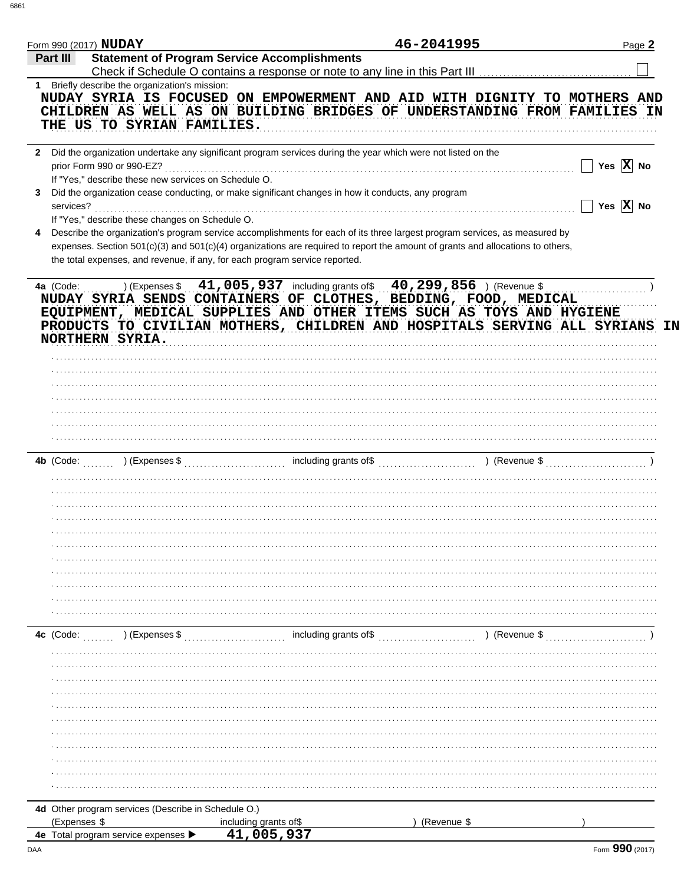|                                 | Form 990 (2017) NUDAY                                                        |                                                                                                                                                                                                                                                                                                                | 46-2041995    | Page 2                |
|---------------------------------|------------------------------------------------------------------------------|----------------------------------------------------------------------------------------------------------------------------------------------------------------------------------------------------------------------------------------------------------------------------------------------------------------|---------------|-----------------------|
| Part III                        | <b>Statement of Program Service Accomplishments</b>                          |                                                                                                                                                                                                                                                                                                                |               |                       |
|                                 |                                                                              |                                                                                                                                                                                                                                                                                                                |               |                       |
|                                 | 1 Briefly describe the organization's mission:<br>THE US TO SYRIAN FAMILIES. | NUDAY SYRIA IS FOCUSED ON EMPOWERMENT AND AID WITH DIGNITY TO MOTHERS AND<br>CHILDREN AS WELL AS ON BUILDING BRIDGES OF UNDERSTANDING FROM FAMILIES                                                                                                                                                            |               | IN                    |
|                                 |                                                                              |                                                                                                                                                                                                                                                                                                                |               |                       |
|                                 | prior Form 990 or 990-EZ?                                                    | 2 Did the organization undertake any significant program services during the year which were not listed on the                                                                                                                                                                                                 |               | Yes $X$ No            |
|                                 | If "Yes," describe these new services on Schedule O.                         | Did the organization cease conducting, or make significant changes in how it conducts, any program                                                                                                                                                                                                             |               |                       |
| services?                       |                                                                              |                                                                                                                                                                                                                                                                                                                |               | Yes $\overline{X}$ No |
|                                 | If "Yes," describe these changes on Schedule O.                              |                                                                                                                                                                                                                                                                                                                |               |                       |
|                                 | the total expenses, and revenue, if any, for each program service reported.  | Describe the organization's program service accomplishments for each of its three largest program services, as measured by<br>expenses. Section 501(c)(3) and 501(c)(4) organizations are required to report the amount of grants and allocations to others,                                                   |               |                       |
|                                 | NORTHERN SYRIA.                                                              | 4a (Code:  ) (Expenses \$ 41,005,937 including grants of \$ 40,299,856 ) (Revenue \$<br>NUDAY SYRIA SENDS CONTAINERS OF CLOTHES, BEDDING, FOOD, MEDICAL<br>EQUIPMENT, MEDICAL SUPPLIES AND OTHER ITEMS SUCH AS TOYS AND HYGIENE<br>PRODUCTS TO CIVILIAN MOTHERS, CHILDREN AND HOSPITALS SERVING ALL SYRIANS IN |               |                       |
|                                 |                                                                              |                                                                                                                                                                                                                                                                                                                |               |                       |
|                                 |                                                                              |                                                                                                                                                                                                                                                                                                                |               |                       |
|                                 |                                                                              |                                                                                                                                                                                                                                                                                                                |               |                       |
|                                 |                                                                              |                                                                                                                                                                                                                                                                                                                |               |                       |
|                                 |                                                                              |                                                                                                                                                                                                                                                                                                                |               |                       |
|                                 |                                                                              |                                                                                                                                                                                                                                                                                                                |               |                       |
|                                 |                                                                              |                                                                                                                                                                                                                                                                                                                |               |                       |
|                                 |                                                                              |                                                                                                                                                                                                                                                                                                                |               |                       |
|                                 |                                                                              |                                                                                                                                                                                                                                                                                                                |               |                       |
|                                 |                                                                              |                                                                                                                                                                                                                                                                                                                |               |                       |
|                                 |                                                                              |                                                                                                                                                                                                                                                                                                                |               |                       |
|                                 |                                                                              |                                                                                                                                                                                                                                                                                                                |               |                       |
|                                 |                                                                              |                                                                                                                                                                                                                                                                                                                |               |                       |
|                                 |                                                                              |                                                                                                                                                                                                                                                                                                                |               |                       |
|                                 |                                                                              |                                                                                                                                                                                                                                                                                                                |               |                       |
|                                 |                                                                              |                                                                                                                                                                                                                                                                                                                |               |                       |
|                                 |                                                                              |                                                                                                                                                                                                                                                                                                                |               |                       |
|                                 |                                                                              |                                                                                                                                                                                                                                                                                                                |               |                       |
|                                 | ) (Expenses \$                                                               | including grants of\$                                                                                                                                                                                                                                                                                          | ) (Revenue \$ |                       |
|                                 |                                                                              |                                                                                                                                                                                                                                                                                                                |               |                       |
|                                 |                                                                              |                                                                                                                                                                                                                                                                                                                |               |                       |
|                                 |                                                                              |                                                                                                                                                                                                                                                                                                                |               |                       |
|                                 |                                                                              |                                                                                                                                                                                                                                                                                                                |               |                       |
|                                 |                                                                              |                                                                                                                                                                                                                                                                                                                |               |                       |
|                                 |                                                                              |                                                                                                                                                                                                                                                                                                                |               |                       |
|                                 |                                                                              |                                                                                                                                                                                                                                                                                                                |               |                       |
|                                 |                                                                              |                                                                                                                                                                                                                                                                                                                |               |                       |
|                                 |                                                                              |                                                                                                                                                                                                                                                                                                                |               |                       |
| 4b (Code: $\ldots$<br>4c (Code: |                                                                              |                                                                                                                                                                                                                                                                                                                |               |                       |
|                                 |                                                                              |                                                                                                                                                                                                                                                                                                                |               |                       |
|                                 |                                                                              |                                                                                                                                                                                                                                                                                                                |               |                       |
|                                 | 4d Other program services (Describe in Schedule O.)                          |                                                                                                                                                                                                                                                                                                                |               |                       |

6861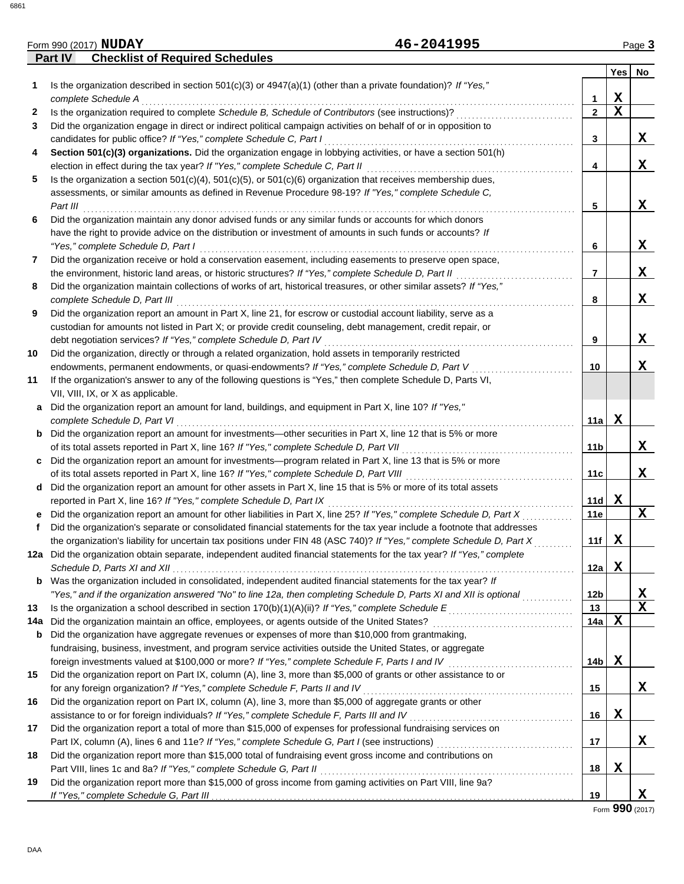| <b>NUDAY</b><br>Form 990 (2017) | 2041995<br>1 F<br>20-<br>207 | $P$ aqe<br>- - |
|---------------------------------|------------------------------|----------------|
|                                 |                              |                |

|     | Part IV<br><b>Checklist of Required Schedules</b>                                                                       |                 |     |             |
|-----|-------------------------------------------------------------------------------------------------------------------------|-----------------|-----|-------------|
|     |                                                                                                                         |                 | Yes | No          |
| 1   | Is the organization described in section $501(c)(3)$ or $4947(a)(1)$ (other than a private foundation)? If "Yes,"       |                 |     |             |
|     | complete Schedule A                                                                                                     | 1               | X   |             |
| 2   | Is the organization required to complete Schedule B, Schedule of Contributors (see instructions)?                       | $\mathbf{2}$    | X   |             |
| 3   | Did the organization engage in direct or indirect political campaign activities on behalf of or in opposition to        |                 |     |             |
|     | candidates for public office? If "Yes," complete Schedule C, Part I                                                     | 3               |     | X           |
| 4   | Section 501(c)(3) organizations. Did the organization engage in lobbying activities, or have a section 501(h)           |                 |     |             |
|     | election in effect during the tax year? If "Yes," complete Schedule C, Part II                                          | 4               |     | X           |
| 5   | Is the organization a section $501(c)(4)$ , $501(c)(5)$ , or $501(c)(6)$ organization that receives membership dues,    |                 |     |             |
|     | assessments, or similar amounts as defined in Revenue Procedure 98-19? If "Yes," complete Schedule C,                   |                 |     |             |
|     | Part III                                                                                                                | 5               |     | X           |
| 6   | Did the organization maintain any donor advised funds or any similar funds or accounts for which donors                 |                 |     |             |
|     | have the right to provide advice on the distribution or investment of amounts in such funds or accounts? If             |                 |     |             |
|     | "Yes," complete Schedule D, Part I                                                                                      | 6               |     | X           |
| 7   | Did the organization receive or hold a conservation easement, including easements to preserve open space,               |                 |     |             |
|     | the environment, historic land areas, or historic structures? If "Yes," complete Schedule D, Part II                    | 7               |     | X           |
| 8   | Did the organization maintain collections of works of art, historical treasures, or other similar assets? If "Yes,"     |                 |     |             |
|     | complete Schedule D, Part III                                                                                           | 8               |     | X           |
| 9   | Did the organization report an amount in Part X, line 21, for escrow or custodial account liability, serve as a         |                 |     |             |
|     | custodian for amounts not listed in Part X; or provide credit counseling, debt management, credit repair, or            |                 |     |             |
|     | debt negotiation services? If "Yes," complete Schedule D, Part IV                                                       | 9               |     | X           |
| 10  | Did the organization, directly or through a related organization, hold assets in temporarily restricted                 |                 |     |             |
|     | endowments, permanent endowments, or quasi-endowments? If "Yes," complete Schedule D, Part V                            | 10              |     | X           |
| 11  | If the organization's answer to any of the following questions is "Yes," then complete Schedule D, Parts VI,            |                 |     |             |
|     | VII, VIII, IX, or X as applicable.                                                                                      |                 |     |             |
| a   | Did the organization report an amount for land, buildings, and equipment in Part X, line 10? If "Yes,"                  |                 |     |             |
|     | complete Schedule D, Part VI                                                                                            | 11a             | X   |             |
| b   | Did the organization report an amount for investments—other securities in Part X, line 12 that is 5% or more            |                 |     |             |
|     | of its total assets reported in Part X, line 16? If "Yes," complete Schedule D, Part VII                                | 11b             |     | X           |
|     | Did the organization report an amount for investments—program related in Part X, line 13 that is 5% or more             |                 |     |             |
|     | of its total assets reported in Part X, line 16? If "Yes," complete Schedule D, Part VIII                               | 11c             |     | X           |
| d   | Did the organization report an amount for other assets in Part X, line 15 that is 5% or more of its total assets        |                 |     |             |
|     | reported in Part X, line 16? If "Yes," complete Schedule D, Part IX                                                     | 11d             | X   |             |
| е   | Did the organization report an amount for other liabilities in Part X, line 25? If "Yes," complete Schedule D, Part X   | 11e             |     | X           |
| f   | Did the organization's separate or consolidated financial statements for the tax year include a footnote that addresses |                 |     |             |
|     | the organization's liability for uncertain tax positions under FIN 48 (ASC 740)? If "Yes," complete Schedule D, Part X  | 11f             | Х   |             |
|     | Did the organization obtain separate, independent audited financial statements for the tax year? If "Yes," complete     |                 | Х   |             |
|     | <b>b</b> Was the organization included in consolidated, independent audited financial statements for the tax year? If   | 12a             |     |             |
|     | "Yes," and if the organization answered "No" to line 12a, then completing Schedule D, Parts XI and XII is optional      | 12 <sub>b</sub> |     | X           |
| 13  |                                                                                                                         | 13              |     | $\mathbf X$ |
| 14a | Did the organization maintain an office, employees, or agents outside of the United States?                             | 14a             | X   |             |
| b   | Did the organization have aggregate revenues or expenses of more than \$10,000 from grantmaking,                        |                 |     |             |
|     | fundraising, business, investment, and program service activities outside the United States, or aggregate               |                 |     |             |
|     | foreign investments valued at \$100,000 or more? If "Yes," complete Schedule F, Parts I and IV                          | 14b             | X   |             |
| 15  | Did the organization report on Part IX, column (A), line 3, more than \$5,000 of grants or other assistance to or       |                 |     |             |
|     | for any foreign organization? If "Yes," complete Schedule F, Parts II and IV                                            | 15              |     | X           |
| 16  | Did the organization report on Part IX, column (A), line 3, more than \$5,000 of aggregate grants or other              |                 |     |             |
|     | assistance to or for foreign individuals? If "Yes," complete Schedule F, Parts III and IV                               | 16              | Х   |             |
| 17  | Did the organization report a total of more than \$15,000 of expenses for professional fundraising services on          |                 |     |             |
|     |                                                                                                                         | 17              |     | X           |
| 18  | Did the organization report more than \$15,000 total of fundraising event gross income and contributions on             |                 |     |             |
|     | Part VIII, lines 1c and 8a? If "Yes," complete Schedule G, Part II                                                      | 18              | Х   |             |
| 19  | Did the organization report more than \$15,000 of gross income from gaming activities on Part VIII, line 9a?            |                 |     |             |
|     | If "Yes," complete Schedule G, Part III                                                                                 | 19              |     | X           |
|     |                                                                                                                         |                 |     |             |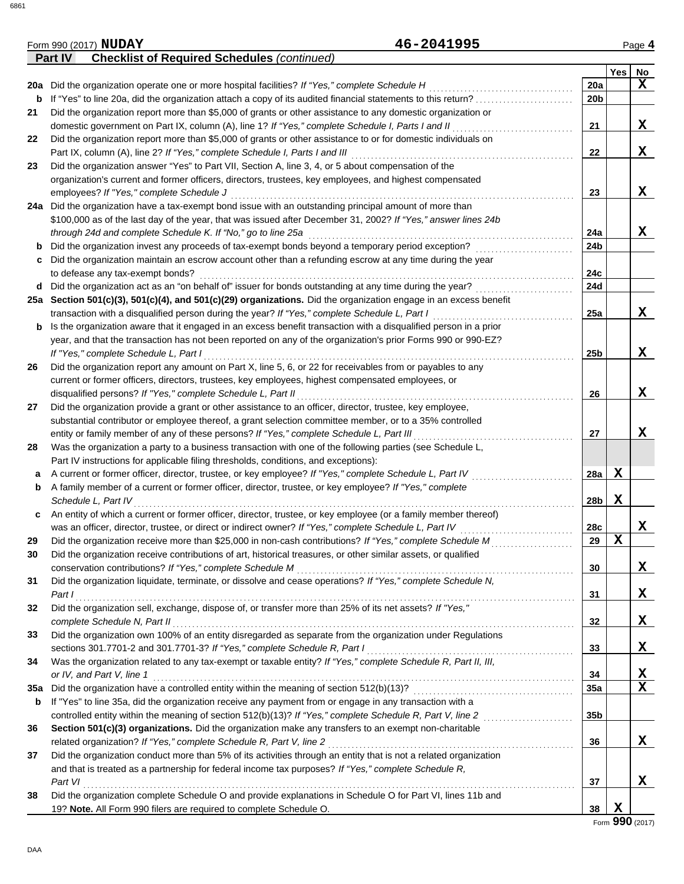**Part IV Checklist of Required Schedules** *(continued)*

DAA

|     |                                                                                                                                                                                                                   | 20a             | Yes | No<br>X |
|-----|-------------------------------------------------------------------------------------------------------------------------------------------------------------------------------------------------------------------|-----------------|-----|---------|
|     | 20a Did the organization operate one or more hospital facilities? If "Yes," complete Schedule H<br>b If "Yes" to line 20a, did the organization attach a copy of its audited financial statements to this return? | 20b             |     |         |
| 21  |                                                                                                                                                                                                                   |                 |     |         |
|     | Did the organization report more than \$5,000 of grants or other assistance to any domestic organization or<br>domestic government on Part IX, column (A), line 1? If "Yes," complete Schedule I, Parts I and II  | 21              |     | X       |
| 22  | Did the organization report more than \$5,000 of grants or other assistance to or for domestic individuals on                                                                                                     |                 |     |         |
|     | Part IX, column (A), line 2? If "Yes," complete Schedule I, Parts I and III                                                                                                                                       | 22              |     | X       |
| 23  | Did the organization answer "Yes" to Part VII, Section A, line 3, 4, or 5 about compensation of the                                                                                                               |                 |     |         |
|     | organization's current and former officers, directors, trustees, key employees, and highest compensated                                                                                                           |                 |     |         |
|     | employees? If "Yes," complete Schedule J                                                                                                                                                                          | 23              |     | X       |
|     | 24a Did the organization have a tax-exempt bond issue with an outstanding principal amount of more than                                                                                                           |                 |     |         |
|     | \$100,000 as of the last day of the year, that was issued after December 31, 2002? If "Yes," answer lines 24b                                                                                                     |                 |     |         |
|     | through 24d and complete Schedule K. If "No," go to line 25a                                                                                                                                                      | 24a             |     | X       |
|     | Did the organization invest any proceeds of tax-exempt bonds beyond a temporary period exception?                                                                                                                 | 24b             |     |         |
| c   | Did the organization maintain an escrow account other than a refunding escrow at any time during the year                                                                                                         |                 |     |         |
|     | to defease any tax-exempt bonds?                                                                                                                                                                                  | 24c             |     |         |
|     | d Did the organization act as an "on behalf of" issuer for bonds outstanding at any time during the year?                                                                                                         | 24d             |     |         |
|     | 25a Section 501(c)(3), 501(c)(4), and 501(c)(29) organizations. Did the organization engage in an excess benefit                                                                                                  |                 |     |         |
|     | transaction with a disqualified person during the year? If "Yes," complete Schedule L, Part I                                                                                                                     | 25a             |     | X       |
| b   | Is the organization aware that it engaged in an excess benefit transaction with a disqualified person in a prior                                                                                                  |                 |     |         |
|     | year, and that the transaction has not been reported on any of the organization's prior Forms 990 or 990-EZ?                                                                                                      |                 |     |         |
|     | If "Yes," complete Schedule L, Part I                                                                                                                                                                             | 25b             |     | X       |
| 26  | Did the organization report any amount on Part X, line 5, 6, or 22 for receivables from or payables to any                                                                                                        |                 |     |         |
|     | current or former officers, directors, trustees, key employees, highest compensated employees, or                                                                                                                 |                 |     |         |
|     | disqualified persons? If "Yes," complete Schedule L, Part II                                                                                                                                                      | 26              |     | X       |
| 27  | Did the organization provide a grant or other assistance to an officer, director, trustee, key employee,                                                                                                          |                 |     |         |
|     | substantial contributor or employee thereof, a grant selection committee member, or to a 35% controlled                                                                                                           |                 |     |         |
|     | entity or family member of any of these persons? If "Yes," complete Schedule L, Part III                                                                                                                          | 27              |     | X       |
| 28  | Was the organization a party to a business transaction with one of the following parties (see Schedule L,                                                                                                         |                 |     |         |
|     | Part IV instructions for applicable filing thresholds, conditions, and exceptions):                                                                                                                               |                 |     |         |
| a   | A current or former officer, director, trustee, or key employee? If "Yes," complete Schedule L, Part IV                                                                                                           | 28a             | x   |         |
| b   | A family member of a current or former officer, director, trustee, or key employee? If "Yes," complete                                                                                                            |                 |     |         |
|     | Schedule L, Part IV                                                                                                                                                                                               | 28b             | x   |         |
| c   | An entity of which a current or former officer, director, trustee, or key employee (or a family member thereof)                                                                                                   |                 |     |         |
|     | was an officer, director, trustee, or direct or indirect owner? If "Yes," complete Schedule L, Part IV                                                                                                            | 28c             |     | X       |
| 29  | Did the organization receive more than \$25,000 in non-cash contributions? If "Yes," complete Schedule M                                                                                                          | 29              | X   |         |
| 30  | Did the organization receive contributions of art, historical treasures, or other similar assets, or qualified                                                                                                    |                 |     |         |
|     | conservation contributions? If "Yes," complete Schedule M                                                                                                                                                         | 30              |     | X       |
| 31  | Did the organization liquidate, terminate, or dissolve and cease operations? If "Yes," complete Schedule N,                                                                                                       |                 |     |         |
|     | Part I                                                                                                                                                                                                            | 31              |     | x       |
| 32  | Did the organization sell, exchange, dispose of, or transfer more than 25% of its net assets? If "Yes,"                                                                                                           |                 |     |         |
|     | complete Schedule N, Part II                                                                                                                                                                                      | 32              |     | x       |
| 33  | Did the organization own 100% of an entity disregarded as separate from the organization under Regulations                                                                                                        |                 |     |         |
|     | sections 301.7701-2 and 301.7701-3? If "Yes," complete Schedule R, Part I                                                                                                                                         | 33              |     | x       |
| 34  | Was the organization related to any tax-exempt or taxable entity? If "Yes," complete Schedule R, Part II, III,                                                                                                    |                 |     |         |
|     | or IV, and Part V, line 1                                                                                                                                                                                         | 34              |     | X       |
| 35a |                                                                                                                                                                                                                   | 35a             |     | X       |
| b   | If "Yes" to line 35a, did the organization receive any payment from or engage in any transaction with a                                                                                                           |                 |     |         |
|     |                                                                                                                                                                                                                   | 35 <sub>b</sub> |     |         |
| 36  | Section 501(c)(3) organizations. Did the organization make any transfers to an exempt non-charitable                                                                                                              |                 |     |         |
|     | related organization? If "Yes," complete Schedule R, Part V, line 2                                                                                                                                               | 36              |     | x       |
| 37  | Did the organization conduct more than 5% of its activities through an entity that is not a related organization                                                                                                  |                 |     |         |
|     | and that is treated as a partnership for federal income tax purposes? If "Yes," complete Schedule R,                                                                                                              |                 |     |         |
|     | Part VI                                                                                                                                                                                                           | 37              |     | x       |
| 38  | Did the organization complete Schedule O and provide explanations in Schedule O for Part VI, lines 11b and                                                                                                        |                 |     |         |
|     | 19? Note. All Form 990 filers are required to complete Schedule O.                                                                                                                                                | 38              | X   |         |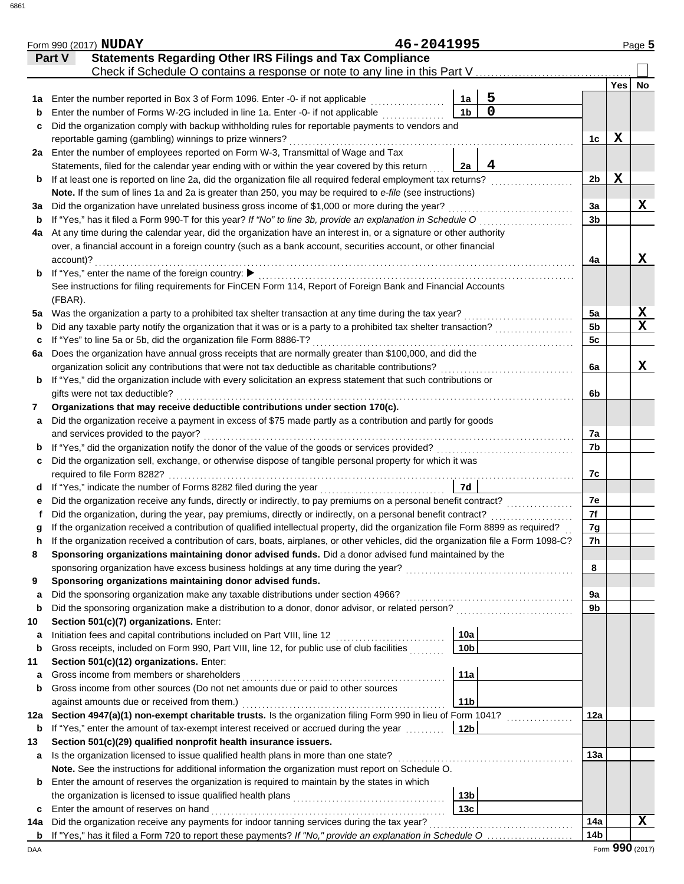|     | 46-2041995<br>Form 990 (2017) NUDAY<br><b>Statements Regarding Other IRS Filings and Tax Compliance</b><br><b>Part V</b>           |                 |             | Page 5      |
|-----|------------------------------------------------------------------------------------------------------------------------------------|-----------------|-------------|-------------|
|     | Check if Schedule O contains a response or note to any line in this Part V.                                                        |                 |             |             |
|     |                                                                                                                                    |                 | <b>Yes</b>  | No          |
| 1а  | 5<br>Enter the number reported in Box 3 of Form 1096. Enter -0- if not applicable<br>1a                                            |                 |             |             |
| b   | 0<br>1 <sub>b</sub><br>Enter the number of Forms W-2G included in line 1a. Enter -0- if not applicable <i>minimum</i>              |                 |             |             |
| c   | Did the organization comply with backup withholding rules for reportable payments to vendors and                                   |                 |             |             |
|     | reportable gaming (gambling) winnings to prize winners?                                                                            | 1c              | X           |             |
|     | 2a Enter the number of employees reported on Form W-3, Transmittal of Wage and Tax                                                 |                 |             |             |
|     | 4<br>Statements, filed for the calendar year ending with or within the year covered by this return<br>2a                           |                 |             |             |
| b   | If at least one is reported on line 2a, did the organization file all required federal employment tax returns?                     | 2 <sub>b</sub>  | $\mathbf x$ |             |
|     | Note. If the sum of lines 1a and 2a is greater than 250, you may be required to e-file (see instructions)                          |                 |             |             |
| За  | Did the organization have unrelated business gross income of \$1,000 or more during the year?                                      | За              |             | x           |
| b   | If "Yes," has it filed a Form 990-T for this year? If "No" to line 3b, provide an explanation in Schedule O                        | 3 <sub>b</sub>  |             |             |
| 4a  | At any time during the calendar year, did the organization have an interest in, or a signature or other authority                  |                 |             |             |
|     | over, a financial account in a foreign country (such as a bank account, securities account, or other financial                     |                 |             |             |
|     | account)?                                                                                                                          | 4a              |             | X           |
| b   | If "Yes," enter the name of the foreign country: ▶                                                                                 |                 |             |             |
|     | See instructions for filing requirements for FinCEN Form 114, Report of Foreign Bank and Financial Accounts<br>(FBAR).             |                 |             |             |
| 5а  | Was the organization a party to a prohibited tax shelter transaction at any time during the tax year?                              | 5a              |             | X           |
| b   | Did any taxable party notify the organization that it was or is a party to a prohibited tax shelter transaction?                   | 5 <sub>b</sub>  |             | $\mathbf X$ |
| c   | If "Yes" to line 5a or 5b, did the organization file Form 8886-T?                                                                  | 5 <sub>c</sub>  |             |             |
| 6a  | Does the organization have annual gross receipts that are normally greater than \$100,000, and did the                             |                 |             |             |
|     | organization solicit any contributions that were not tax deductible as charitable contributions?                                   | 6a              |             | X           |
|     | <b>b</b> If "Yes," did the organization include with every solicitation an express statement that such contributions or            |                 |             |             |
|     | gifts were not tax deductible?                                                                                                     | 6b              |             |             |
| 7   | Organizations that may receive deductible contributions under section 170(c).                                                      |                 |             |             |
| a   | Did the organization receive a payment in excess of \$75 made partly as a contribution and partly for goods                        |                 |             |             |
|     | and services provided to the payor?                                                                                                | 7a              |             |             |
| b   |                                                                                                                                    | 7b              |             |             |
| c   | Did the organization sell, exchange, or otherwise dispose of tangible personal property for which it was                           |                 |             |             |
|     | required to file Form 8282?                                                                                                        | 7c              |             |             |
| d   | 7d                                                                                                                                 |                 |             |             |
| е   |                                                                                                                                    | 7e              |             |             |
|     |                                                                                                                                    | 7f              |             |             |
|     | If the organization received a contribution of qualified intellectual property, did the organization file Form 8899 as required?   | 7q              |             |             |
| h   | If the organization received a contribution of cars, boats, airplanes, or other vehicles, did the organization file a Form 1098-C? | 7h              |             |             |
| 8   | Sponsoring organizations maintaining donor advised funds. Did a donor advised fund maintained by the                               |                 |             |             |
|     |                                                                                                                                    | 8               |             |             |
| 9   | Sponsoring organizations maintaining donor advised funds.                                                                          |                 |             |             |
| a   | Did the sponsoring organization make any taxable distributions under section 4966? [[[[[[[[[[[[[[[[[[[[[[[[[[[                     | 9а              |             |             |
| b   |                                                                                                                                    | 9b              |             |             |
| 10  | Section 501(c)(7) organizations. Enter:                                                                                            |                 |             |             |
| а   | 10a                                                                                                                                |                 |             |             |
| b   | Gross receipts, included on Form 990, Part VIII, line 12, for public use of club facilities<br>10 <sub>b</sub>                     |                 |             |             |
| 11  | Section 501(c)(12) organizations. Enter:                                                                                           |                 |             |             |
| а   | 11a                                                                                                                                |                 |             |             |
| b   | Gross income from other sources (Do not net amounts due or paid to other sources                                                   |                 |             |             |
|     | 11 <sub>b</sub>                                                                                                                    |                 |             |             |
| 12a | Section 4947(a)(1) non-exempt charitable trusts. Is the organization filing Form 990 in lieu of Form 1041?                         | 12a             |             |             |
| b   | 12 <sub>b</sub><br>If "Yes," enter the amount of tax-exempt interest received or accrued during the year                           |                 |             |             |
| 13  | Section 501(c)(29) qualified nonprofit health insurance issuers.                                                                   |                 |             |             |
| а   | Is the organization licensed to issue qualified health plans in more than one state?                                               | 13a             |             |             |
|     | Note. See the instructions for additional information the organization must report on Schedule O.                                  |                 |             |             |
| b   | Enter the amount of reserves the organization is required to maintain by the states in which                                       |                 |             |             |
|     | 13 <sub>b</sub>                                                                                                                    |                 |             |             |
| c   | 13 <sub>c</sub>                                                                                                                    |                 |             |             |
| 14a |                                                                                                                                    | 14a             |             | X.          |
|     | <b>b</b> If "Yes," has it filed a Form 720 to report these payments? If "No," provide an explanation in Schedule O                 | 14 <sub>b</sub> |             |             |

6861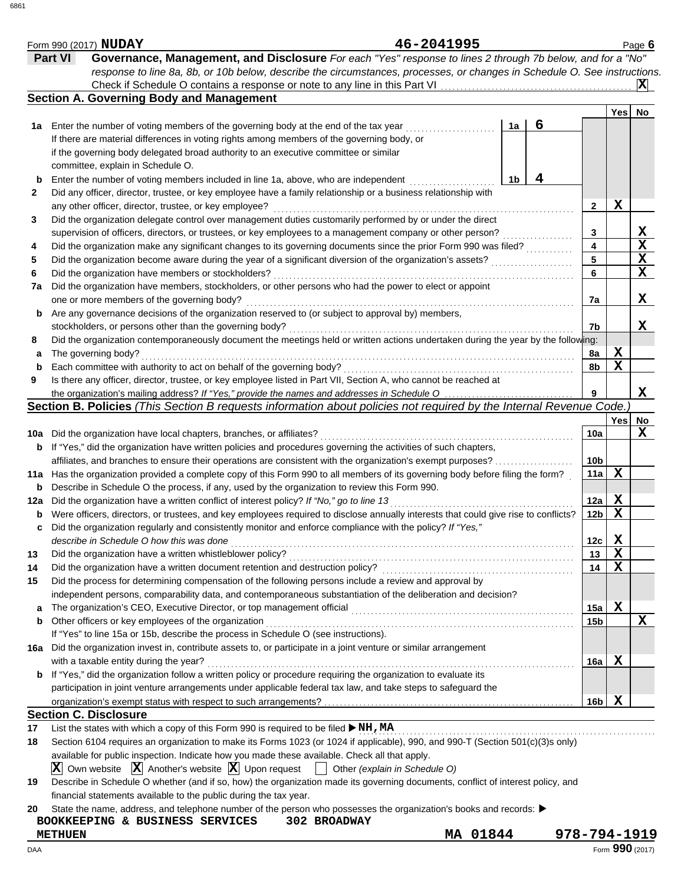|     |                | Form 990 (2017) NUDAY                                                                   |  |                                                                                                                                     | 46-2041995                    |          |    |              |                 |              | Page $6$                |
|-----|----------------|-----------------------------------------------------------------------------------------|--|-------------------------------------------------------------------------------------------------------------------------------------|-------------------------------|----------|----|--------------|-----------------|--------------|-------------------------|
|     | <b>Part VI</b> |                                                                                         |  | Governance, Management, and Disclosure For each "Yes" response to lines 2 through 7b below, and for a "No"                          |                               |          |    |              |                 |              |                         |
|     |                |                                                                                         |  | response to line 8a, 8b, or 10b below, describe the circumstances, processes, or changes in Schedule O. See instructions.           |                               |          |    |              |                 |              |                         |
|     |                |                                                                                         |  |                                                                                                                                     |                               |          |    |              |                 |              | $ {\bf X} $             |
|     |                | <b>Section A. Governing Body and Management</b>                                         |  |                                                                                                                                     |                               |          |    |              |                 |              |                         |
|     |                |                                                                                         |  |                                                                                                                                     |                               |          |    |              |                 | Yes          | No                      |
|     |                |                                                                                         |  | 1a Enter the number of voting members of the governing body at the end of the tax year                                              |                               |          | 1a | 6            |                 |              |                         |
|     |                |                                                                                         |  | If there are material differences in voting rights among members of the governing body, or                                          |                               |          |    |              |                 |              |                         |
|     |                |                                                                                         |  | if the governing body delegated broad authority to an executive committee or similar                                                |                               |          |    |              |                 |              |                         |
|     |                | committee, explain in Schedule O.                                                       |  |                                                                                                                                     |                               |          |    |              |                 |              |                         |
| b   |                |                                                                                         |  | Enter the number of voting members included in line 1a, above, who are independent                                                  |                               |          | 1b | 4            |                 |              |                         |
| 2   |                |                                                                                         |  | Did any officer, director, trustee, or key employee have a family relationship or a business relationship with                      |                               |          |    |              |                 |              |                         |
|     |                | any other officer, director, trustee, or key employee?                                  |  |                                                                                                                                     |                               |          |    |              | 2               | Х            |                         |
| 3   |                |                                                                                         |  | Did the organization delegate control over management duties customarily performed by or under the direct                           |                               |          |    |              |                 |              |                         |
|     |                |                                                                                         |  | supervision of officers, directors, or trustees, or key employees to a management company or other person?                          |                               |          |    |              | 3               |              | <u>x</u>                |
| 4   |                |                                                                                         |  | Did the organization make any significant changes to its governing documents since the prior Form 990 was filed?                    |                               |          |    |              | 4               |              | $\overline{\mathbf{x}}$ |
| 5   |                |                                                                                         |  | Did the organization become aware during the year of a significant diversion of the organization's assets?                          |                               |          |    |              | 5               |              | $\overline{\mathbf{x}}$ |
| 6   |                | Did the organization have members or stockholders?                                      |  |                                                                                                                                     |                               |          |    |              | 6               |              | X                       |
| 7a  |                |                                                                                         |  | Did the organization have members, stockholders, or other persons who had the power to elect or appoint                             |                               |          |    |              |                 |              |                         |
|     |                | one or more members of the governing body?                                              |  |                                                                                                                                     |                               |          |    |              | 7a              |              | X                       |
| b   |                |                                                                                         |  | Are any governance decisions of the organization reserved to (or subject to approval by) members,                                   |                               |          |    |              |                 |              |                         |
|     |                | stockholders, or persons other than the governing body?                                 |  |                                                                                                                                     |                               |          |    |              | 7b              |              | X                       |
| 8   |                |                                                                                         |  | Did the organization contemporaneously document the meetings held or written actions undertaken during the year by the following:   |                               |          |    |              |                 |              |                         |
| а   |                | The governing body?                                                                     |  |                                                                                                                                     |                               |          |    |              | 8a              | X            |                         |
| b   |                | Each committee with authority to act on behalf of the governing body?                   |  |                                                                                                                                     |                               |          |    |              | 8b              | $\mathbf X$  |                         |
| 9   |                |                                                                                         |  | Is there any officer, director, trustee, or key employee listed in Part VII, Section A, who cannot be reached at                    |                               |          |    |              |                 |              |                         |
|     |                |                                                                                         |  |                                                                                                                                     |                               |          |    |              |                 |              | X                       |
|     |                |                                                                                         |  | Section B. Policies (This Section B requests information about policies not required by the Internal Revenue Code.)                 |                               |          |    |              |                 |              |                         |
|     |                |                                                                                         |  |                                                                                                                                     |                               |          |    |              |                 | Yes          | No                      |
| 10a |                | Did the organization have local chapters, branches, or affiliates?                      |  |                                                                                                                                     |                               |          |    |              | 10a             |              | X                       |
| b   |                |                                                                                         |  | If "Yes," did the organization have written policies and procedures governing the activities of such chapters,                      |                               |          |    |              |                 |              |                         |
|     |                |                                                                                         |  | affiliates, and branches to ensure their operations are consistent with the organization's exempt purposes?                         |                               |          |    |              | 10 <sub>b</sub> |              |                         |
|     |                |                                                                                         |  | 11a Has the organization provided a complete copy of this Form 990 to all members of its governing body before filing the form?     |                               |          |    |              | 11a             | $\mathbf x$  |                         |
| b   |                |                                                                                         |  | Describe in Schedule O the process, if any, used by the organization to review this Form 990.                                       |                               |          |    |              |                 |              |                         |
| 12a |                |                                                                                         |  | Did the organization have a written conflict of interest policy? If "No," go to line 13                                             |                               |          |    |              | 12a             | X            |                         |
| b   |                |                                                                                         |  | Were officers, directors, or trustees, and key employees required to disclose annually interests that could give rise to conflicts? |                               |          |    |              | 12 <sub>b</sub> | $\mathbf X$  |                         |
| c   |                |                                                                                         |  | Did the organization regularly and consistently monitor and enforce compliance with the policy? If "Yes,"                           |                               |          |    |              |                 |              |                         |
|     |                | describe in Schedule O how this was done                                                |  |                                                                                                                                     |                               |          |    |              | 12c             | X            |                         |
| 13  |                | Did the organization have a written whistleblower policy?                               |  |                                                                                                                                     |                               |          |    |              | 13              | X            |                         |
| 14  |                |                                                                                         |  | Did the organization have a written document retention and destruction policy?                                                      |                               |          |    |              | 14              | $\mathbf X$  |                         |
| 15  |                |                                                                                         |  | Did the process for determining compensation of the following persons include a review and approval by                              |                               |          |    |              |                 |              |                         |
|     |                |                                                                                         |  | independent persons, comparability data, and contemporaneous substantiation of the deliberation and decision?                       |                               |          |    |              |                 |              |                         |
| a   |                |                                                                                         |  |                                                                                                                                     |                               |          |    |              | 15a             | $\mathbf x$  |                         |
| b   |                | Other officers or key employees of the organization                                     |  |                                                                                                                                     |                               |          |    |              | 15 <sub>b</sub> |              | $\mathbf x$             |
|     |                |                                                                                         |  | If "Yes" to line 15a or 15b, describe the process in Schedule O (see instructions).                                                 |                               |          |    |              |                 |              |                         |
| 16a |                |                                                                                         |  | Did the organization invest in, contribute assets to, or participate in a joint venture or similar arrangement                      |                               |          |    |              |                 |              |                         |
|     |                | with a taxable entity during the year?                                                  |  |                                                                                                                                     |                               |          |    |              | 16a             | $\mathbf x$  |                         |
| b   |                |                                                                                         |  | If "Yes," did the organization follow a written policy or procedure requiring the organization to evaluate its                      |                               |          |    |              |                 |              |                         |
|     |                |                                                                                         |  | participation in joint venture arrangements under applicable federal tax law, and take steps to safeguard the                       |                               |          |    |              |                 |              |                         |
|     |                |                                                                                         |  |                                                                                                                                     |                               |          |    |              | 16 <sub>b</sub> | $\mathbf{x}$ |                         |
|     |                | <b>Section C. Disclosure</b>                                                            |  |                                                                                                                                     |                               |          |    |              |                 |              |                         |
| 17  |                |                                                                                         |  | List the states with which a copy of this Form 990 is required to be filed $\triangleright$ NH, MA                                  |                               |          |    |              |                 |              |                         |
| 18  |                |                                                                                         |  | Section 6104 requires an organization to make its Forms 1023 (or 1024 if applicable), 990, and 990-T (Section 501(c)(3)s only)      |                               |          |    |              |                 |              |                         |
|     |                |                                                                                         |  | available for public inspection. Indicate how you made these available. Check all that apply.                                       |                               |          |    |              |                 |              |                         |
|     |                | $ \mathbf{X} $ Own website $ \mathbf{X} $ Another's website $ \mathbf{X} $ Upon request |  |                                                                                                                                     | Other (explain in Schedule O) |          |    |              |                 |              |                         |
| 19  |                |                                                                                         |  | Describe in Schedule O whether (and if so, how) the organization made its governing documents, conflict of interest policy, and     |                               |          |    |              |                 |              |                         |
|     |                | financial statements available to the public during the tax year.                       |  |                                                                                                                                     |                               |          |    |              |                 |              |                         |
| 20  |                |                                                                                         |  | State the name, address, and telephone number of the person who possesses the organization's books and records: ▶                   |                               |          |    |              |                 |              |                         |
|     |                | BOOKKEEPING & BUSINESS SERVICES                                                         |  | 302 BROADWAY                                                                                                                        |                               |          |    |              |                 |              |                         |
|     | <b>METHUEN</b> |                                                                                         |  |                                                                                                                                     |                               | MA 01844 |    | 978-794-1919 |                 |              |                         |
|     |                |                                                                                         |  |                                                                                                                                     |                               |          |    |              |                 |              |                         |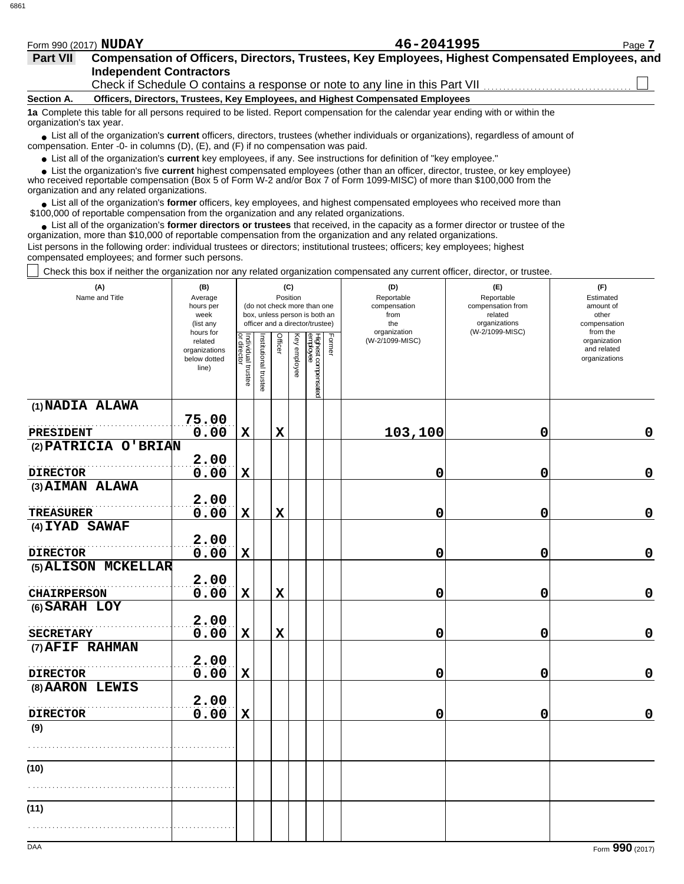### Form 990 (2017) Page **7**

### **NUDAY 46-2041995**

| <b>Part VII</b> | Compensation of Officers, Directors, Trustees, Key Employees, Highest Compensated Employees, and |
|-----------------|--------------------------------------------------------------------------------------------------|
|                 | <b>Independent Contractors</b>                                                                   |
|                 | Check if Schedule O contains a response or note to any line in this Part VII                     |

### **Section A. Officers, Directors, Trustees, Key Employees, and Highest Compensated Employees**

**1a** Complete this table for all persons required to be listed. Report compensation for the calendar year ending with or within the organization's tax year.

■ List all of the organization's **current** officers, directors, trustees (whether individuals or organizations), regardless of amount of compensation. Enter -0- in columns (D), (E), and (F) if no compensation was paid.

● List all of the organization's **current** key employees, if any. See instructions for definition of "key employee."

 $\bullet$  List the organization's five **current** highest compensated employees (other than an officer, director, trustee, or key employee)<br>a received reportable compensation (Box 5 of Form  $M-2$  and/or Box 7 of Form 1000-MISC)

who received reportable compensation (Box 5 of Form W-2 and/or Box 7 of Form 1099-MISC) of more than \$100,000 from the organization and any related organizations.

• List all of the organization's **former** officers, key employees, and highest compensated employees who received more than<br>00,000 of reportable compensation from the erganization and any related erganizations. \$100,000 of reportable compensation from the organization and any related organizations.

• List all of the organization's **former directors or trustees** that received, in the capacity as a former director or trustee of the organization, more than \$10,000 of reportable compensation from the organization and any related organizations. List persons in the following order: individual trustees or directors; institutional trustees; officers; key employees; highest

compensated employees; and former such persons.

Check this box if neither the organization nor any related organization compensated any current officer, director, or trustee.

| (A)<br>Name and Title | (B)<br>Average<br>hours per<br>week<br>(list any<br>hours for |                                   |                       | (C)<br>Position |              | (do not check more than one<br>box, unless person is both an<br>officer and a director/trustee) |        | (D)<br>Reportable<br>compensation<br>from<br>the<br>organization | (E)<br>Reportable<br>compensation from<br>related<br>organizations<br>(W-2/1099-MISC) | (F)<br>Estimated<br>amount of<br>other<br>compensation<br>from the |
|-----------------------|---------------------------------------------------------------|-----------------------------------|-----------------------|-----------------|--------------|-------------------------------------------------------------------------------------------------|--------|------------------------------------------------------------------|---------------------------------------------------------------------------------------|--------------------------------------------------------------------|
|                       | related<br>organizations<br>below dotted<br>line)             | Individual trustee<br>or director | Institutional trustee | Officer         | Key employee | Highest compensated<br>employee                                                                 | Former | (W-2/1099-MISC)                                                  |                                                                                       | organization<br>and related<br>organizations                       |
| (1) NADIA ALAWA       |                                                               |                                   |                       |                 |              |                                                                                                 |        |                                                                  |                                                                                       |                                                                    |
| PRESIDENT             | 75.00<br>0.00                                                 | $\mathbf X$                       |                       | $\mathbf x$     |              |                                                                                                 |        | 103,100                                                          | 0                                                                                     | 0                                                                  |
| (2) PATRICIA O'BRIAN  |                                                               |                                   |                       |                 |              |                                                                                                 |        |                                                                  |                                                                                       |                                                                    |
|                       | 2.00                                                          |                                   |                       |                 |              |                                                                                                 |        |                                                                  |                                                                                       |                                                                    |
| <b>DIRECTOR</b>       | 0.00                                                          | $\mathbf X$                       |                       |                 |              |                                                                                                 |        | 0                                                                | 0                                                                                     | 0                                                                  |
| (3) AIMAN ALAWA       |                                                               |                                   |                       |                 |              |                                                                                                 |        |                                                                  |                                                                                       |                                                                    |
| <b>TREASURER</b>      | 2.00<br>0.00                                                  | $\mathbf X$                       |                       | $\mathbf x$     |              |                                                                                                 |        | 0                                                                | 0                                                                                     | 0                                                                  |
| (4) IYAD SAWAF        |                                                               |                                   |                       |                 |              |                                                                                                 |        |                                                                  |                                                                                       |                                                                    |
|                       | 2.00                                                          |                                   |                       |                 |              |                                                                                                 |        |                                                                  |                                                                                       |                                                                    |
| <b>DIRECTOR</b>       | 0.00                                                          | $\mathbf X$                       |                       |                 |              |                                                                                                 |        | 0                                                                | 0                                                                                     | $\mathbf 0$                                                        |
| (5) ALISON MCKELLAR   | 2.00                                                          |                                   |                       |                 |              |                                                                                                 |        |                                                                  |                                                                                       |                                                                    |
| <b>CHAIRPERSON</b>    | 0.00                                                          | $\mathbf X$                       |                       | $\mathbf x$     |              |                                                                                                 |        | 0                                                                | 0                                                                                     | $\mathbf 0$                                                        |
| (6) SARAH LOY         |                                                               |                                   |                       |                 |              |                                                                                                 |        |                                                                  |                                                                                       |                                                                    |
|                       | 2.00                                                          |                                   |                       |                 |              |                                                                                                 |        |                                                                  |                                                                                       |                                                                    |
| <b>SECRETARY</b>      | 0.00                                                          | $\mathbf X$                       |                       | $\mathbf x$     |              |                                                                                                 |        | 0                                                                | 0                                                                                     | 0                                                                  |
| (7) AFIF RAHMAN       |                                                               |                                   |                       |                 |              |                                                                                                 |        |                                                                  |                                                                                       |                                                                    |
| <b>DIRECTOR</b>       | 2.00<br>0.00                                                  | $\mathbf X$                       |                       |                 |              |                                                                                                 |        | 0                                                                | 0                                                                                     | $\mathbf 0$                                                        |
| (8) AARON LEWIS       |                                                               |                                   |                       |                 |              |                                                                                                 |        |                                                                  |                                                                                       |                                                                    |
|                       | 2.00                                                          |                                   |                       |                 |              |                                                                                                 |        |                                                                  |                                                                                       |                                                                    |
| <b>DIRECTOR</b>       | 0.00                                                          | $\mathbf X$                       |                       |                 |              |                                                                                                 |        | 0                                                                | 0                                                                                     | $\mathbf 0$                                                        |
| (9)                   |                                                               |                                   |                       |                 |              |                                                                                                 |        |                                                                  |                                                                                       |                                                                    |
|                       |                                                               |                                   |                       |                 |              |                                                                                                 |        |                                                                  |                                                                                       |                                                                    |
| (10)                  |                                                               |                                   |                       |                 |              |                                                                                                 |        |                                                                  |                                                                                       |                                                                    |
|                       |                                                               |                                   |                       |                 |              |                                                                                                 |        |                                                                  |                                                                                       |                                                                    |
|                       |                                                               |                                   |                       |                 |              |                                                                                                 |        |                                                                  |                                                                                       |                                                                    |
| (11)                  |                                                               |                                   |                       |                 |              |                                                                                                 |        |                                                                  |                                                                                       |                                                                    |
|                       |                                                               |                                   |                       |                 |              |                                                                                                 |        |                                                                  |                                                                                       |                                                                    |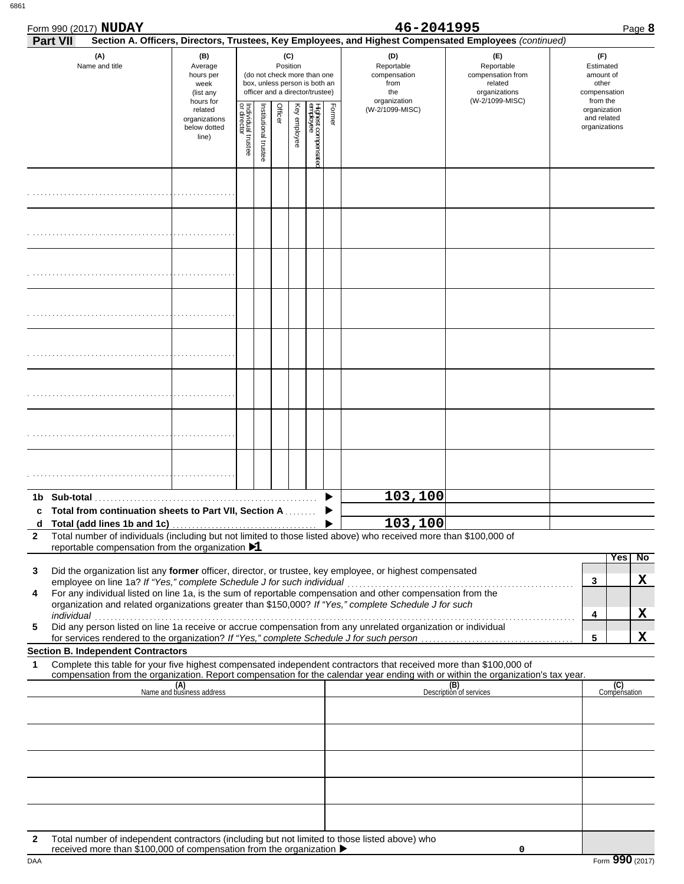### Form 990 (2017) **NUDAY** Page 8 **NUDAY 46-2041995**

| <b>Part VII</b><br>Section A. Officers, Directors, Trustees, Key Employees, and Highest Compensated Employees (continued) |                                                                        |                                                                |                                   |                                                                                                 |         |                 |                                 |        |                                                                                                                                                                                                                                                                                                                                                                                                                                                   |                                                                                       |                                                                    |                     |
|---------------------------------------------------------------------------------------------------------------------------|------------------------------------------------------------------------|----------------------------------------------------------------|-----------------------------------|-------------------------------------------------------------------------------------------------|---------|-----------------|---------------------------------|--------|---------------------------------------------------------------------------------------------------------------------------------------------------------------------------------------------------------------------------------------------------------------------------------------------------------------------------------------------------------------------------------------------------------------------------------------------------|---------------------------------------------------------------------------------------|--------------------------------------------------------------------|---------------------|
|                                                                                                                           | (A)<br>Name and title                                                  | (B)<br>Average<br>hours per<br>week<br>(list any               |                                   | (do not check more than one<br>box, unless person is both an<br>officer and a director/trustee) |         | (C)<br>Position |                                 |        | (D)<br>Reportable<br>compensation<br>from<br>the<br>organization                                                                                                                                                                                                                                                                                                                                                                                  | (E)<br>Reportable<br>compensation from<br>related<br>organizations<br>(W-2/1099-MISC) | (F)<br>Estimated<br>amount of<br>other<br>compensation<br>from the |                     |
|                                                                                                                           |                                                                        | hours for<br>related<br>organizations<br>below dotted<br>line) | Individual trustee<br>or director | Institutional trustee                                                                           | Officer | Key employee    | Highest compensatec<br>employee | Former | (W-2/1099-MISC)                                                                                                                                                                                                                                                                                                                                                                                                                                   |                                                                                       | organization<br>and related<br>organizations                       |                     |
|                                                                                                                           |                                                                        |                                                                |                                   |                                                                                                 |         |                 |                                 |        |                                                                                                                                                                                                                                                                                                                                                                                                                                                   |                                                                                       |                                                                    |                     |
|                                                                                                                           |                                                                        |                                                                |                                   |                                                                                                 |         |                 |                                 |        |                                                                                                                                                                                                                                                                                                                                                                                                                                                   |                                                                                       |                                                                    |                     |
|                                                                                                                           |                                                                        |                                                                |                                   |                                                                                                 |         |                 |                                 |        |                                                                                                                                                                                                                                                                                                                                                                                                                                                   |                                                                                       |                                                                    |                     |
|                                                                                                                           |                                                                        |                                                                |                                   |                                                                                                 |         |                 |                                 |        |                                                                                                                                                                                                                                                                                                                                                                                                                                                   |                                                                                       |                                                                    |                     |
|                                                                                                                           |                                                                        |                                                                |                                   |                                                                                                 |         |                 |                                 |        |                                                                                                                                                                                                                                                                                                                                                                                                                                                   |                                                                                       |                                                                    |                     |
|                                                                                                                           |                                                                        |                                                                |                                   |                                                                                                 |         |                 |                                 |        |                                                                                                                                                                                                                                                                                                                                                                                                                                                   |                                                                                       |                                                                    |                     |
|                                                                                                                           |                                                                        |                                                                |                                   |                                                                                                 |         |                 |                                 |        |                                                                                                                                                                                                                                                                                                                                                                                                                                                   |                                                                                       |                                                                    |                     |
|                                                                                                                           |                                                                        |                                                                |                                   |                                                                                                 |         |                 |                                 |        |                                                                                                                                                                                                                                                                                                                                                                                                                                                   |                                                                                       |                                                                    |                     |
|                                                                                                                           | Total from continuation sheets to Part VII, Section A                  |                                                                |                                   |                                                                                                 |         |                 |                                 |        | 103,100                                                                                                                                                                                                                                                                                                                                                                                                                                           |                                                                                       |                                                                    |                     |
| 2                                                                                                                         | reportable compensation from the organization $\blacktriangleright$ 1  |                                                                |                                   |                                                                                                 |         |                 |                                 |        | 103,100<br>Total number of individuals (including but not limited to those listed above) who received more than \$100,000 of                                                                                                                                                                                                                                                                                                                      |                                                                                       |                                                                    |                     |
| 3<br>4<br>individual                                                                                                      | employee on line 1a? If "Yes," complete Schedule J for such individual |                                                                |                                   |                                                                                                 |         |                 |                                 |        | Did the organization list any former officer, director, or trustee, key employee, or highest compensated<br>For any individual listed on line 1a, is the sum of reportable compensation and other compensation from the<br>organization and related organizations greater than \$150,000? If "Yes," complete Schedule J for such<br>Did any person listed on line 1a receive or accrue compensation from any unrelated organization or individual |                                                                                       | 3<br>4                                                             | Yes<br>No<br>X<br>X |
| 5                                                                                                                         |                                                                        |                                                                |                                   |                                                                                                 |         |                 |                                 |        | for services rendered to the organization? If "Yes," complete Schedule J for such person                                                                                                                                                                                                                                                                                                                                                          |                                                                                       | 5                                                                  | X                   |
| 1                                                                                                                         | <b>Section B. Independent Contractors</b>                              |                                                                |                                   |                                                                                                 |         |                 |                                 |        | Complete this table for your five highest compensated independent contractors that received more than \$100,000 of                                                                                                                                                                                                                                                                                                                                |                                                                                       |                                                                    |                     |
|                                                                                                                           |                                                                        |                                                                |                                   |                                                                                                 |         |                 |                                 |        | compensation from the organization. Report compensation for the calendar year ending with or within the organization's tax year.                                                                                                                                                                                                                                                                                                                  |                                                                                       |                                                                    |                     |
|                                                                                                                           |                                                                        | (A)<br>Name and business address                               |                                   |                                                                                                 |         |                 |                                 |        |                                                                                                                                                                                                                                                                                                                                                                                                                                                   | (B)<br>Description of services                                                        |                                                                    | (C)<br>Compensation |
|                                                                                                                           |                                                                        |                                                                |                                   |                                                                                                 |         |                 |                                 |        |                                                                                                                                                                                                                                                                                                                                                                                                                                                   |                                                                                       |                                                                    |                     |
|                                                                                                                           |                                                                        |                                                                |                                   |                                                                                                 |         |                 |                                 |        |                                                                                                                                                                                                                                                                                                                                                                                                                                                   |                                                                                       |                                                                    |                     |
|                                                                                                                           |                                                                        |                                                                |                                   |                                                                                                 |         |                 |                                 |        |                                                                                                                                                                                                                                                                                                                                                                                                                                                   |                                                                                       |                                                                    |                     |
| 2                                                                                                                         | received more than \$100,000 of compensation from the organization ▶   |                                                                |                                   |                                                                                                 |         |                 |                                 |        | Total number of independent contractors (including but not limited to those listed above) who                                                                                                                                                                                                                                                                                                                                                     | 0                                                                                     |                                                                    |                     |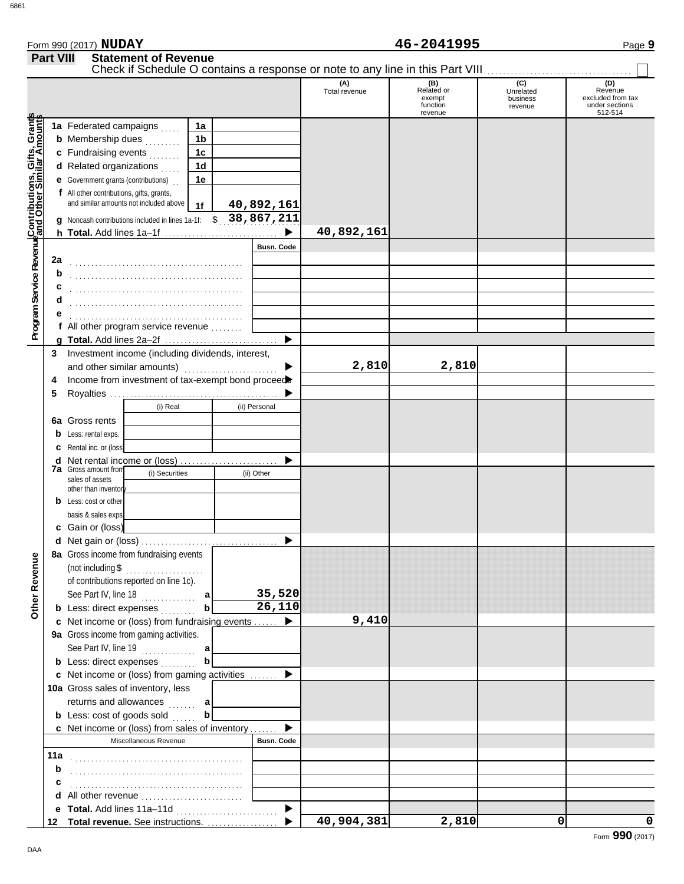**Part VIII Statement of Revenue**

### Form 990 (2017) Page **9 NUDAY 46-2041995**

|                                                                                                                                  |             | Check if Schedule O contains a response or note to any line in this Part VIII |                      |                                                    |                                         |                                                                  |
|----------------------------------------------------------------------------------------------------------------------------------|-------------|-------------------------------------------------------------------------------|----------------------|----------------------------------------------------|-----------------------------------------|------------------------------------------------------------------|
|                                                                                                                                  |             |                                                                               | (A)<br>Total revenue | (B)<br>Related or<br>exempt<br>function<br>revenue | (C)<br>Unrelated<br>business<br>revenue | (D)<br>Revenue<br>excluded from tax<br>under sections<br>512-514 |
|                                                                                                                                  |             | 1a Federated campaigns<br>1a                                                  |                      |                                                    |                                         |                                                                  |
|                                                                                                                                  |             | <b>b</b> Membership dues<br>1 <sub>b</sub>                                    |                      |                                                    |                                         |                                                                  |
|                                                                                                                                  |             | 1.1.1.1.1<br>c Fundraising events<br>1c                                       |                      |                                                    |                                         |                                                                  |
|                                                                                                                                  |             | d Related organizations<br>1 <sub>d</sub>                                     |                      |                                                    |                                         |                                                                  |
|                                                                                                                                  |             | <b>e</b> Government grants (contributions)<br>1e                              |                      |                                                    |                                         |                                                                  |
|                                                                                                                                  |             | f All other contributions, gifts, grants,                                     |                      |                                                    |                                         |                                                                  |
|                                                                                                                                  |             | and similar amounts not included above<br>40,892,161<br>1f                    |                      |                                                    |                                         |                                                                  |
|                                                                                                                                  |             | <b>g</b> Noncash contributions included in lines 1a-1f: $$38,867,211$         |                      |                                                    |                                         |                                                                  |
|                                                                                                                                  |             |                                                                               | 40,892,161           |                                                    |                                         |                                                                  |
|                                                                                                                                  |             | <b>Busn. Code</b>                                                             |                      |                                                    |                                         |                                                                  |
|                                                                                                                                  | 2a          |                                                                               |                      |                                                    |                                         |                                                                  |
|                                                                                                                                  | b           |                                                                               |                      |                                                    |                                         |                                                                  |
|                                                                                                                                  | с           |                                                                               |                      |                                                    |                                         |                                                                  |
|                                                                                                                                  | d           |                                                                               |                      |                                                    |                                         |                                                                  |
|                                                                                                                                  | е           |                                                                               |                      |                                                    |                                         |                                                                  |
| <b>Program Service RevenueContributions, Gifts, Grants</b><br>Program Service Revenue <mark>Contributions, Gifts, Amounts</mark> |             | All other program service revenue                                             |                      |                                                    |                                         |                                                                  |
|                                                                                                                                  |             |                                                                               |                      |                                                    |                                         |                                                                  |
|                                                                                                                                  | 3           | Investment income (including dividends, interest,                             |                      |                                                    |                                         |                                                                  |
|                                                                                                                                  |             | and other similar amounts)<br>.                                               | 2,810                | 2,810                                              |                                         |                                                                  |
|                                                                                                                                  | 4           | Income from investment of tax-exempt bond proceed                             |                      |                                                    |                                         |                                                                  |
|                                                                                                                                  | 5           |                                                                               |                      |                                                    |                                         |                                                                  |
|                                                                                                                                  |             | (i) Real<br>(ii) Personal                                                     |                      |                                                    |                                         |                                                                  |
|                                                                                                                                  |             | 6a Gross rents                                                                |                      |                                                    |                                         |                                                                  |
|                                                                                                                                  | b           | Less: rental exps.                                                            |                      |                                                    |                                         |                                                                  |
|                                                                                                                                  |             | Rental inc. or (loss)                                                         |                      |                                                    |                                         |                                                                  |
|                                                                                                                                  |             | d Net rental income or (loss)                                                 |                      |                                                    |                                         |                                                                  |
|                                                                                                                                  |             | <b>7a</b> Gross amount from<br>(i) Securities<br>(ii) Other                   |                      |                                                    |                                         |                                                                  |
|                                                                                                                                  |             | sales of assets<br>other than inventory                                       |                      |                                                    |                                         |                                                                  |
|                                                                                                                                  |             | <b>b</b> Less: cost or other                                                  |                      |                                                    |                                         |                                                                  |
|                                                                                                                                  |             | basis & sales exps.                                                           |                      |                                                    |                                         |                                                                  |
|                                                                                                                                  |             | c Gain or (loss)                                                              |                      |                                                    |                                         |                                                                  |
|                                                                                                                                  |             |                                                                               |                      |                                                    |                                         |                                                                  |
|                                                                                                                                  |             | 8a Gross income from fundraising events                                       |                      |                                                    |                                         |                                                                  |
| gun                                                                                                                              |             | (not including \$                                                             |                      |                                                    |                                         |                                                                  |
|                                                                                                                                  |             | of contributions reported on line 1c).                                        |                      |                                                    |                                         |                                                                  |
|                                                                                                                                  |             | 35,520<br>See Part IV, line 18<br>a                                           |                      |                                                    |                                         |                                                                  |
| Other Rever                                                                                                                      |             | 26,110<br>$\mathbf b$<br><b>b</b> Less: direct expenses                       |                      |                                                    |                                         |                                                                  |
|                                                                                                                                  |             | c Net income or (loss) from fundraising events                                | 9,410                |                                                    |                                         |                                                                  |
|                                                                                                                                  |             | 9a Gross income from gaming activities.                                       |                      |                                                    |                                         |                                                                  |
|                                                                                                                                  |             | See Part IV, line 19<br>a                                                     |                      |                                                    |                                         |                                                                  |
|                                                                                                                                  |             | $\mathbf b$<br><b>b</b> Less: direct expenses                                 |                      |                                                    |                                         |                                                                  |
|                                                                                                                                  |             | c Net income or (loss) from gaming activities  ▶                              |                      |                                                    |                                         |                                                                  |
|                                                                                                                                  |             | 10a Gross sales of inventory, less                                            |                      |                                                    |                                         |                                                                  |
|                                                                                                                                  |             | returns and allowances<br>a<br>aaaaan                                         |                      |                                                    |                                         |                                                                  |
|                                                                                                                                  |             | $\mathbf b$<br><b>b</b> Less: cost of goods sold                              |                      |                                                    |                                         |                                                                  |
|                                                                                                                                  |             | c Net income or (loss) from sales of inventory                                |                      |                                                    |                                         |                                                                  |
|                                                                                                                                  |             | Miscellaneous Revenue<br><b>Busn. Code</b>                                    |                      |                                                    |                                         |                                                                  |
|                                                                                                                                  | 11a         |                                                                               |                      |                                                    |                                         |                                                                  |
|                                                                                                                                  | $\mathbf b$ |                                                                               |                      |                                                    |                                         |                                                                  |
|                                                                                                                                  | с           |                                                                               |                      |                                                    |                                         |                                                                  |
|                                                                                                                                  | d           | All other revenue                                                             |                      |                                                    |                                         |                                                                  |
|                                                                                                                                  |             |                                                                               |                      |                                                    |                                         |                                                                  |
|                                                                                                                                  | 12          | Total revenue. See instructions.                                              | 40,904,381           | 2,810                                              | 0                                       | 0                                                                |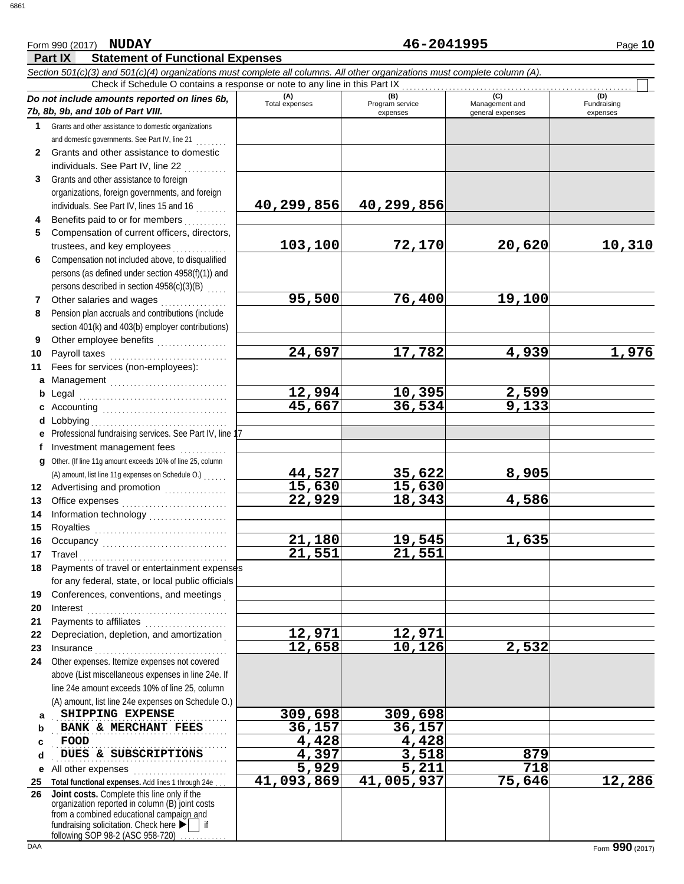### Form 990 (2017) Page **10 NUDAY 46-2041995**

|             | Part IX<br><b>Statement of Functional Expenses</b>                                                                         |                       |                        |                       |                    |
|-------------|----------------------------------------------------------------------------------------------------------------------------|-----------------------|------------------------|-----------------------|--------------------|
|             | Section 501(c)(3) and 501(c)(4) organizations must complete all columns. All other organizations must complete column (A). |                       |                        |                       |                    |
|             | Check if Schedule O contains a response or note to any line in this Part IX                                                |                       |                        |                       |                    |
|             | Do not include amounts reported on lines 6b,                                                                               | (A)<br>Total expenses | (B)<br>Program service | (C)<br>Management and | (D)<br>Fundraising |
|             | 7b, 8b, 9b, and 10b of Part VIII.                                                                                          |                       | expenses               | general expenses      | expenses           |
| $\mathbf 1$ | Grants and other assistance to domestic organizations                                                                      |                       |                        |                       |                    |
|             | and domestic governments. See Part IV, line 21                                                                             |                       |                        |                       |                    |
|             | 2 Grants and other assistance to domestic                                                                                  |                       |                        |                       |                    |
|             | individuals. See Part IV, line 22                                                                                          |                       |                        |                       |                    |
| 3           | Grants and other assistance to foreign                                                                                     |                       |                        |                       |                    |
|             | organizations, foreign governments, and foreign                                                                            |                       |                        |                       |                    |
|             | individuals. See Part IV, lines 15 and 16                                                                                  | 40,299,856            | 40,299,856             |                       |                    |
| 4           | Benefits paid to or for members<br>Compensation of current officers, directors,                                            |                       |                        |                       |                    |
| 5           | trustees, and key employees                                                                                                | 103,100               | 72,170                 | 20,620                | 10,310             |
| 6           | Compensation not included above, to disqualified                                                                           |                       |                        |                       |                    |
|             | persons (as defined under section 4958(f)(1)) and                                                                          |                       |                        |                       |                    |
|             | persons described in section 4958(c)(3)(B)                                                                                 |                       |                        |                       |                    |
| 7           | Other salaries and wages                                                                                                   | 95,500                | 76,400                 | 19,100                |                    |
| 8           | Pension plan accruals and contributions (include                                                                           |                       |                        |                       |                    |
|             | section 401(k) and 403(b) employer contributions)                                                                          |                       |                        |                       |                    |
| 9           | Other employee benefits                                                                                                    |                       |                        |                       |                    |
| 10          | Payroll taxes                                                                                                              | 24,697                | 17,782                 | 4,939                 | 1,976              |
| 11          | Fees for services (non-employees):                                                                                         |                       |                        |                       |                    |
| a           |                                                                                                                            |                       |                        |                       |                    |
| b           | Legal                                                                                                                      | 12,994                | 10,395                 | 2,599                 |                    |
| c           |                                                                                                                            | 45,667                | 36,534                 | 9,133                 |                    |
| d           | Lobbying                                                                                                                   |                       |                        |                       |                    |
| e           | Professional fundraising services. See Part IV, line 1                                                                     |                       |                        |                       |                    |
| f           | Investment management fees                                                                                                 |                       |                        |                       |                    |
| a           | Other. (If line 11g amount exceeds 10% of line 25, column                                                                  |                       |                        |                       |                    |
|             | (A) amount, list line 11g expenses on Schedule O.)                                                                         | 44,527                | 35,622                 | 8,905                 |                    |
| 12          | Advertising and promotion                                                                                                  | 15,630                | 15,630                 |                       |                    |
| 13          |                                                                                                                            | 22,929                | 18,343                 | 4,586                 |                    |
| 14          | Information technology<br>                                                                                                 |                       |                        |                       |                    |
| 15          | Royalties                                                                                                                  |                       |                        |                       |                    |
| 16          |                                                                                                                            | 21,180                | 19,545                 | 1,635                 |                    |
|             | 17 Travel                                                                                                                  | 21,551                | 21,551                 |                       |                    |
|             | 18 Payments of travel or entertainment expenses                                                                            |                       |                        |                       |                    |
|             | for any federal, state, or local public officials                                                                          |                       |                        |                       |                    |
| 19          | Conferences, conventions, and meetings                                                                                     |                       |                        |                       |                    |
| 20          | Interest                                                                                                                   |                       |                        |                       |                    |
| 21          |                                                                                                                            |                       |                        |                       |                    |
| 22          | Depreciation, depletion, and amortization                                                                                  | 12,971                | 12,971                 |                       |                    |
| 23          |                                                                                                                            | 12,658                | 10,126                 | 2,532                 |                    |
| 24          | Other expenses. Itemize expenses not covered                                                                               |                       |                        |                       |                    |
|             | above (List miscellaneous expenses in line 24e. If                                                                         |                       |                        |                       |                    |
|             | line 24e amount exceeds 10% of line 25, column                                                                             |                       |                        |                       |                    |
|             | (A) amount, list line 24e expenses on Schedule O.)<br>SHIPPING EXPENSE                                                     | 309,698               | 309,698                |                       |                    |
| a           | <b>BANK &amp; MERCHANT FEES</b>                                                                                            | 36,157                | 36,157                 |                       |                    |
| b<br>c      | FOOD                                                                                                                       | 4,428                 | $\overline{4,}$ 428    |                       |                    |
| d           | DUES & SUBSCRIPTIONS                                                                                                       | 4,397                 | 3,518                  | 879                   |                    |
| е           | All other expenses                                                                                                         | 5,929                 | 5,211                  | 718                   |                    |
| 25          | Total functional expenses. Add lines 1 through 24e                                                                         | 41,093,869            | 41,005,937             | 75,646                | 12,286             |
| 26          | Joint costs. Complete this line only if the                                                                                |                       |                        |                       |                    |
|             | organization reported in column (B) joint costs                                                                            |                       |                        |                       |                    |
|             | from a combined educational campaign and<br>fundraising solicitation. Check here $\blacktriangleright$ if                  |                       |                        |                       |                    |
|             | following SOP 98-2 (ASC 958-720)                                                                                           |                       |                        |                       |                    |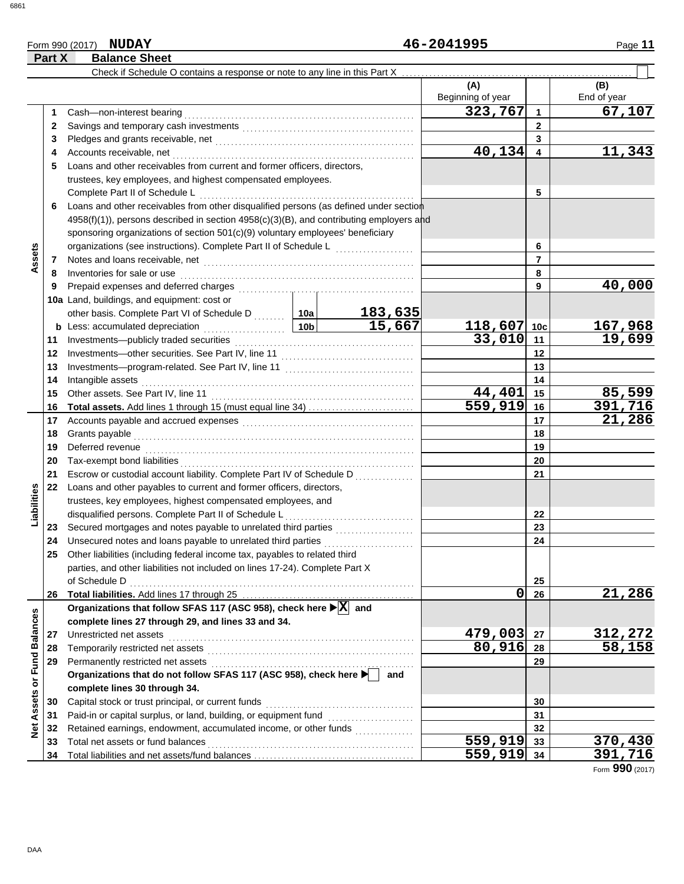6861

| <b>NUDAY</b><br>Form 990 (2017)       | 46-2041995 | Page |
|---------------------------------------|------------|------|
| <b>Part X</b><br><b>Balance Sheet</b> |            |      |

|                 |          | Check if Schedule O contains a response or note to any line in this Part X                                                                                                                                                       |  |                                                   |                   |              |             |
|-----------------|----------|----------------------------------------------------------------------------------------------------------------------------------------------------------------------------------------------------------------------------------|--|---------------------------------------------------|-------------------|--------------|-------------|
|                 |          |                                                                                                                                                                                                                                  |  |                                                   | (A)               |              | (B)         |
|                 |          |                                                                                                                                                                                                                                  |  |                                                   | Beginning of year |              | End of year |
|                 | 1.       | Cash-non-interest bearing                                                                                                                                                                                                        |  |                                                   | 323,767           | $\mathbf 1$  | 67,107      |
|                 | 2        |                                                                                                                                                                                                                                  |  |                                                   |                   | $\mathbf{2}$ |             |
|                 | 3        |                                                                                                                                                                                                                                  |  |                                                   |                   | 3            |             |
|                 | 4        |                                                                                                                                                                                                                                  |  |                                                   | 40,134            | 4            | 11,343      |
|                 | 5        | Loans and other receivables from current and former officers, directors,                                                                                                                                                         |  |                                                   |                   |              |             |
|                 |          | trustees, key employees, and highest compensated employees.                                                                                                                                                                      |  |                                                   |                   |              |             |
|                 |          |                                                                                                                                                                                                                                  |  |                                                   |                   | 5            |             |
|                 | 6        | Loans and other receivables from other disqualified persons (as defined under section                                                                                                                                            |  |                                                   |                   |              |             |
|                 |          | 4958(f)(1)), persons described in section 4958(c)(3)(B), and contributing employers and                                                                                                                                          |  |                                                   |                   |              |             |
|                 |          | sponsoring organizations of section 501(c)(9) voluntary employees' beneficiary                                                                                                                                                   |  |                                                   |                   |              |             |
|                 |          | organizations (see instructions). Complete Part II of Schedule L                                                                                                                                                                 |  | <u> 1996 - Johann Stoff, Amerikaansk kanton (</u> |                   | 6            |             |
| Assets          | 7        |                                                                                                                                                                                                                                  |  |                                                   |                   | 7            |             |
|                 | 8        | Inventories for sale or use                                                                                                                                                                                                      |  |                                                   |                   | 8            |             |
|                 | 9        | Prepaid expenses and deferred charges                                                                                                                                                                                            |  |                                                   | 9                 | 40,000       |             |
|                 |          | 10a Land, buildings, and equipment: cost or                                                                                                                                                                                      |  |                                                   |                   |              |             |
|                 |          | other basis. Complete Part VI of Schedule D  10a                                                                                                                                                                                 |  | 183,635                                           |                   |              |             |
|                 |          | <u> 10b</u><br><b>b</b> Less: accumulated depreciation                                                                                                                                                                           |  | 15,667                                            | 118,607           | 10c          | 167,968     |
|                 | 11       |                                                                                                                                                                                                                                  |  |                                                   | 33,010            | 11           | 19,699      |
|                 | 12       |                                                                                                                                                                                                                                  |  |                                                   |                   | 12           |             |
|                 | 13       |                                                                                                                                                                                                                                  |  |                                                   |                   | 13           |             |
|                 | 14       | Intangible assets                                                                                                                                                                                                                |  |                                                   |                   | 14           |             |
|                 | 15       |                                                                                                                                                                                                                                  |  |                                                   | 44,401            | 15           | 85,599      |
|                 | 16       |                                                                                                                                                                                                                                  |  |                                                   | 559,919           | 16           | 391,716     |
|                 | 17       |                                                                                                                                                                                                                                  |  | 17                                                | 21,286            |              |             |
|                 | 18       | Grants payable                                                                                                                                                                                                                   |  | 18                                                |                   |              |             |
|                 | 19       | Deferred revenue                                                                                                                                                                                                                 |  |                                                   |                   | 19           |             |
|                 | 20       |                                                                                                                                                                                                                                  |  |                                                   |                   | 20           |             |
|                 | 21       | Escrow or custodial account liability. Complete Part IV of Schedule D                                                                                                                                                            |  |                                                   |                   | 21           |             |
|                 | 22       | Loans and other payables to current and former officers, directors,                                                                                                                                                              |  |                                                   |                   |              |             |
| Liabilities     |          | trustees, key employees, highest compensated employees, and                                                                                                                                                                      |  |                                                   |                   |              |             |
|                 |          | disqualified persons. Complete Part II of Schedule L                                                                                                                                                                             |  |                                                   |                   | 22           |             |
|                 | 23       | Secured mortgages and notes payable to unrelated third parties                                                                                                                                                                   |  |                                                   |                   | 23           |             |
|                 | 24       | Unsecured notes and loans payable to unrelated third parties<br>[[COLORER DETERMANDER MARKET DATA: UNITS AND RESPANDED MARKET DATA: THE DATA: THE DATA: THE DATA: THE DATA: THE DATA: THE DATA: THE DATA: THE DATA: THE DATA: TH |  |                                                   |                   | 24           |             |
|                 | 25       | Other liabilities (including federal income tax, payables to related third                                                                                                                                                       |  |                                                   |                   |              |             |
|                 |          | parties, and other liabilities not included on lines 17-24). Complete Part X                                                                                                                                                     |  |                                                   |                   |              |             |
|                 |          | of Schedule D                                                                                                                                                                                                                    |  |                                                   |                   | 25           |             |
|                 | 26       |                                                                                                                                                                                                                                  |  |                                                   | $\mathbf 0$       | 26           | 21,286      |
|                 |          | Organizations that follow SFAS 117 (ASC 958), check here $\blacktriangleright$ $\boxed{\mathbf{X}}$ and                                                                                                                          |  |                                                   |                   |              |             |
|                 | 27       | complete lines 27 through 29, and lines 33 and 34.<br>Unrestricted net assets                                                                                                                                                    |  |                                                   | 479,003           | 27           | 312,272     |
| <b>Balances</b> |          |                                                                                                                                                                                                                                  |  |                                                   | 80,916            | 28           | 58,158      |
|                 | 28<br>29 | Permanently restricted net assets                                                                                                                                                                                                |  |                                                   |                   | 29           |             |
|                 |          | Organizations that do not follow SFAS 117 (ASC 958), check here $\blacktriangleright$                                                                                                                                            |  | and                                               |                   |              |             |
|                 |          | complete lines 30 through 34.                                                                                                                                                                                                    |  |                                                   |                   |              |             |
| Assets or Fund  | 30       | Capital stock or trust principal, or current funds                                                                                                                                                                               |  |                                                   |                   | 30           |             |
|                 | 31       | Paid-in or capital surplus, or land, building, or equipment fund                                                                                                                                                                 |  |                                                   |                   | 31           |             |
| <b>Net</b>      |          |                                                                                                                                                                                                                                  |  |                                                   |                   |              |             |
|                 |          |                                                                                                                                                                                                                                  |  |                                                   |                   |              |             |
|                 | 32<br>33 | Retained earnings, endowment, accumulated income, or other funds<br>Total net assets or fund balances                                                                                                                            |  |                                                   | 559,919           | 32<br>33     | 370,430     |

Form **990** (2017)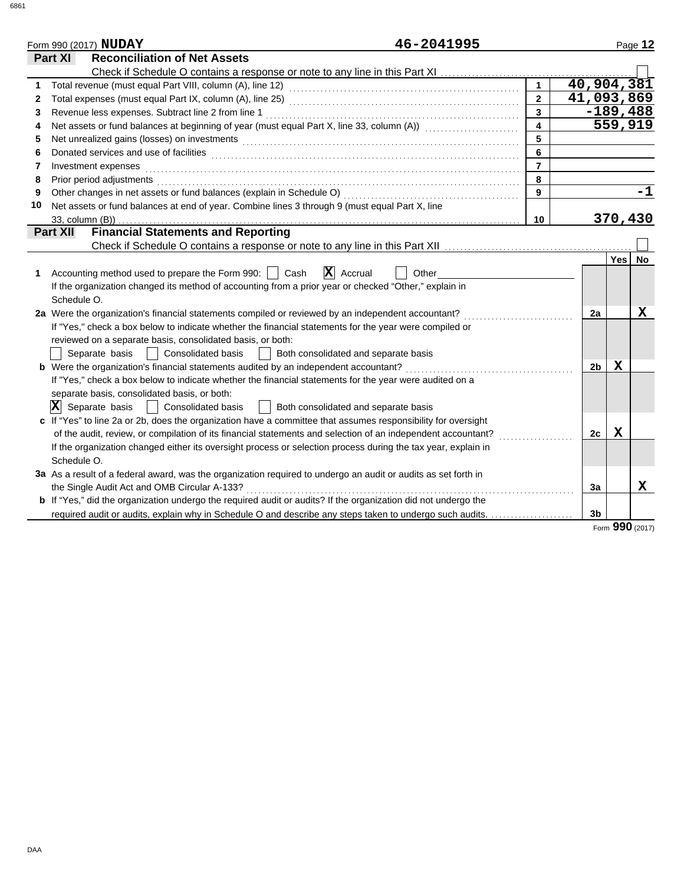|    | Form 990 (2017) NUDAY                                                                                                                                                                                                         | 46-2041995 |                  |                |             | Page 12    |
|----|-------------------------------------------------------------------------------------------------------------------------------------------------------------------------------------------------------------------------------|------------|------------------|----------------|-------------|------------|
|    | <b>Reconciliation of Net Assets</b><br>Part XI                                                                                                                                                                                |            |                  |                |             |            |
|    | Check if Schedule O contains a response or note to any line in this Part XI                                                                                                                                                   |            |                  |                |             |            |
|    |                                                                                                                                                                                                                               |            | $\mathbf{1}$     | 40,904,381     |             |            |
| 2  |                                                                                                                                                                                                                               |            | $\overline{2}$   | 41,093,869     |             |            |
| 3  | Revenue less expenses. Subtract line 2 from line 1                                                                                                                                                                            |            | $\overline{3}$   |                |             | $-189,488$ |
| 4  | Net assets or fund balances at beginning of year (must equal Part X, line 33, column (A)) [[[[[[[[[[[[[[[[[[[                                                                                                                 |            | $\blacktriangle$ |                |             | 559,919    |
| 5  | Net unrealized gains (losses) on investments [1] production in the contract of the state of the state of the state of the state of the state of the state of the state of the state of the state of the state of the state of |            | 5                |                |             |            |
| 6  |                                                                                                                                                                                                                               |            | 6                |                |             |            |
| 7  | Investment expenses                                                                                                                                                                                                           |            | $\overline{7}$   |                |             |            |
| 8  | Prior period adjustments                                                                                                                                                                                                      |            | 8                |                |             |            |
| 9  |                                                                                                                                                                                                                               |            | $\overline{9}$   |                |             | -1         |
| 10 | Net assets or fund balances at end of year. Combine lines 3 through 9 (must equal Part X, line                                                                                                                                |            |                  |                |             |            |
|    | 33, column (B))                                                                                                                                                                                                               |            | 10               |                | 370,430     |            |
|    | <b>Financial Statements and Reporting</b><br>Part XII                                                                                                                                                                         |            |                  |                |             |            |
|    |                                                                                                                                                                                                                               |            |                  |                |             |            |
|    |                                                                                                                                                                                                                               |            |                  |                | Yes         | <b>No</b>  |
| 1  | $ \mathbf{X} $ Accrual<br>Accounting method used to prepare the Form 990:     Cash                                                                                                                                            | Other      |                  |                |             |            |
|    | If the organization changed its method of accounting from a prior year or checked "Other," explain in                                                                                                                         |            |                  |                |             |            |
|    | Schedule O.                                                                                                                                                                                                                   |            |                  |                |             |            |
|    | 2a Were the organization's financial statements compiled or reviewed by an independent accountant?                                                                                                                            |            |                  | 2a             |             | x          |
|    | If "Yes," check a box below to indicate whether the financial statements for the year were compiled or                                                                                                                        |            |                  |                |             |            |
|    | reviewed on a separate basis, consolidated basis, or both:                                                                                                                                                                    |            |                  |                |             |            |
|    | Separate basis<br><b>Consolidated basis</b><br>Both consolidated and separate basis                                                                                                                                           |            |                  |                |             |            |
|    | <b>b</b> Were the organization's financial statements audited by an independent accountant?                                                                                                                                   |            |                  | 2 <sub>b</sub> | $\mathbf X$ |            |
|    | If "Yes," check a box below to indicate whether the financial statements for the year were audited on a                                                                                                                       |            |                  |                |             |            |
|    | separate basis, consolidated basis, or both:                                                                                                                                                                                  |            |                  |                |             |            |
|    | $ \mathbf{X} $ Separate basis<br><b>Consolidated basis</b><br>Both consolidated and separate basis                                                                                                                            |            |                  |                |             |            |
|    | c If "Yes" to line 2a or 2b, does the organization have a committee that assumes responsibility for oversight                                                                                                                 |            |                  |                |             |            |
|    | of the audit, review, or compilation of its financial statements and selection of an independent accountant?                                                                                                                  |            |                  | 2c             | х           |            |
|    | If the organization changed either its oversight process or selection process during the tax year, explain in                                                                                                                 |            |                  |                |             |            |
|    | Schedule O.                                                                                                                                                                                                                   |            |                  |                |             |            |
|    | 3a As a result of a federal award, was the organization required to undergo an audit or audits as set forth in                                                                                                                |            |                  |                |             |            |
|    | the Single Audit Act and OMB Circular A-133?                                                                                                                                                                                  |            |                  | 3a             |             | X          |
|    | b If "Yes," did the organization undergo the required audit or audits? If the organization did not undergo the                                                                                                                |            |                  |                |             |            |
|    | required audit or audits, explain why in Schedule O and describe any steps taken to undergo such audits.                                                                                                                      |            |                  | 3 <sub>b</sub> | $\sim$      |            |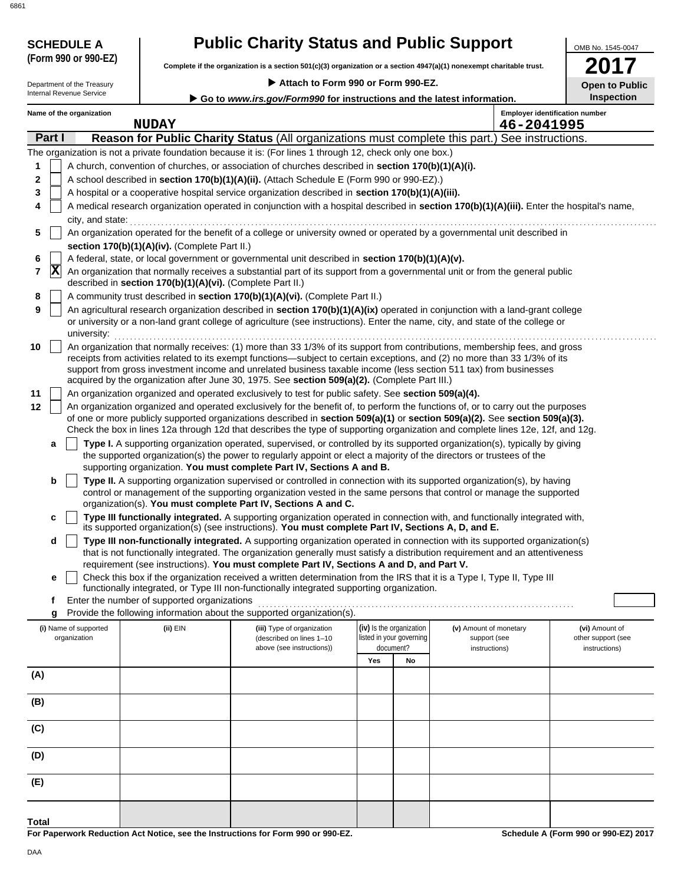**SCHEDULE A** 

**Complete if the organization is a section 501(c)(3) organization or a section 4947(a)(1) nonexempt charitable trust. (Form 990 or 990-EZ)**

| Attach to Form 990 or Form 990-EZ. |
|------------------------------------|
|------------------------------------|

| 'N            |  |
|---------------|--|
| en to Pu<br>c |  |

OMB No. 1545-0047

|                       | Department of the Treasury                 |                  |                                                            | $\blacktriangleright$ Attach to Form 990 or Form 990-EZ.                                                                                                                                                                                                                                                                                                                                                                                                                                                                                                                                                                                                                                                                           |     |                                                                         |                                                         |            | <b>Open to Public</b>                                 |
|-----------------------|--------------------------------------------|------------------|------------------------------------------------------------|------------------------------------------------------------------------------------------------------------------------------------------------------------------------------------------------------------------------------------------------------------------------------------------------------------------------------------------------------------------------------------------------------------------------------------------------------------------------------------------------------------------------------------------------------------------------------------------------------------------------------------------------------------------------------------------------------------------------------------|-----|-------------------------------------------------------------------------|---------------------------------------------------------|------------|-------------------------------------------------------|
|                       | Internal Revenue Service                   |                  |                                                            | Go to www.irs.gov/Form990 for instructions and the latest information.                                                                                                                                                                                                                                                                                                                                                                                                                                                                                                                                                                                                                                                             |     |                                                                         |                                                         |            | <b>Inspection</b>                                     |
|                       | Name of the organization                   |                  | <b>NUDAY</b>                                               |                                                                                                                                                                                                                                                                                                                                                                                                                                                                                                                                                                                                                                                                                                                                    |     |                                                                         |                                                         | 46-2041995 | <b>Employer identification number</b>                 |
| Part I                |                                            |                  |                                                            | Reason for Public Charity Status (All organizations must complete this part.) See instructions.                                                                                                                                                                                                                                                                                                                                                                                                                                                                                                                                                                                                                                    |     |                                                                         |                                                         |            |                                                       |
| 1<br>2<br>3<br>4<br>5 |                                            | city, and state: | section 170(b)(1)(A)(iv). (Complete Part II.)              | The organization is not a private foundation because it is: (For lines 1 through 12, check only one box.)<br>A church, convention of churches, or association of churches described in section 170(b)(1)(A)(i).<br>A school described in section 170(b)(1)(A)(ii). (Attach Schedule E (Form 990 or 990-EZ).)<br>A hospital or a cooperative hospital service organization described in section 170(b)(1)(A)(iii).<br>A medical research organization operated in conjunction with a hospital described in section 170(b)(1)(A)(iii). Enter the hospital's name,<br>An organization operated for the benefit of a college or university owned or operated by a governmental unit described in                                       |     |                                                                         |                                                         |            |                                                       |
| 6<br>7                | X                                          |                  | described in section 170(b)(1)(A)(vi). (Complete Part II.) | A federal, state, or local government or governmental unit described in section 170(b)(1)(A)(v).<br>An organization that normally receives a substantial part of its support from a governmental unit or from the general public                                                                                                                                                                                                                                                                                                                                                                                                                                                                                                   |     |                                                                         |                                                         |            |                                                       |
| 8                     |                                            |                  |                                                            | A community trust described in section 170(b)(1)(A)(vi). (Complete Part II.)                                                                                                                                                                                                                                                                                                                                                                                                                                                                                                                                                                                                                                                       |     |                                                                         |                                                         |            |                                                       |
| 9                     |                                            | university:      |                                                            | An agricultural research organization described in section 170(b)(1)(A)(ix) operated in conjunction with a land-grant college<br>or university or a non-land grant college of agriculture (see instructions). Enter the name, city, and state of the college or                                                                                                                                                                                                                                                                                                                                                                                                                                                                    |     |                                                                         |                                                         |            |                                                       |
| 10                    |                                            |                  |                                                            | An organization that normally receives: (1) more than 33 1/3% of its support from contributions, membership fees, and gross<br>receipts from activities related to its exempt functions—subject to certain exceptions, and (2) no more than 33 1/3% of its<br>support from gross investment income and unrelated business taxable income (less section 511 tax) from businesses<br>acquired by the organization after June 30, 1975. See section 509(a)(2). (Complete Part III.)                                                                                                                                                                                                                                                   |     |                                                                         |                                                         |            |                                                       |
| 11                    |                                            |                  |                                                            | An organization organized and operated exclusively to test for public safety. See section 509(a)(4).                                                                                                                                                                                                                                                                                                                                                                                                                                                                                                                                                                                                                               |     |                                                                         |                                                         |            |                                                       |
| 12                    | a                                          |                  |                                                            | An organization organized and operated exclusively for the benefit of, to perform the functions of, or to carry out the purposes<br>of one or more publicly supported organizations described in section 509(a)(1) or section 509(a)(2). See section 509(a)(3).<br>Check the box in lines 12a through 12d that describes the type of supporting organization and complete lines 12e, 12f, and 12g.<br>Type I. A supporting organization operated, supervised, or controlled by its supported organization(s), typically by giving<br>the supported organization(s) the power to regularly appoint or elect a majority of the directors or trustees of the<br>supporting organization. You must complete Part IV, Sections A and B. |     |                                                                         |                                                         |            |                                                       |
|                       | b                                          |                  |                                                            | Type II. A supporting organization supervised or controlled in connection with its supported organization(s), by having<br>control or management of the supporting organization vested in the same persons that control or manage the supported<br>organization(s). You must complete Part IV, Sections A and C.                                                                                                                                                                                                                                                                                                                                                                                                                   |     |                                                                         |                                                         |            |                                                       |
|                       | c<br>d                                     |                  |                                                            | Type III functionally integrated. A supporting organization operated in connection with, and functionally integrated with,<br>its supported organization(s) (see instructions). You must complete Part IV, Sections A, D, and E.<br>Type III non-functionally integrated. A supporting organization operated in connection with its supported organization(s)                                                                                                                                                                                                                                                                                                                                                                      |     |                                                                         |                                                         |            |                                                       |
|                       |                                            |                  |                                                            | that is not functionally integrated. The organization generally must satisfy a distribution requirement and an attentiveness<br>requirement (see instructions). You must complete Part IV, Sections A and D, and Part V.                                                                                                                                                                                                                                                                                                                                                                                                                                                                                                           |     |                                                                         |                                                         |            |                                                       |
|                       | е                                          |                  |                                                            | Check this box if the organization received a written determination from the IRS that it is a Type I, Type II, Type III<br>functionally integrated, or Type III non-functionally integrated supporting organization.                                                                                                                                                                                                                                                                                                                                                                                                                                                                                                               |     |                                                                         |                                                         |            |                                                       |
|                       | f                                          |                  | Enter the number of supported organizations                |                                                                                                                                                                                                                                                                                                                                                                                                                                                                                                                                                                                                                                                                                                                                    |     |                                                                         |                                                         |            |                                                       |
|                       | g<br>(i) Name of supported<br>organization |                  | (ii) EIN                                                   | Provide the following information about the supported organization(s).<br>(iii) Type of organization<br>(described on lines 1-10<br>above (see instructions))                                                                                                                                                                                                                                                                                                                                                                                                                                                                                                                                                                      | Yes | (iv) Is the organization<br>listed in your governing<br>document?<br>No | (v) Amount of monetary<br>support (see<br>instructions) |            | (vi) Amount of<br>other support (see<br>instructions) |
| (A)                   |                                            |                  |                                                            |                                                                                                                                                                                                                                                                                                                                                                                                                                                                                                                                                                                                                                                                                                                                    |     |                                                                         |                                                         |            |                                                       |
| (B)                   |                                            |                  |                                                            |                                                                                                                                                                                                                                                                                                                                                                                                                                                                                                                                                                                                                                                                                                                                    |     |                                                                         |                                                         |            |                                                       |
| (C)                   |                                            |                  |                                                            |                                                                                                                                                                                                                                                                                                                                                                                                                                                                                                                                                                                                                                                                                                                                    |     |                                                                         |                                                         |            |                                                       |
| (D)                   |                                            |                  |                                                            |                                                                                                                                                                                                                                                                                                                                                                                                                                                                                                                                                                                                                                                                                                                                    |     |                                                                         |                                                         |            |                                                       |
| (E)                   |                                            |                  |                                                            |                                                                                                                                                                                                                                                                                                                                                                                                                                                                                                                                                                                                                                                                                                                                    |     |                                                                         |                                                         |            |                                                       |
| <b>Total</b>          |                                            |                  |                                                            |                                                                                                                                                                                                                                                                                                                                                                                                                                                                                                                                                                                                                                                                                                                                    |     |                                                                         |                                                         |            |                                                       |

**For Paperwork Reduction Act Notice, see the Instructions for Form 990 or 990-EZ.**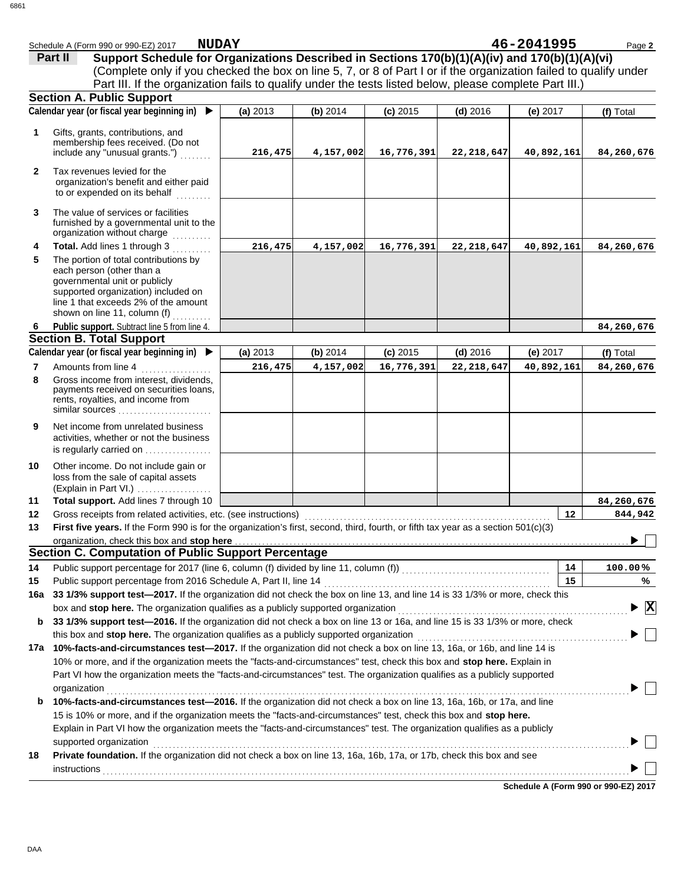|              | <b>NUDAY</b><br>Schedule A (Form 990 or 990-EZ) 2017                                                                                                                                                                                                                                                                                                    |          |           |            |              | 46-2041995 | Page 2         |
|--------------|---------------------------------------------------------------------------------------------------------------------------------------------------------------------------------------------------------------------------------------------------------------------------------------------------------------------------------------------------------|----------|-----------|------------|--------------|------------|----------------|
|              | Support Schedule for Organizations Described in Sections 170(b)(1)(A)(iv) and 170(b)(1)(A)(vi)<br>Part II                                                                                                                                                                                                                                               |          |           |            |              |            |                |
|              | (Complete only if you checked the box on line 5, 7, or 8 of Part I or if the organization failed to qualify under                                                                                                                                                                                                                                       |          |           |            |              |            |                |
|              | Part III. If the organization fails to qualify under the tests listed below, please complete Part III.)                                                                                                                                                                                                                                                 |          |           |            |              |            |                |
|              | <b>Section A. Public Support</b>                                                                                                                                                                                                                                                                                                                        |          |           |            |              |            |                |
|              | Calendar year (or fiscal year beginning in) $\blacktriangleright$                                                                                                                                                                                                                                                                                       | (a) 2013 | (b) 2014  | $(c)$ 2015 | $(d)$ 2016   | (e) $2017$ | (f) Total      |
| 1            | Gifts, grants, contributions, and<br>membership fees received. (Do not<br>include any "unusual grants.")                                                                                                                                                                                                                                                | 216,475  | 4,157,002 | 16,776,391 | 22, 218, 647 | 40,892,161 | 84,260,676     |
| $\mathbf{2}$ | Tax revenues levied for the<br>organization's benefit and either paid<br>to or expended on its behalf $\ldots$                                                                                                                                                                                                                                          |          |           |            |              |            |                |
| 3            | The value of services or facilities<br>furnished by a governmental unit to the<br>organization without charge                                                                                                                                                                                                                                           |          |           |            |              |            |                |
| 4            | Total. Add lines 1 through 3<br>.                                                                                                                                                                                                                                                                                                                       | 216,475  | 4,157,002 | 16,776,391 | 22, 218, 647 | 40,892,161 | 84,260,676     |
| 5            | The portion of total contributions by<br>each person (other than a<br>governmental unit or publicly<br>supported organization) included on<br>line 1 that exceeds 2% of the amount<br>shown on line 11, column (f) $\ldots$                                                                                                                             |          |           |            |              |            |                |
| 6.           | Public support. Subtract line 5 from line 4.                                                                                                                                                                                                                                                                                                            |          |           |            |              |            | 84,260,676     |
|              | <b>Section B. Total Support</b>                                                                                                                                                                                                                                                                                                                         |          |           |            |              |            |                |
|              | Calendar year (or fiscal year beginning in)                                                                                                                                                                                                                                                                                                             | (a) 2013 | (b) 2014  | $(c)$ 2015 | $(d)$ 2016   | (e) 2017   | (f) Total      |
| 7            | Amounts from line 4                                                                                                                                                                                                                                                                                                                                     | 216,475  | 4,157,002 | 16,776,391 | 22, 218, 647 | 40,892,161 | 84,260,676     |
| 8            | Gross income from interest, dividends,<br>payments received on securities loans,<br>rents, royalties, and income from<br>similar sources                                                                                                                                                                                                                |          |           |            |              |            |                |
| 9            | Net income from unrelated business<br>activities, whether or not the business<br>is regularly carried on                                                                                                                                                                                                                                                |          |           |            |              |            |                |
| 10           | Other income. Do not include gain or<br>loss from the sale of capital assets<br>(Explain in Part VI.)                                                                                                                                                                                                                                                   |          |           |            |              |            |                |
| 11           | Total support. Add lines 7 through 10                                                                                                                                                                                                                                                                                                                   |          |           |            |              |            | 84,260,676     |
| 12           | Gross receipts from related activities, etc. (see instructions)                                                                                                                                                                                                                                                                                         |          |           |            |              | 12         | 844,942        |
| 13           | First five years. If the Form 990 is for the organization's first, second, third, fourth, or fifth tax year as a section 501(c)(3)                                                                                                                                                                                                                      |          |           |            |              |            | $\Box$         |
|              | organization, check this box and stop here entity and the control of the control of the control of the control of the control of the control of the control of the control of the control of the control of the control of the                                                                                                                          |          |           |            |              |            |                |
|              | <b>Section C. Computation of Public Support Percentage</b>                                                                                                                                                                                                                                                                                              |          |           |            |              |            |                |
| 14           |                                                                                                                                                                                                                                                                                                                                                         |          |           |            |              | 14         | 100.00%        |
| 15           | Public support percentage from 2016 Schedule A, Part II, line 14 [2010] Content content content of the content of<br>33 1/3% support test-2017. If the organization did not check the box on line 13, and line 14 is 33 1/3% or more, check this                                                                                                        |          |           |            |              | 15         | %              |
| 16a          |                                                                                                                                                                                                                                                                                                                                                         |          |           |            |              |            | $ \mathbf{X} $ |
| b            | 33 1/3% support test-2016. If the organization did not check a box on line 13 or 16a, and line 15 is 33 1/3% or more, check                                                                                                                                                                                                                             |          |           |            |              |            |                |
|              | this box and stop here. The organization qualifies as a publicly supported organization                                                                                                                                                                                                                                                                 |          |           |            |              |            |                |
|              | 17a 10%-facts-and-circumstances test-2017. If the organization did not check a box on line 13, 16a, or 16b, and line 14 is                                                                                                                                                                                                                              |          |           |            |              |            |                |
|              | 10% or more, and if the organization meets the "facts-and-circumstances" test, check this box and stop here. Explain in                                                                                                                                                                                                                                 |          |           |            |              |            |                |
|              | Part VI how the organization meets the "facts-and-circumstances" test. The organization qualifies as a publicly supported                                                                                                                                                                                                                               |          |           |            |              |            |                |
|              |                                                                                                                                                                                                                                                                                                                                                         |          |           |            |              |            |                |
| b            | organization with the contract of the contract of the contract of the contract of the contract of the contract of the contract of the contract of the contract of the contract of the contract of the contract of the contract<br>10%-facts-and-circumstances test-2016. If the organization did not check a box on line 13, 16a, 16b, or 17a, and line |          |           |            |              |            |                |
|              | 15 is 10% or more, and if the organization meets the "facts-and-circumstances" test, check this box and stop here.                                                                                                                                                                                                                                      |          |           |            |              |            |                |
|              | Explain in Part VI how the organization meets the "facts-and-circumstances" test. The organization qualifies as a publicly                                                                                                                                                                                                                              |          |           |            |              |            |                |
|              |                                                                                                                                                                                                                                                                                                                                                         |          |           |            |              |            |                |
| 18           | Private foundation. If the organization did not check a box on line 13, 16a, 16b, 17a, or 17b, check this box and see                                                                                                                                                                                                                                   |          |           |            |              |            |                |
|              |                                                                                                                                                                                                                                                                                                                                                         |          |           |            |              |            |                |

**Schedule A (Form 990 or 990-EZ) 2017**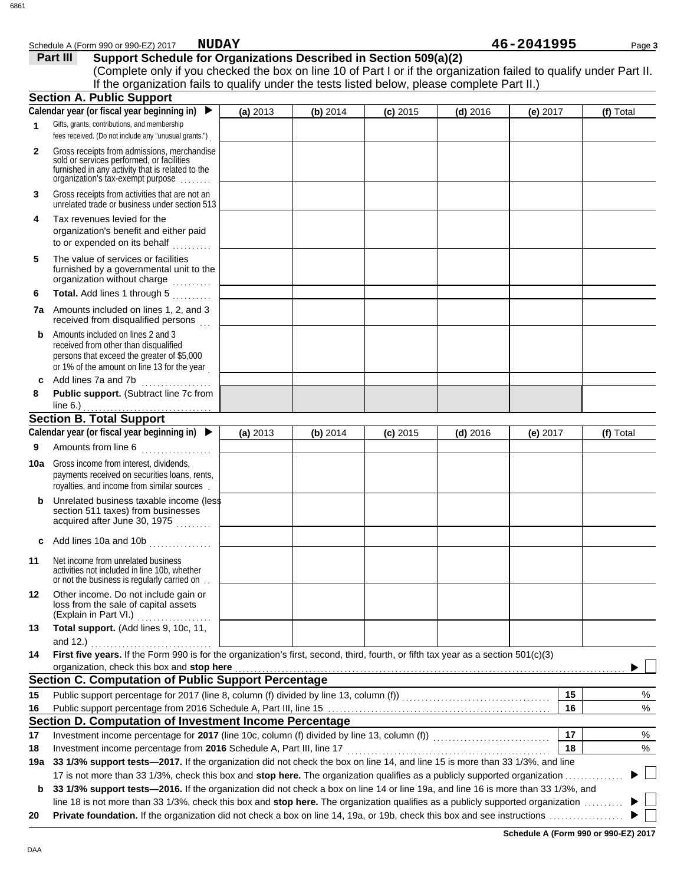|              | <b>NUDAY</b><br>Schedule A (Form 990 or 990-EZ) 2017                                                                                                                                                                                                            |          |          |            |            | 46-2041995 | Page 3    |
|--------------|-----------------------------------------------------------------------------------------------------------------------------------------------------------------------------------------------------------------------------------------------------------------|----------|----------|------------|------------|------------|-----------|
|              | Support Schedule for Organizations Described in Section 509(a)(2)<br>Part III                                                                                                                                                                                   |          |          |            |            |            |           |
|              | (Complete only if you checked the box on line 10 of Part I or if the organization failed to qualify under Part II.                                                                                                                                              |          |          |            |            |            |           |
|              | If the organization fails to qualify under the tests listed below, please complete Part II.)                                                                                                                                                                    |          |          |            |            |            |           |
|              | <b>Section A. Public Support</b>                                                                                                                                                                                                                                |          |          |            |            |            |           |
|              | Calendar year (or fiscal year beginning in) $\blacktriangleright$                                                                                                                                                                                               | (a) 2013 | (b) 2014 | $(c)$ 2015 | $(d)$ 2016 | (e) 2017   | (f) Total |
| $\mathbf{1}$ | Gifts, grants, contributions, and membership<br>fees received. (Do not include any "unusual grants.")                                                                                                                                                           |          |          |            |            |            |           |
| $\mathbf{2}$ | Gross receipts from admissions, merchandise<br>sold or services performed, or facilities<br>furnished in any activity that is related to the<br>organization's tax-exempt purpose                                                                               |          |          |            |            |            |           |
| 3            | Gross receipts from activities that are not an<br>unrelated trade or business under section 513                                                                                                                                                                 |          |          |            |            |            |           |
| 4            | Tax revenues levied for the<br>organization's benefit and either paid<br>to or expended on its behalf                                                                                                                                                           |          |          |            |            |            |           |
| 5            | The value of services or facilities<br>furnished by a governmental unit to the<br>organization without charge                                                                                                                                                   |          |          |            |            |            |           |
| 6            | Total. Add lines 1 through 5                                                                                                                                                                                                                                    |          |          |            |            |            |           |
| 7a           | Amounts included on lines 1, 2, and 3<br>received from disqualified persons                                                                                                                                                                                     |          |          |            |            |            |           |
| b            | Amounts included on lines 2 and 3<br>received from other than disqualified<br>persons that exceed the greater of \$5,000<br>or 1% of the amount on line 13 for the year                                                                                         |          |          |            |            |            |           |
| c<br>8       | Add lines 7a and 7b<br>Public support. (Subtract line 7c from                                                                                                                                                                                                   |          |          |            |            |            |           |
|              | line 6.) $\ldots$                                                                                                                                                                                                                                               |          |          |            |            |            |           |
|              | <b>Section B. Total Support</b>                                                                                                                                                                                                                                 |          |          |            |            |            |           |
|              | Calendar year (or fiscal year beginning in) $\blacktriangleright$                                                                                                                                                                                               | (a) 2013 | (b) 2014 | $(c)$ 2015 | $(d)$ 2016 | (e) $2017$ | (f) Total |
| 9            | Amounts from line 6                                                                                                                                                                                                                                             |          |          |            |            |            |           |
|              |                                                                                                                                                                                                                                                                 |          |          |            |            |            |           |
| 10a          | Gross income from interest, dividends,<br>payments received on securities loans, rents,<br>royalties, and income from similar sources.                                                                                                                          |          |          |            |            |            |           |
| b            | Unrelated business taxable income (less<br>section 511 taxes) from businesses<br>acquired after June 30, 1975                                                                                                                                                   |          |          |            |            |            |           |
| C            |                                                                                                                                                                                                                                                                 |          |          |            |            |            |           |
| 11           | Net income from unrelated business<br>activities not included in line 10b, whether<br>or not the business is regularly carried on                                                                                                                               |          |          |            |            |            |           |
| 12           | Other income. Do not include gain or<br>loss from the sale of capital assets<br>(Explain in Part VI.)<br>.                                                                                                                                                      |          |          |            |            |            |           |
| 13           | Total support. (Add lines 9, 10c, 11,                                                                                                                                                                                                                           |          |          |            |            |            |           |
|              | and 12.)                                                                                                                                                                                                                                                        |          |          |            |            |            |           |
| 14           | First five years. If the Form 990 is for the organization's first, second, third, fourth, or fifth tax year as a section 501(c)(3)                                                                                                                              |          |          |            |            |            |           |
|              | organization, check this box and stop here <b>constant and all and all and all and all and all and all and all and a</b>                                                                                                                                        |          |          |            |            |            |           |
|              | <b>Section C. Computation of Public Support Percentage</b>                                                                                                                                                                                                      |          |          |            |            |            |           |
| 15           |                                                                                                                                                                                                                                                                 |          |          |            |            | 15         | %         |
| 16           |                                                                                                                                                                                                                                                                 |          |          |            |            | 16         | %         |
|              | Section D. Computation of Investment Income Percentage                                                                                                                                                                                                          |          |          |            |            |            |           |
| 17           | Investment income percentage for 2017 (line 10c, column (f) divided by line 13, column (f)) [[[[[[[[[[[[[[[[[                                                                                                                                                   |          |          |            |            | 17         | %         |
| 18           | Investment income percentage from 2016 Schedule A, Part III, line 17                                                                                                                                                                                            |          |          |            |            | 18         | %         |
| 19а          | 33 1/3% support tests—2017. If the organization did not check the box on line 14, and line 15 is more than 33 1/3%, and line                                                                                                                                    |          |          |            |            |            |           |
| b            | 17 is not more than 33 1/3%, check this box and stop here. The organization qualifies as a publicly supported organization<br>33 1/3% support tests—2016. If the organization did not check a box on line 14 or line 19a, and line 16 is more than 33 1/3%, and |          |          |            |            |            |           |
|              |                                                                                                                                                                                                                                                                 |          |          |            |            |            |           |
|              | line 18 is not more than 33 1/3%, check this box and stop here. The organization qualifies as a publicly supported organization                                                                                                                                 |          |          |            |            |            | ▶ ∐       |

**Schedule A (Form 990 or 990-EZ) 2017**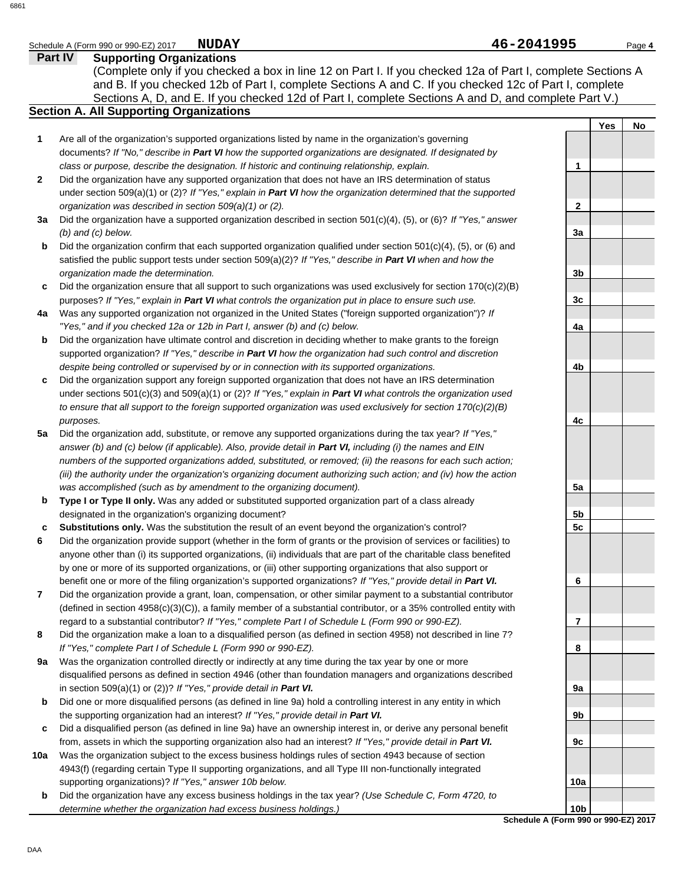## Schedule A (Form 990 or 990-EZ) 2017 **NUDAY All and Schedule A (Form 990 or 990-EZ) 2017 Page 4**

**Part IV Supporting Organizations** Sections A, D, and E. If you checked 12d of Part I, complete Sections A and D, and complete Part V.) (Complete only if you checked a box in line 12 on Part I. If you checked 12a of Part I, complete Sections A and B. If you checked 12b of Part I, complete Sections A and C. If you checked 12c of Part I, complete

## **Section A. All Supporting Organizations**

- Are all of the organization's supported organizations listed by name in the organization's governing documents? *If "No," describe in Part VI how the supported organizations are designated. If designated by class or purpose, describe the designation. If historic and continuing relationship, explain.* **1**
- Did the organization have any supported organization that does not have an IRS determination of status under section 509(a)(1) or (2)? *If "Yes," explain in Part VI how the organization determined that the supported organization was described in section 509(a)(1) or (2).* **2**
- **3a** Did the organization have a supported organization described in section 501(c)(4), (5), or (6)? *If "Yes," answer (b) and (c) below.*
- **b** Did the organization confirm that each supported organization qualified under section 501(c)(4), (5), or (6) and satisfied the public support tests under section 509(a)(2)? *If "Yes," describe in Part VI when and how the organization made the determination.*
- **c** Did the organization ensure that all support to such organizations was used exclusively for section  $170(c)(2)(B)$ purposes? *If "Yes," explain in Part VI what controls the organization put in place to ensure such use.*
- **4a** Was any supported organization not organized in the United States ("foreign supported organization")? *If "Yes," and if you checked 12a or 12b in Part I, answer (b) and (c) below.*
- **b** Did the organization have ultimate control and discretion in deciding whether to make grants to the foreign supported organization? *If "Yes," describe in Part VI how the organization had such control and discretion despite being controlled or supervised by or in connection with its supported organizations.*
- **c** Did the organization support any foreign supported organization that does not have an IRS determination under sections 501(c)(3) and 509(a)(1) or (2)? *If "Yes," explain in Part VI what controls the organization used to ensure that all support to the foreign supported organization was used exclusively for section 170(c)(2)(B) purposes.*
- **5a** Did the organization add, substitute, or remove any supported organizations during the tax year? *If "Yes," answer (b) and (c) below (if applicable). Also, provide detail in Part VI, including (i) the names and EIN numbers of the supported organizations added, substituted, or removed; (ii) the reasons for each such action; (iii) the authority under the organization's organizing document authorizing such action; and (iv) how the action was accomplished (such as by amendment to the organizing document).*
- **b Type I or Type II only.** Was any added or substituted supported organization part of a class already designated in the organization's organizing document?
- **c Substitutions only.** Was the substitution the result of an event beyond the organization's control?
- **6** Did the organization provide support (whether in the form of grants or the provision of services or facilities) to anyone other than (i) its supported organizations, (ii) individuals that are part of the charitable class benefited by one or more of its supported organizations, or (iii) other supporting organizations that also support or benefit one or more of the filing organization's supported organizations? *If "Yes," provide detail in Part VI.*
- **7** Did the organization provide a grant, loan, compensation, or other similar payment to a substantial contributor (defined in section 4958(c)(3)(C)), a family member of a substantial contributor, or a 35% controlled entity with regard to a substantial contributor? *If "Yes," complete Part I of Schedule L (Form 990 or 990-EZ).*
- **8** Did the organization make a loan to a disqualified person (as defined in section 4958) not described in line 7? *If "Yes," complete Part I of Schedule L (Form 990 or 990-EZ).*
- **9a** Was the organization controlled directly or indirectly at any time during the tax year by one or more disqualified persons as defined in section 4946 (other than foundation managers and organizations described in section 509(a)(1) or (2))? *If "Yes," provide detail in Part VI.*
- **b** Did one or more disqualified persons (as defined in line 9a) hold a controlling interest in any entity in which the supporting organization had an interest? *If "Yes," provide detail in Part VI.*
- **c** Did a disqualified person (as defined in line 9a) have an ownership interest in, or derive any personal benefit from, assets in which the supporting organization also had an interest? *If "Yes," provide detail in Part VI.*
- **10a** Was the organization subject to the excess business holdings rules of section 4943 because of section 4943(f) (regarding certain Type II supporting organizations, and all Type III non-functionally integrated supporting organizations)? *If "Yes," answer 10b below.*
- **b** Did the organization have any excess business holdings in the tax year? *(Use Schedule C, Form 4720, to determine whether the organization had excess business holdings.)*

**Yes No 1 2 3a 3b 3c 4a 4b 4c 5a 5b 5c 6 7 8 9a 9b 9c 10a 10b**

**NUDAY 46-2041995**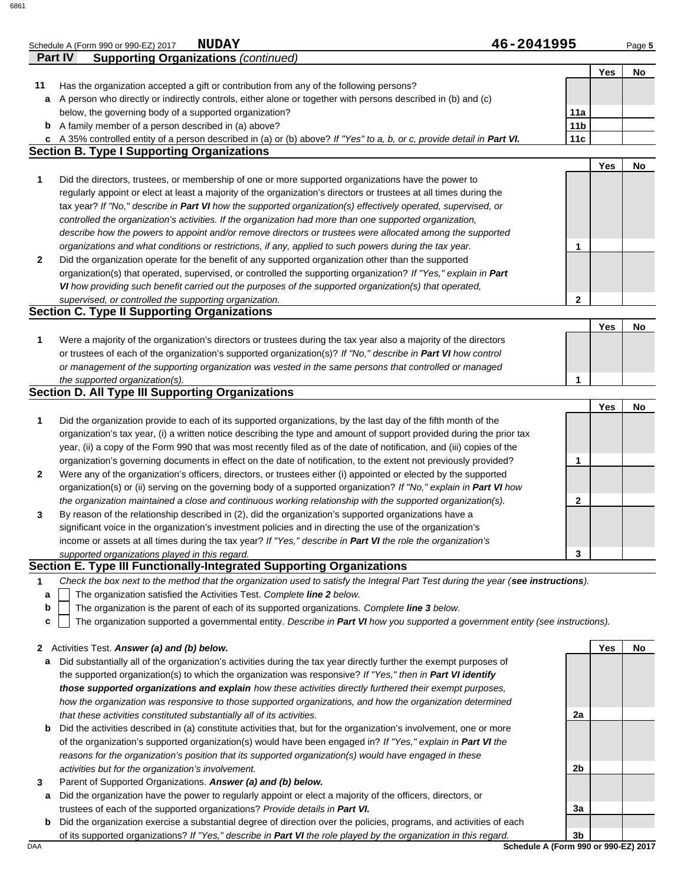|    | <b>NUDAY</b><br>Schedule A (Form 990 or 990-EZ) 2017                                                                   | 46-2041995      |            | Page 5 |
|----|------------------------------------------------------------------------------------------------------------------------|-----------------|------------|--------|
|    | <b>Supporting Organizations (continued)</b><br>Part IV                                                                 |                 |            |        |
|    |                                                                                                                        |                 | Yes        | No     |
| 11 | Has the organization accepted a gift or contribution from any of the following persons?                                |                 |            |        |
| а  | A person who directly or indirectly controls, either alone or together with persons described in (b) and (c)           |                 |            |        |
|    | below, the governing body of a supported organization?                                                                 | 11a             |            |        |
|    | <b>b</b> A family member of a person described in (a) above?                                                           | 11 <sub>b</sub> |            |        |
| c  | A 35% controlled entity of a person described in (a) or (b) above? If "Yes" to a, b, or c, provide detail in Part VI.  | 11c             |            |        |
|    | <b>Section B. Type I Supporting Organizations</b>                                                                      |                 |            |        |
|    |                                                                                                                        |                 | <b>Yes</b> | No     |
| 1  | Did the directors, trustees, or membership of one or more supported organizations have the power to                    |                 |            |        |
|    | regularly appoint or elect at least a majority of the organization's directors or trustees at all times during the     |                 |            |        |
|    | tax year? If "No," describe in Part VI how the supported organization(s) effectively operated, supervised, or          |                 |            |        |
|    | controlled the organization's activities. If the organization had more than one supported organization,                |                 |            |        |
|    | describe how the powers to appoint and/or remove directors or trustees were allocated among the supported              |                 |            |        |
|    |                                                                                                                        |                 |            |        |
|    | organizations and what conditions or restrictions, if any, applied to such powers during the tax year.                 | 1               |            |        |
| 2  | Did the organization operate for the benefit of any supported organization other than the supported                    |                 |            |        |
|    | organization(s) that operated, supervised, or controlled the supporting organization? If "Yes," explain in Part        |                 |            |        |
|    | VI how providing such benefit carried out the purposes of the supported organization(s) that operated,                 |                 |            |        |
|    | supervised, or controlled the supporting organization.                                                                 | $\mathbf{2}$    |            |        |
|    | <b>Section C. Type II Supporting Organizations</b>                                                                     |                 |            |        |
|    |                                                                                                                        |                 | Yes        | No     |
| 1  | Were a majority of the organization's directors or trustees during the tax year also a majority of the directors       |                 |            |        |
|    | or trustees of each of the organization's supported organization(s)? If "No," describe in Part VI how control          |                 |            |        |
|    | or management of the supporting organization was vested in the same persons that controlled or managed                 |                 |            |        |
|    | the supported organization(s).                                                                                         | 1               |            |        |
|    | <b>Section D. All Type III Supporting Organizations</b>                                                                |                 |            |        |
|    |                                                                                                                        |                 | Yes        | No     |
| 1  | Did the organization provide to each of its supported organizations, by the last day of the fifth month of the         |                 |            |        |
|    | organization's tax year, (i) a written notice describing the type and amount of support provided during the prior tax  |                 |            |        |
|    | year, (ii) a copy of the Form 990 that was most recently filed as of the date of notification, and (iii) copies of the |                 |            |        |
|    | organization's governing documents in effect on the date of notification, to the extent not previously provided?       | 1               |            |        |
| 2  | Were any of the organization's officers, directors, or trustees either (i) appointed or elected by the supported       |                 |            |        |
|    | organization(s) or (ii) serving on the governing body of a supported organization? If "No," explain in Part VI how     |                 |            |        |
|    | the organization maintained a close and continuous working relationship with the supported organization(s).            | 2               |            |        |
|    | Du regenen of the relationship dependent in $(0)$ did the experimetral superinted experimetra house                    |                 |            |        |

| By reason of the relationship described in (2), did the organization's supported organizations have a               |
|---------------------------------------------------------------------------------------------------------------------|
| significant voice in the organization's investment policies and in directing the use of the organization's          |
| income or assets at all times during the tax year? If "Yes," describe in <b>Part VI</b> the role the organization's |
| supported organizations played in this regard.                                                                      |
|                                                                                                                     |

### **Section E. Type III Functionally-Integrated Supporting Organizations**

**1** *Check the box next to the method that the organization used to satisfy the Integral Part Test during the year (see instructions).*

- The organization satisfied the Activities Test. *Complete line 2 below.* **a**
- The organization is the parent of each of its supported organizations. *Complete line 3 below.* **b**
- The organization supported a governmental entity. *Describe in Part VI how you supported a government entity (see instructions).* **c**

|  | 2 Activities Test. Answer (a) and (b) below. |  |  |  |  |  |  |
|--|----------------------------------------------|--|--|--|--|--|--|
|--|----------------------------------------------|--|--|--|--|--|--|

- **a** Did substantially all of the organization's activities during the tax year directly further the exempt purposes of the supported organization(s) to which the organization was responsive? *If "Yes," then in Part VI identify those supported organizations and explain how these activities directly furthered their exempt purposes, how the organization was responsive to those supported organizations, and how the organization determined that these activities constituted substantially all of its activities.*
- **b** Did the activities described in (a) constitute activities that, but for the organization's involvement, one or more of the organization's supported organization(s) would have been engaged in? *If "Yes," explain in Part VI the reasons for the organization's position that its supported organization(s) would have engaged in these activities but for the organization's involvement.*
- **3** Parent of Supported Organizations. *Answer (a) and (b) below.*
- **a** Did the organization have the power to regularly appoint or elect a majority of the officers, directors, or trustees of each of the supported organizations? *Provide details in Part VI.*
- DAA **Schedule A (Form 990 or 990-EZ) 2017 b** Did the organization exercise a substantial degree of direction over the policies, programs, and activities of each of its supported organizations? *If "Yes," describe in Part VI the role played by the organization in this regard.*

**3b**

**2a**

**2b**

**3a**

**3**

**Yes No**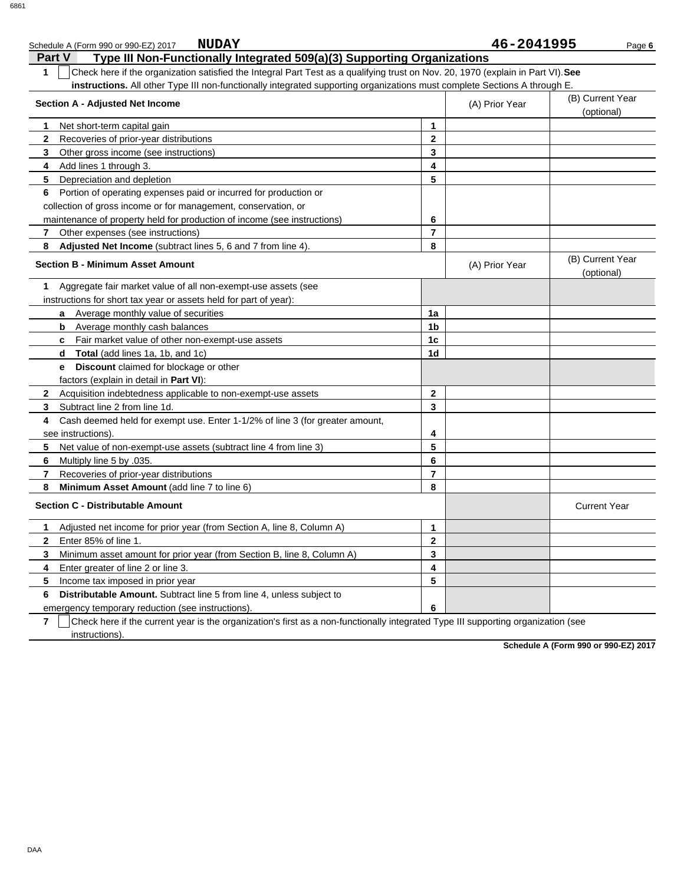| <b>NUDAY</b><br>Schedule A (Form 990 or 990-EZ) 2017                                                                                  |                         | 46-2041995     | Page 6                         |
|---------------------------------------------------------------------------------------------------------------------------------------|-------------------------|----------------|--------------------------------|
| Type III Non-Functionally Integrated 509(a)(3) Supporting Organizations<br><b>Part V</b>                                              |                         |                |                                |
| Check here if the organization satisfied the Integral Part Test as a qualifying trust on Nov. 20, 1970 (explain in Part VI). See<br>1 |                         |                |                                |
| instructions. All other Type III non-functionally integrated supporting organizations must complete Sections A through E.             |                         |                |                                |
| <b>Section A - Adjusted Net Income</b>                                                                                                |                         | (A) Prior Year | (B) Current Year<br>(optional) |
| Net short-term capital gain<br>1                                                                                                      | 1                       |                |                                |
| $\mathbf{2}$<br>Recoveries of prior-year distributions                                                                                | $\mathbf{2}$            |                |                                |
| 3<br>Other gross income (see instructions)                                                                                            | 3                       |                |                                |
| 4<br>Add lines 1 through 3.                                                                                                           | 4                       |                |                                |
| 5<br>Depreciation and depletion                                                                                                       | 5                       |                |                                |
| Portion of operating expenses paid or incurred for production or<br>6                                                                 |                         |                |                                |
| collection of gross income or for management, conservation, or                                                                        |                         |                |                                |
| maintenance of property held for production of income (see instructions)                                                              | 6                       |                |                                |
| Other expenses (see instructions)<br>7                                                                                                | $\overline{\mathbf{r}}$ |                |                                |
| 8<br>Adjusted Net Income (subtract lines 5, 6 and 7 from line 4).                                                                     | 8                       |                |                                |
| <b>Section B - Minimum Asset Amount</b>                                                                                               |                         | (A) Prior Year | (B) Current Year<br>(optional) |
| Aggregate fair market value of all non-exempt-use assets (see<br>1                                                                    |                         |                |                                |
| instructions for short tax year or assets held for part of year):                                                                     |                         |                |                                |
| a Average monthly value of securities                                                                                                 | 1a                      |                |                                |
| <b>b</b> Average monthly cash balances                                                                                                | 1b                      |                |                                |
| Fair market value of other non-exempt-use assets<br>C                                                                                 | 1 <sub>c</sub>          |                |                                |
| <b>d</b> Total (add lines 1a, 1b, and 1c)                                                                                             | 1 <sub>d</sub>          |                |                                |
| <b>Discount</b> claimed for blockage or other<br>e.                                                                                   |                         |                |                                |
| factors (explain in detail in Part VI):                                                                                               |                         |                |                                |
| $\mathbf{2}$<br>Acquisition indebtedness applicable to non-exempt-use assets                                                          | 2                       |                |                                |
| 3<br>Subtract line 2 from line 1d.                                                                                                    | 3                       |                |                                |
| Cash deemed held for exempt use. Enter 1-1/2% of line 3 (for greater amount,<br>4                                                     |                         |                |                                |
| see instructions).                                                                                                                    | 4                       |                |                                |
| 5<br>Net value of non-exempt-use assets (subtract line 4 from line 3)                                                                 | 5                       |                |                                |
| 6<br>Multiply line 5 by .035.                                                                                                         | 6                       |                |                                |
| $\overline{7}$<br>Recoveries of prior-year distributions                                                                              | $\overline{7}$          |                |                                |
| 8<br>Minimum Asset Amount (add line 7 to line 6)                                                                                      | 8                       |                |                                |
| <b>Section C - Distributable Amount</b>                                                                                               |                         |                | <b>Current Year</b>            |
| Adjusted net income for prior year (from Section A, line 8, Column A)<br>1                                                            | 1                       |                |                                |
| $\mathbf{2}$<br>Enter 85% of line 1.                                                                                                  | $\mathbf{2}$            |                |                                |
| Minimum asset amount for prior year (from Section B, line 8, Column A)<br>3                                                           | 3                       |                |                                |
| 4<br>Enter greater of line 2 or line 3.                                                                                               | 4                       |                |                                |
| 5<br>Income tax imposed in prior year                                                                                                 | 5                       |                |                                |
| 6<br><b>Distributable Amount.</b> Subtract line 5 from line 4, unless subject to                                                      |                         |                |                                |
| emergency temporary reduction (see instructions).                                                                                     | 6                       |                |                                |

**7** instructions). Check here if the current year is the organization's first as a non-functionally integrated Type III supporting organization (see

**Schedule A (Form 990 or 990-EZ) 2017**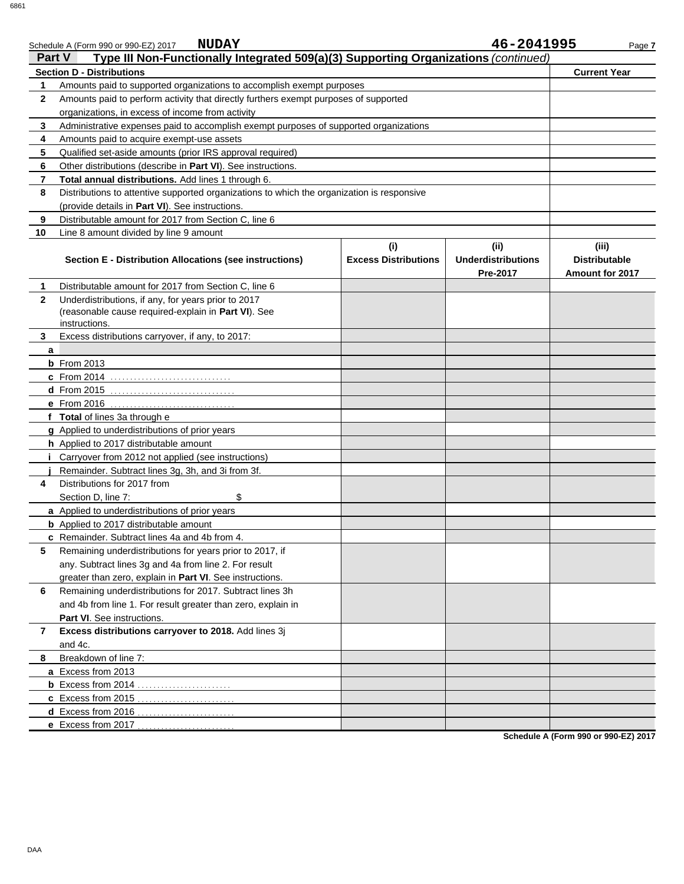|              | <b>NUDAY</b><br>Schedule A (Form 990 or 990-EZ) 2017                                                                        |                                    | 46-2041995                                    | Page 7                                                  |
|--------------|-----------------------------------------------------------------------------------------------------------------------------|------------------------------------|-----------------------------------------------|---------------------------------------------------------|
| Part V       | Type III Non-Functionally Integrated 509(a)(3) Supporting Organizations (continued)                                         |                                    |                                               |                                                         |
|              | <b>Section D - Distributions</b>                                                                                            |                                    |                                               | <b>Current Year</b>                                     |
| 1            | Amounts paid to supported organizations to accomplish exempt purposes                                                       |                                    |                                               |                                                         |
| $\mathbf{2}$ | Amounts paid to perform activity that directly furthers exempt purposes of supported                                        |                                    |                                               |                                                         |
|              | organizations, in excess of income from activity                                                                            |                                    |                                               |                                                         |
| 3            | Administrative expenses paid to accomplish exempt purposes of supported organizations                                       |                                    |                                               |                                                         |
| 4            | Amounts paid to acquire exempt-use assets                                                                                   |                                    |                                               |                                                         |
| 5            | Qualified set-aside amounts (prior IRS approval required)                                                                   |                                    |                                               |                                                         |
| 6            | Other distributions (describe in Part VI). See instructions.                                                                |                                    |                                               |                                                         |
| 7            | Total annual distributions. Add lines 1 through 6.                                                                          |                                    |                                               |                                                         |
| 8            | Distributions to attentive supported organizations to which the organization is responsive                                  |                                    |                                               |                                                         |
|              | (provide details in Part VI). See instructions.                                                                             |                                    |                                               |                                                         |
| 9            | Distributable amount for 2017 from Section C, line 6                                                                        |                                    |                                               |                                                         |
| 10           | Line 8 amount divided by line 9 amount                                                                                      |                                    |                                               |                                                         |
|              | <b>Section E - Distribution Allocations (see instructions)</b>                                                              | (i)<br><b>Excess Distributions</b> | (ii)<br><b>Underdistributions</b><br>Pre-2017 | (iii)<br><b>Distributable</b><br><b>Amount for 2017</b> |
| 1            | Distributable amount for 2017 from Section C, line 6                                                                        |                                    |                                               |                                                         |
| $\mathbf{2}$ | Underdistributions, if any, for years prior to 2017<br>(reasonable cause required-explain in Part VI). See<br>instructions. |                                    |                                               |                                                         |
| 3            | Excess distributions carryover, if any, to 2017:                                                                            |                                    |                                               |                                                         |
| a            |                                                                                                                             |                                    |                                               |                                                         |
|              | $b$ From 2013                                                                                                               |                                    |                                               |                                                         |
|              | <b>c</b> From 2014                                                                                                          |                                    |                                               |                                                         |
|              | $d$ From 2015                                                                                                               |                                    |                                               |                                                         |
|              | e From 2016                                                                                                                 |                                    |                                               |                                                         |
|              | f Total of lines 3a through e                                                                                               |                                    |                                               |                                                         |
|              | g Applied to underdistributions of prior years                                                                              |                                    |                                               |                                                         |
|              | <b>h</b> Applied to 2017 distributable amount                                                                               |                                    |                                               |                                                         |
|              | Carryover from 2012 not applied (see instructions)                                                                          |                                    |                                               |                                                         |
|              | Remainder. Subtract lines 3g, 3h, and 3i from 3f.                                                                           |                                    |                                               |                                                         |
| 4            | Distributions for 2017 from                                                                                                 |                                    |                                               |                                                         |
|              | \$<br>Section D, line 7:                                                                                                    |                                    |                                               |                                                         |
|              | a Applied to underdistributions of prior years                                                                              |                                    |                                               |                                                         |
|              | <b>b</b> Applied to 2017 distributable amount                                                                               |                                    |                                               |                                                         |
|              | c Remainder. Subtract lines 4a and 4b from 4.                                                                               |                                    |                                               |                                                         |
| 5            | Remaining underdistributions for years prior to 2017, if                                                                    |                                    |                                               |                                                         |
|              | any. Subtract lines 3g and 4a from line 2. For result                                                                       |                                    |                                               |                                                         |
|              | greater than zero, explain in Part VI. See instructions.                                                                    |                                    |                                               |                                                         |
| 6            | Remaining underdistributions for 2017. Subtract lines 3h                                                                    |                                    |                                               |                                                         |
|              | and 4b from line 1. For result greater than zero, explain in                                                                |                                    |                                               |                                                         |
|              | Part VI. See instructions.                                                                                                  |                                    |                                               |                                                         |
| 7            | Excess distributions carryover to 2018. Add lines 3j<br>and 4c.                                                             |                                    |                                               |                                                         |
| 8            | Breakdown of line 7:                                                                                                        |                                    |                                               |                                                         |
|              | a Excess from 2013                                                                                                          |                                    |                                               |                                                         |
|              | <b>b</b> Excess from 2014                                                                                                   |                                    |                                               |                                                         |
|              | c Excess from 2015                                                                                                          |                                    |                                               |                                                         |
|              | d Excess from 2016                                                                                                          |                                    |                                               |                                                         |
|              | e Excess from 2017                                                                                                          |                                    |                                               |                                                         |

**Schedule A (Form 990 or 990-EZ) 2017**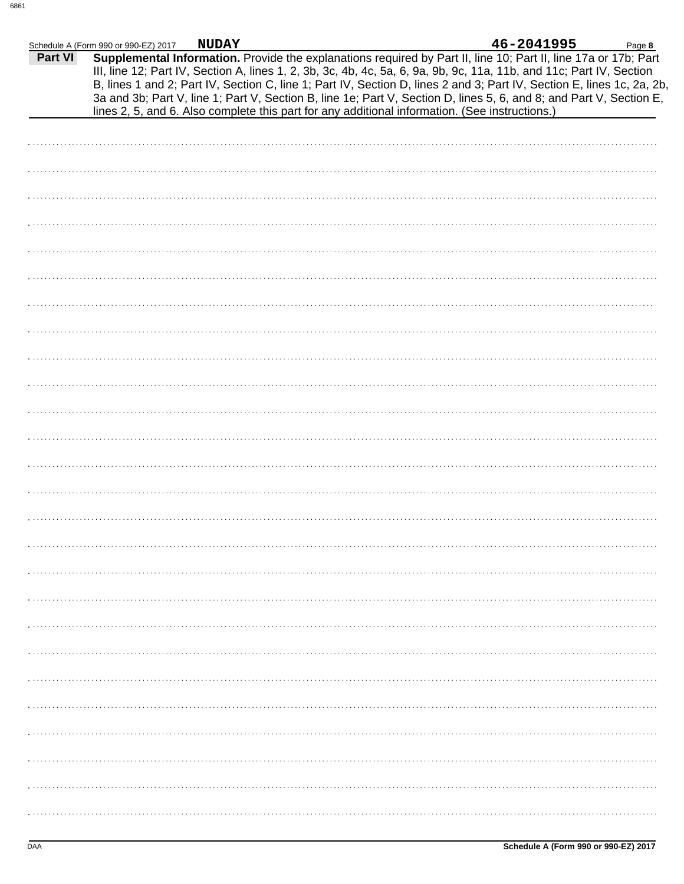|         | Schedule A (Form 990 or 990-EZ) 2017                                                           | <b>NUDAY</b> |  | 46-2041995 | Page 8                                                                                                                                                                                                                                                                                                                                                                                                                                                                                   |  |
|---------|------------------------------------------------------------------------------------------------|--------------|--|------------|------------------------------------------------------------------------------------------------------------------------------------------------------------------------------------------------------------------------------------------------------------------------------------------------------------------------------------------------------------------------------------------------------------------------------------------------------------------------------------------|--|
| Part VI | lines 2, 5, and 6. Also complete this part for any additional information. (See instructions.) |              |  |            | Supplemental Information. Provide the explanations required by Part II, line 10; Part II, line 17a or 17b; Part<br>III, line 12; Part IV, Section A, lines 1, 2, 3b, 3c, 4b, 4c, 5a, 6, 9a, 9b, 9c, 11a, 11b, and 11c; Part IV, Section<br>B, lines 1 and 2; Part IV, Section C, line 1; Part IV, Section D, lines 2 and 3; Part IV, Section E, lines 1c, 2a, 2b,<br>3a and 3b; Part V, line 1; Part V, Section B, line 1e; Part V, Section D, lines 5, 6, and 8; and Part V, Section E, |  |
|         |                                                                                                |              |  |            |                                                                                                                                                                                                                                                                                                                                                                                                                                                                                          |  |
|         |                                                                                                |              |  |            |                                                                                                                                                                                                                                                                                                                                                                                                                                                                                          |  |
|         |                                                                                                |              |  |            |                                                                                                                                                                                                                                                                                                                                                                                                                                                                                          |  |
|         |                                                                                                |              |  |            |                                                                                                                                                                                                                                                                                                                                                                                                                                                                                          |  |
|         |                                                                                                |              |  |            |                                                                                                                                                                                                                                                                                                                                                                                                                                                                                          |  |
|         |                                                                                                |              |  |            |                                                                                                                                                                                                                                                                                                                                                                                                                                                                                          |  |
|         |                                                                                                |              |  |            |                                                                                                                                                                                                                                                                                                                                                                                                                                                                                          |  |
|         |                                                                                                |              |  |            |                                                                                                                                                                                                                                                                                                                                                                                                                                                                                          |  |
|         |                                                                                                |              |  |            |                                                                                                                                                                                                                                                                                                                                                                                                                                                                                          |  |
|         |                                                                                                |              |  |            |                                                                                                                                                                                                                                                                                                                                                                                                                                                                                          |  |
|         |                                                                                                |              |  |            |                                                                                                                                                                                                                                                                                                                                                                                                                                                                                          |  |
|         |                                                                                                |              |  |            |                                                                                                                                                                                                                                                                                                                                                                                                                                                                                          |  |
|         |                                                                                                |              |  |            |                                                                                                                                                                                                                                                                                                                                                                                                                                                                                          |  |
|         |                                                                                                |              |  |            |                                                                                                                                                                                                                                                                                                                                                                                                                                                                                          |  |
|         |                                                                                                |              |  |            |                                                                                                                                                                                                                                                                                                                                                                                                                                                                                          |  |
|         |                                                                                                |              |  |            |                                                                                                                                                                                                                                                                                                                                                                                                                                                                                          |  |
|         |                                                                                                |              |  |            |                                                                                                                                                                                                                                                                                                                                                                                                                                                                                          |  |
|         |                                                                                                |              |  |            |                                                                                                                                                                                                                                                                                                                                                                                                                                                                                          |  |
|         |                                                                                                |              |  |            |                                                                                                                                                                                                                                                                                                                                                                                                                                                                                          |  |
|         |                                                                                                |              |  |            |                                                                                                                                                                                                                                                                                                                                                                                                                                                                                          |  |
|         |                                                                                                |              |  |            |                                                                                                                                                                                                                                                                                                                                                                                                                                                                                          |  |
|         |                                                                                                |              |  |            |                                                                                                                                                                                                                                                                                                                                                                                                                                                                                          |  |
|         |                                                                                                |              |  |            |                                                                                                                                                                                                                                                                                                                                                                                                                                                                                          |  |
|         |                                                                                                |              |  |            |                                                                                                                                                                                                                                                                                                                                                                                                                                                                                          |  |
|         |                                                                                                |              |  |            |                                                                                                                                                                                                                                                                                                                                                                                                                                                                                          |  |
|         |                                                                                                |              |  |            |                                                                                                                                                                                                                                                                                                                                                                                                                                                                                          |  |
|         |                                                                                                |              |  |            |                                                                                                                                                                                                                                                                                                                                                                                                                                                                                          |  |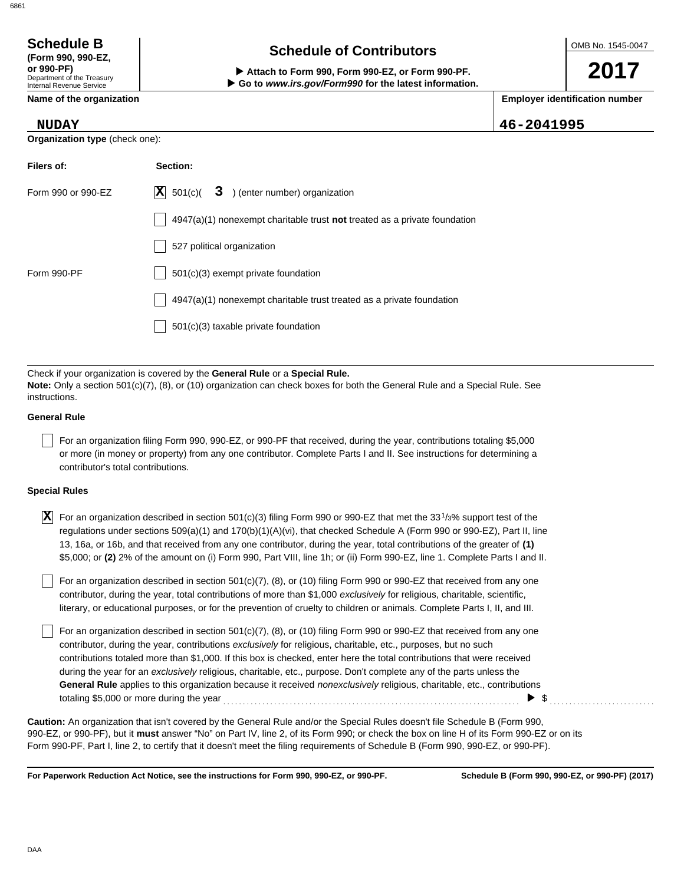Department of the Treasury Internal Revenue Service **(Form 990, 990-EZ,**

# **Schedule of Contributors Schedule B**

**or 990-PF) Attach to Form 990, Form 990-EZ, or Form 990-PF. Go to** *www.irs.gov/Form990* **for the latest information.** OMB No. 1545-0047

**2017**

**Employer identification number**

**NUDAY 46-2041995**

|  |  |  | Name of the organization |
|--|--|--|--------------------------|
|--|--|--|--------------------------|

**Organization type** (check one):

| Filers of:         | Section:                                                                           |
|--------------------|------------------------------------------------------------------------------------|
| Form 990 or 990-EZ | $ \mathbf{X} $ 501(c)(<br>3 ) (enter number) organization                          |
|                    | $4947(a)(1)$ nonexempt charitable trust <b>not</b> treated as a private foundation |
|                    | 527 political organization                                                         |
| Form 990-PF        | $501(c)(3)$ exempt private foundation                                              |
|                    | $4947(a)(1)$ nonexempt charitable trust treated as a private foundation            |
|                    | 501(c)(3) taxable private foundation                                               |

Check if your organization is covered by the **General Rule** or a **Special Rule. Note:** Only a section 501(c)(7), (8), or (10) organization can check boxes for both the General Rule and a Special Rule. See instructions.

### **General Rule**

For an organization filing Form 990, 990-EZ, or 990-PF that received, during the year, contributions totaling \$5,000 or more (in money or property) from any one contributor. Complete Parts I and II. See instructions for determining a contributor's total contributions.

### **Special Rules**

| $\overline{X}$ For an organization described in section 501(c)(3) filing Form 990 or 990-EZ that met the 331/3% support test of the |
|-------------------------------------------------------------------------------------------------------------------------------------|
| regulations under sections 509(a)(1) and 170(b)(1)(A)(vi), that checked Schedule A (Form 990 or 990-EZ), Part II, line              |
| 13, 16a, or 16b, and that received from any one contributor, during the year, total contributions of the greater of (1)             |
| \$5,000; or (2) 2% of the amount on (i) Form 990, Part VIII, line 1h; or (ii) Form 990-EZ, line 1. Complete Parts I and II.         |

literary, or educational purposes, or for the prevention of cruelty to children or animals. Complete Parts I, II, and III. For an organization described in section 501(c)(7), (8), or (10) filing Form 990 or 990-EZ that received from any one contributor, during the year, total contributions of more than \$1,000 *exclusively* for religious, charitable, scientific,

For an organization described in section 501(c)(7), (8), or (10) filing Form 990 or 990-EZ that received from any one contributor, during the year, contributions *exclusively* for religious, charitable, etc., purposes, but no such contributions totaled more than \$1,000. If this box is checked, enter here the total contributions that were received during the year for an *exclusively* religious, charitable, etc., purpose. Don't complete any of the parts unless the **General Rule** applies to this organization because it received *nonexclusively* religious, charitable, etc., contributions totaling \$5,000 or more during the year  $\ldots$   $\ldots$   $\ldots$   $\ldots$   $\ldots$   $\ldots$   $\ldots$   $\ldots$   $\ldots$   $\ldots$   $\ldots$ 

990-EZ, or 990-PF), but it **must** answer "No" on Part IV, line 2, of its Form 990; or check the box on line H of its Form 990-EZ or on its Form 990-PF, Part I, line 2, to certify that it doesn't meet the filing requirements of Schedule B (Form 990, 990-EZ, or 990-PF). **Caution:** An organization that isn't covered by the General Rule and/or the Special Rules doesn't file Schedule B (Form 990,

**For Paperwork Reduction Act Notice, see the instructions for Form 990, 990-EZ, or 990-PF.**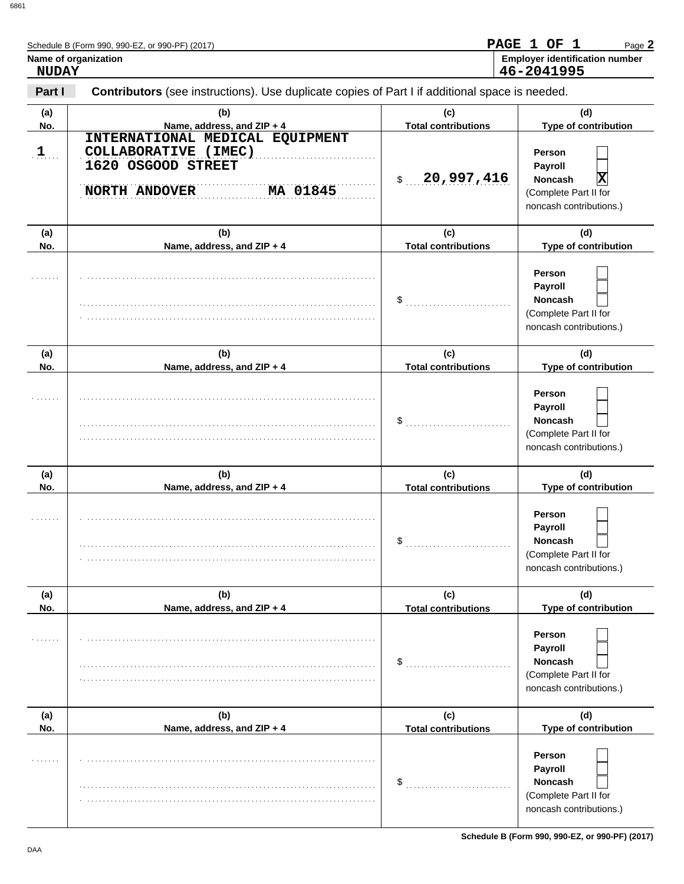|                                      | Schedule B (Form 990, 990-EZ, or 990-PF) (2017)                                                            |                                   | PAGE 1 OF 1<br>Page 2                                                                         |
|--------------------------------------|------------------------------------------------------------------------------------------------------------|-----------------------------------|-----------------------------------------------------------------------------------------------|
| Name of organization<br><b>NUDAY</b> |                                                                                                            |                                   | <b>Employer identification number</b><br>46-2041995                                           |
| Part I                               | Contributors (see instructions). Use duplicate copies of Part I if additional space is needed.             |                                   |                                                                                               |
| (a)<br>No.                           | (b)<br>Name, address, and ZIP + 4                                                                          | (c)<br><b>Total contributions</b> | (d)<br>Type of contribution                                                                   |
| 1                                    | INTERNATIONAL MEDICAL EQUIPMENT<br>COLLABORATIVE (IMEC)<br>1620 OSGOOD STREET<br>NORTH ANDOVER<br>MA 01845 | 20,997,416<br>\$                  | Person<br>Payroll<br> X<br><b>Noncash</b><br>(Complete Part II for<br>noncash contributions.) |
| (a)                                  | (b)                                                                                                        | (c)                               | (d)                                                                                           |
| No.                                  | Name, address, and ZIP + 4                                                                                 | <b>Total contributions</b>        | Type of contribution                                                                          |
|                                      |                                                                                                            | \$                                | Person<br>Payroll<br><b>Noncash</b><br>(Complete Part II for<br>noncash contributions.)       |
| (a)                                  | (b)                                                                                                        | (c)                               | (d)                                                                                           |
| No.                                  | Name, address, and ZIP + 4                                                                                 | <b>Total contributions</b>        | Type of contribution                                                                          |
|                                      |                                                                                                            | \$                                | Person<br>Payroll<br><b>Noncash</b><br>(Complete Part II for<br>noncash contributions.)       |
| (a)                                  | (b)                                                                                                        | (c)                               | (d)                                                                                           |
| No.                                  | Name, address, and ZIP + 4                                                                                 | <b>Total contributions</b>        | Type of contribution                                                                          |
|                                      |                                                                                                            | \$                                | Person<br>Payroll<br><b>Noncash</b><br>(Complete Part II for<br>noncash contributions.)       |
| (a)                                  | (b)                                                                                                        | (c)                               | (d)                                                                                           |
| No.                                  | Name, address, and ZIP + 4                                                                                 | <b>Total contributions</b>        | Type of contribution                                                                          |
| .                                    |                                                                                                            | \$                                | Person<br>Payroll<br><b>Noncash</b><br>(Complete Part II for<br>noncash contributions.)       |
| (a)                                  | (b)                                                                                                        | (c)                               | (d)                                                                                           |
| No.                                  | Name, address, and ZIP + 4                                                                                 | <b>Total contributions</b>        | Type of contribution                                                                          |
| .                                    |                                                                                                            | \$                                | Person<br>Payroll<br><b>Noncash</b><br>(Complete Part II for<br>noncash contributions.)       |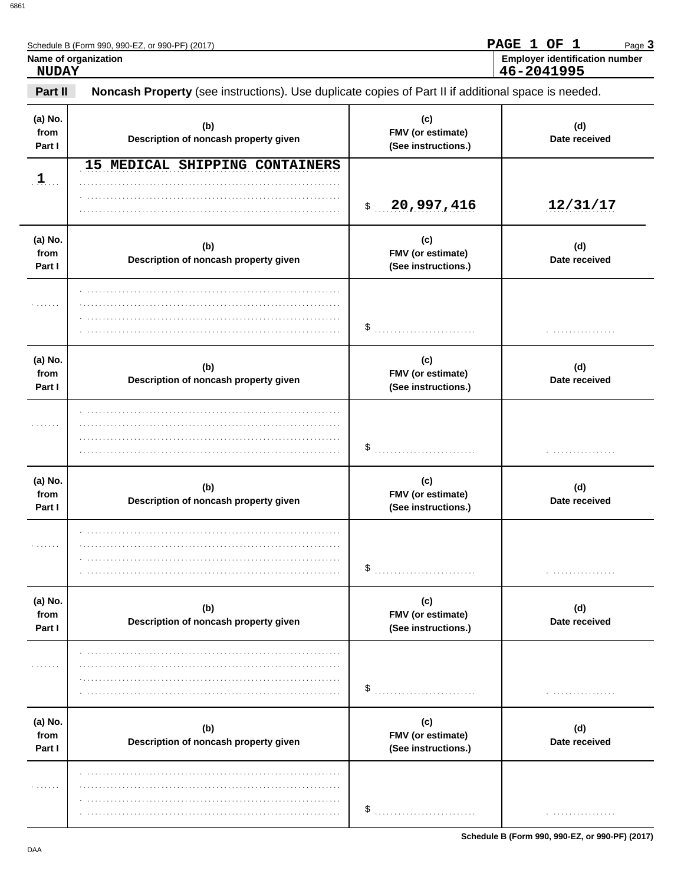| <b>NUDAY</b>              | Schedule B (Form 990, 990-EZ, or 990-PF) (2017)<br>Name of organization                             |                                                 | PAGE 1 OF 1<br>Page 3<br><b>Employer identification number</b><br>46-2041995 |
|---------------------------|-----------------------------------------------------------------------------------------------------|-------------------------------------------------|------------------------------------------------------------------------------|
| Part II                   | Noncash Property (see instructions). Use duplicate copies of Part II if additional space is needed. |                                                 |                                                                              |
| (a) No.<br>from<br>Part I | (b)<br>Description of noncash property given                                                        | (c)<br>FMV (or estimate)<br>(See instructions.) | (d)<br>Date received                                                         |
| $\frac{1}{2}$             | 15 MEDICAL SHIPPING CONTAINERS                                                                      | 20,997,416<br>$\mathbb{S}$                      | 12/31/17                                                                     |
| (a) No.<br>from<br>Part I | (b)<br>Description of noncash property given                                                        | (c)<br>FMV (or estimate)<br>(See instructions.) | (d)<br>Date received                                                         |
|                           |                                                                                                     | \$                                              |                                                                              |
| (a) No.<br>from<br>Part I | (b)<br>Description of noncash property given                                                        | (c)<br>FMV (or estimate)<br>(See instructions.) | (d)<br>Date received                                                         |
| .                         |                                                                                                     | \$                                              |                                                                              |
| (a) No.<br>from<br>Part I | (b)<br>Description of noncash property given                                                        | (c)<br>FMV (or estimate)<br>(See instructions.) | (d)<br>Date received                                                         |
| .                         |                                                                                                     | \$                                              |                                                                              |
| (a) No.<br>from<br>Part I | (b)<br>Description of noncash property given                                                        | (c)<br>FMV (or estimate)<br>(See instructions.) | (d)<br>Date received                                                         |
| .                         |                                                                                                     | \$                                              | .                                                                            |
| (a) No.<br>from<br>Part I | (b)<br>Description of noncash property given                                                        | (c)<br>FMV (or estimate)<br>(See instructions.) | (d)<br>Date received                                                         |
| .                         |                                                                                                     | \$                                              | .                                                                            |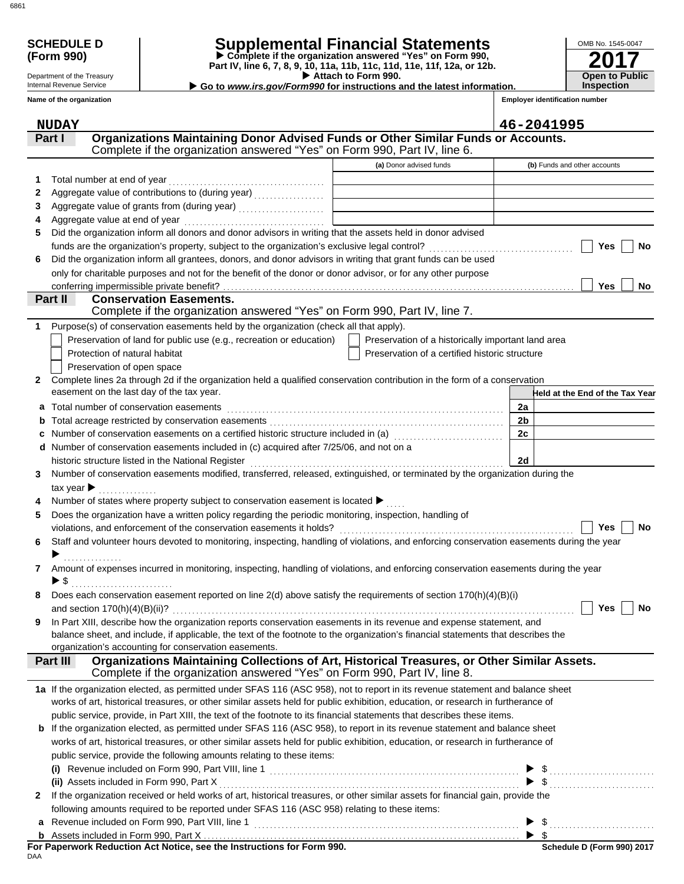Department of the Treasury Internal Revenue Service **Name of the organization**

# **SCHEDULE D Supplemental Financial Statements**

 **Attach to Form 990. (Form 990) Part IV, line 6, 7, 8, 9, 10, 11a, 11b, 11c, 11d, 11e, 11f, 12a, or 12b. Complete if the organization answered "Yes" on Form 990,**

 **Go to** *www.irs.gov/Form990* **for instructions and the latest information.**

**Open to Public Inspection**

**2017**

OMB No. 1545-0047

**Employer identification number**

|              | <b>NUDAY</b>                                                                                                                                                               |                                                    | 46-2041995                      |
|--------------|----------------------------------------------------------------------------------------------------------------------------------------------------------------------------|----------------------------------------------------|---------------------------------|
|              | Organizations Maintaining Donor Advised Funds or Other Similar Funds or Accounts.<br>Part I                                                                                |                                                    |                                 |
|              | Complete if the organization answered "Yes" on Form 990, Part IV, line 6.                                                                                                  |                                                    |                                 |
|              |                                                                                                                                                                            | (a) Donor advised funds                            | (b) Funds and other accounts    |
| 1            | Total number at end of year                                                                                                                                                |                                                    |                                 |
| 2            | Aggregate value of contributions to (during year)                                                                                                                          |                                                    |                                 |
| 3            |                                                                                                                                                                            |                                                    |                                 |
|              |                                                                                                                                                                            |                                                    |                                 |
| 4            | Did the organization inform all donors and donor advisors in writing that the assets held in donor advised                                                                 |                                                    |                                 |
| 5            |                                                                                                                                                                            |                                                    |                                 |
|              |                                                                                                                                                                            |                                                    | Yes<br><b>No</b>                |
| 6            | Did the organization inform all grantees, donors, and donor advisors in writing that grant funds can be used                                                               |                                                    |                                 |
|              | only for charitable purposes and not for the benefit of the donor or donor advisor, or for any other purpose                                                               |                                                    |                                 |
|              | conferring impermissible private benefit?<br>Part II<br><b>Conservation Easements.</b>                                                                                     |                                                    | Yes<br>No                       |
|              | Complete if the organization answered "Yes" on Form 990, Part IV, line 7.                                                                                                  |                                                    |                                 |
| 1            | Purpose(s) of conservation easements held by the organization (check all that apply).                                                                                      |                                                    |                                 |
|              | Preservation of land for public use (e.g., recreation or education)                                                                                                        |                                                    |                                 |
|              | Protection of natural habitat                                                                                                                                              | Preservation of a historically important land area |                                 |
|              | Preservation of open space                                                                                                                                                 | Preservation of a certified historic structure     |                                 |
|              |                                                                                                                                                                            |                                                    |                                 |
| 2            | Complete lines 2a through 2d if the organization held a qualified conservation contribution in the form of a conservation<br>easement on the last day of the tax year.     |                                                    |                                 |
|              |                                                                                                                                                                            |                                                    | Held at the End of the Tax Year |
| a            | Total number of conservation easements                                                                                                                                     |                                                    | 2a                              |
| b            |                                                                                                                                                                            |                                                    | 2b                              |
| c            | Number of conservation easements on a certified historic structure included in (a) [11] Number of conservation easements on a certified historic structure included in (a) |                                                    | 2c                              |
|              | d Number of conservation easements included in (c) acquired after 7/25/06, and not on a                                                                                    |                                                    |                                 |
|              | historic structure listed in the National Register                                                                                                                         |                                                    | 2d                              |
| 3            | Number of conservation easements modified, transferred, released, extinguished, or terminated by the organization during the                                               |                                                    |                                 |
|              | tax year $\blacktriangleright$                                                                                                                                             |                                                    |                                 |
| 4            | Number of states where property subject to conservation easement is located ▶                                                                                              |                                                    |                                 |
| 5            | Does the organization have a written policy regarding the periodic monitoring, inspection, handling of                                                                     |                                                    |                                 |
|              | violations, and enforcement of the conservation easements it holds?                                                                                                        |                                                    | Yes<br>No                       |
| 6            | Staff and volunteer hours devoted to monitoring, inspecting, handling of violations, and enforcing conservation easements during the year                                  |                                                    |                                 |
|              |                                                                                                                                                                            |                                                    |                                 |
| 7            | Amount of expenses incurred in monitoring, inspecting, handling of violations, and enforcing conservation easements during the year                                        |                                                    |                                 |
|              | ▶\$                                                                                                                                                                        |                                                    |                                 |
| 8            | Does each conservation easement reported on line 2(d) above satisfy the requirements of section 170(h)(4)(B)(i)                                                            |                                                    |                                 |
|              |                                                                                                                                                                            |                                                    | Yes<br>No                       |
| 9            | In Part XIII, describe how the organization reports conservation easements in its revenue and expense statement, and                                                       |                                                    |                                 |
|              | balance sheet, and include, if applicable, the text of the footnote to the organization's financial statements that describes the                                          |                                                    |                                 |
|              | organization's accounting for conservation easements.                                                                                                                      |                                                    |                                 |
|              | Organizations Maintaining Collections of Art, Historical Treasures, or Other Similar Assets.<br>Part III                                                                   |                                                    |                                 |
|              | Complete if the organization answered "Yes" on Form 990, Part IV, line 8.                                                                                                  |                                                    |                                 |
|              | 1a If the organization elected, as permitted under SFAS 116 (ASC 958), not to report in its revenue statement and balance sheet                                            |                                                    |                                 |
|              | works of art, historical treasures, or other similar assets held for public exhibition, education, or research in furtherance of                                           |                                                    |                                 |
|              | public service, provide, in Part XIII, the text of the footnote to its financial statements that describes these items.                                                    |                                                    |                                 |
|              | <b>b</b> If the organization elected, as permitted under SFAS 116 (ASC 958), to report in its revenue statement and balance sheet                                          |                                                    |                                 |
|              | works of art, historical treasures, or other similar assets held for public exhibition, education, or research in furtherance of                                           |                                                    |                                 |
|              | public service, provide the following amounts relating to these items:                                                                                                     |                                                    |                                 |
|              |                                                                                                                                                                            |                                                    |                                 |
|              | (ii) Assets included in Form 990, Part X                                                                                                                                   |                                                    |                                 |
| $\mathbf{2}$ | If the organization received or held works of art, historical treasures, or other similar assets for financial gain, provide the                                           |                                                    |                                 |
|              | following amounts required to be reported under SFAS 116 (ASC 958) relating to these items:                                                                                |                                                    |                                 |
|              | a Revenue included on Form 990, Part VIII, line 1                                                                                                                          |                                                    |                                 |
|              |                                                                                                                                                                            |                                                    | $\blacktriangleright$ s         |

**Schedule D (Form 990) 2017**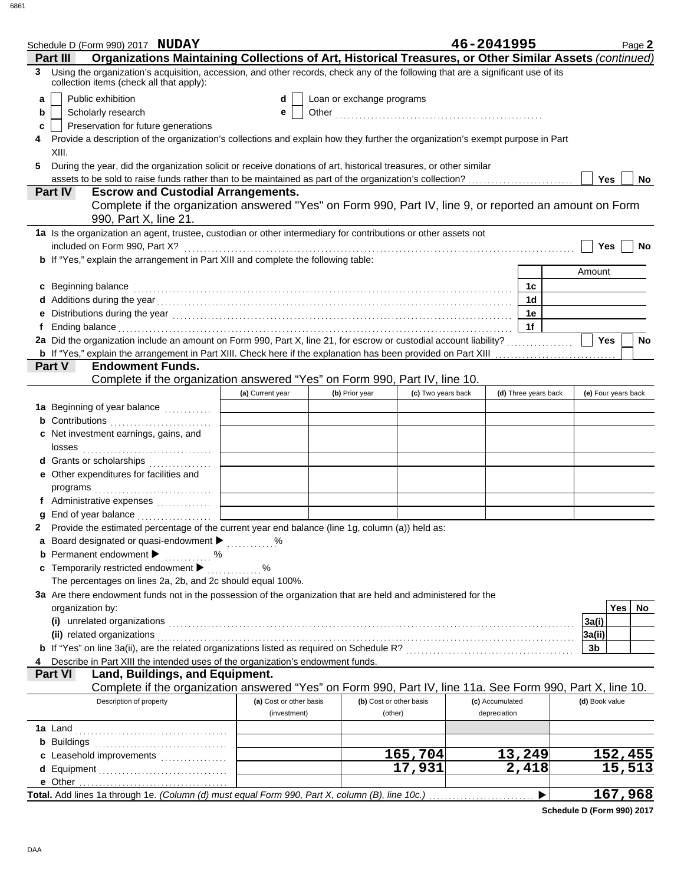|    | Schedule D (Form 990) 2017 NUDAY                                                                                                                                                                                                                                            |                         |                           |                         | 46-2041995      |                       |                | Page 2              |
|----|-----------------------------------------------------------------------------------------------------------------------------------------------------------------------------------------------------------------------------------------------------------------------------|-------------------------|---------------------------|-------------------------|-----------------|-----------------------|----------------|---------------------|
|    | Organizations Maintaining Collections of Art, Historical Treasures, or Other Similar Assets (continued)<br>Part III                                                                                                                                                         |                         |                           |                         |                 |                       |                |                     |
| 3. | Using the organization's acquisition, accession, and other records, check any of the following that are a significant use of its<br>collection items (check all that apply):                                                                                                |                         |                           |                         |                 |                       |                |                     |
| a  | Public exhibition                                                                                                                                                                                                                                                           | d                       | Loan or exchange programs |                         |                 |                       |                |                     |
| b  | Scholarly research                                                                                                                                                                                                                                                          | е                       |                           |                         |                 |                       |                |                     |
| c  | Preservation for future generations                                                                                                                                                                                                                                         |                         |                           |                         |                 |                       |                |                     |
| 4  | Provide a description of the organization's collections and explain how they further the organization's exempt purpose in Part                                                                                                                                              |                         |                           |                         |                 |                       |                |                     |
|    | XIII.                                                                                                                                                                                                                                                                       |                         |                           |                         |                 |                       |                |                     |
| 5  | During the year, did the organization solicit or receive donations of art, historical treasures, or other similar                                                                                                                                                           |                         |                           |                         |                 |                       |                |                     |
|    | assets to be sold to raise funds rather than to be maintained as part of the organization's collection?                                                                                                                                                                     |                         |                           |                         |                 |                       | <b>Yes</b>     | No                  |
|    | Part IV<br><b>Escrow and Custodial Arrangements.</b>                                                                                                                                                                                                                        |                         |                           |                         |                 |                       |                |                     |
|    | Complete if the organization answered "Yes" on Form 990, Part IV, line 9, or reported an amount on Form                                                                                                                                                                     |                         |                           |                         |                 |                       |                |                     |
|    | 990, Part X, line 21.                                                                                                                                                                                                                                                       |                         |                           |                         |                 |                       |                |                     |
|    | 1a Is the organization an agent, trustee, custodian or other intermediary for contributions or other assets not                                                                                                                                                             |                         |                           |                         |                 |                       |                |                     |
|    | included on Form 990, Part X?                                                                                                                                                                                                                                               |                         |                           |                         |                 |                       | <b>Yes</b>     | No                  |
|    | <b>b</b> If "Yes," explain the arrangement in Part XIII and complete the following table:                                                                                                                                                                                   |                         |                           |                         |                 |                       |                |                     |
|    |                                                                                                                                                                                                                                                                             |                         |                           |                         |                 |                       | Amount         |                     |
|    | c Beginning balance                                                                                                                                                                                                                                                         |                         |                           |                         |                 | 1 <sub>c</sub>        |                |                     |
|    |                                                                                                                                                                                                                                                                             |                         |                           |                         |                 | 1d                    |                |                     |
|    |                                                                                                                                                                                                                                                                             |                         |                           |                         |                 | 1e                    |                |                     |
|    |                                                                                                                                                                                                                                                                             |                         |                           |                         |                 | 1f                    |                |                     |
|    | 2a Did the organization include an amount on Form 990, Part X, line 21, for escrow or custodial account liability?                                                                                                                                                          |                         |                           |                         |                 |                       | Yes            | No                  |
|    |                                                                                                                                                                                                                                                                             |                         |                           |                         |                 |                       |                |                     |
|    | Part V<br><b>Endowment Funds.</b>                                                                                                                                                                                                                                           |                         |                           |                         |                 |                       |                |                     |
|    | Complete if the organization answered "Yes" on Form 990, Part IV, line 10.                                                                                                                                                                                                  |                         |                           |                         |                 |                       |                |                     |
|    |                                                                                                                                                                                                                                                                             | (a) Current year        | (b) Prior year            | (c) Two years back      |                 | (d) Three years back  |                | (e) Four years back |
|    | 1a Beginning of year balance <i>manumers</i>                                                                                                                                                                                                                                |                         |                           |                         |                 |                       |                |                     |
|    | <b>b</b> Contributions                                                                                                                                                                                                                                                      |                         |                           |                         |                 |                       |                |                     |
|    | c Net investment earnings, gains, and                                                                                                                                                                                                                                       |                         |                           |                         |                 |                       |                |                     |
|    | losses                                                                                                                                                                                                                                                                      |                         |                           |                         |                 |                       |                |                     |
|    | d Grants or scholarships                                                                                                                                                                                                                                                    |                         |                           |                         |                 |                       |                |                     |
|    | an an de la calendaria de la calendaria de la calendaria de la calendaria de la calendaria de la calendaria de<br>Desde la calendaria de la calendaria de la calendaria de la calendaria de la calendaria de la calendaria de la<br>e Other expenditures for facilities and |                         |                           |                         |                 |                       |                |                     |
|    |                                                                                                                                                                                                                                                                             |                         |                           |                         |                 |                       |                |                     |
|    | programs                                                                                                                                                                                                                                                                    |                         |                           |                         |                 |                       |                |                     |
|    | f Administrative expenses                                                                                                                                                                                                                                                   |                         |                           |                         |                 |                       |                |                     |
|    | End of year balance <i>[[[[[[[[[[[[[[[[[[[[[[[[[[[[[[]]]</i> ]]]]                                                                                                                                                                                                           |                         |                           |                         |                 |                       |                |                     |
|    | Provide the estimated percentage of the current year end balance (line 1g, column (a)) held as:                                                                                                                                                                             |                         |                           |                         |                 |                       |                |                     |
|    | <b>a</b> Board designated or quasi-endowment $\blacktriangleright$ %                                                                                                                                                                                                        |                         |                           |                         |                 |                       |                |                     |
|    | <b>b</b> Permanent endowment $\blacktriangleright$<br>$\%$                                                                                                                                                                                                                  |                         |                           |                         |                 |                       |                |                     |
|    | c Temporarily restricted endowment >                                                                                                                                                                                                                                        |                         |                           |                         |                 |                       |                |                     |
|    | The percentages on lines 2a, 2b, and 2c should equal 100%.                                                                                                                                                                                                                  |                         |                           |                         |                 |                       |                |                     |
|    | 3a Are there endowment funds not in the possession of the organization that are held and administered for the                                                                                                                                                               |                         |                           |                         |                 |                       |                |                     |
|    | organization by:                                                                                                                                                                                                                                                            |                         |                           |                         |                 |                       |                | Yes  <br>No         |
|    | (i) unrelated organizations                                                                                                                                                                                                                                                 |                         |                           |                         |                 |                       | 3a(i)          |                     |
|    | (ii) related organizations                                                                                                                                                                                                                                                  |                         |                           |                         |                 |                       | 3a(ii)         |                     |
|    |                                                                                                                                                                                                                                                                             |                         |                           |                         |                 |                       | 3b             |                     |
|    | Describe in Part XIII the intended uses of the organization's endowment funds.                                                                                                                                                                                              |                         |                           |                         |                 |                       |                |                     |
|    | <b>Part VI</b><br>Land, Buildings, and Equipment.                                                                                                                                                                                                                           |                         |                           |                         |                 |                       |                |                     |
|    | Complete if the organization answered "Yes" on Form 990, Part IV, line 11a. See Form 990, Part X, line 10.                                                                                                                                                                  |                         |                           |                         |                 |                       |                |                     |
|    | Description of property                                                                                                                                                                                                                                                     | (a) Cost or other basis |                           | (b) Cost or other basis | (c) Accumulated |                       | (d) Book value |                     |
|    |                                                                                                                                                                                                                                                                             | (investment)            |                           | (other)                 | depreciation    |                       |                |                     |
|    | 1a Land                                                                                                                                                                                                                                                                     |                         |                           |                         |                 |                       |                |                     |
|    | <b>b</b> Buildings                                                                                                                                                                                                                                                          |                         |                           |                         |                 |                       |                |                     |
|    |                                                                                                                                                                                                                                                                             |                         |                           | 165,704                 | 13,249          |                       |                | <u>152,455</u>      |
|    | d Equipment                                                                                                                                                                                                                                                                 |                         |                           | 17,931                  | 2,418           |                       |                | 15,513              |
|    |                                                                                                                                                                                                                                                                             |                         |                           |                         |                 |                       |                |                     |
|    | Total. Add lines 1a through 1e. (Column (d) must equal Form 990, Part X, column (B), line 10c.)                                                                                                                                                                             |                         |                           |                         |                 | $\blacktriangleright$ |                | 167,968             |
|    |                                                                                                                                                                                                                                                                             |                         |                           |                         |                 |                       |                |                     |

**Schedule D (Form 990) 2017**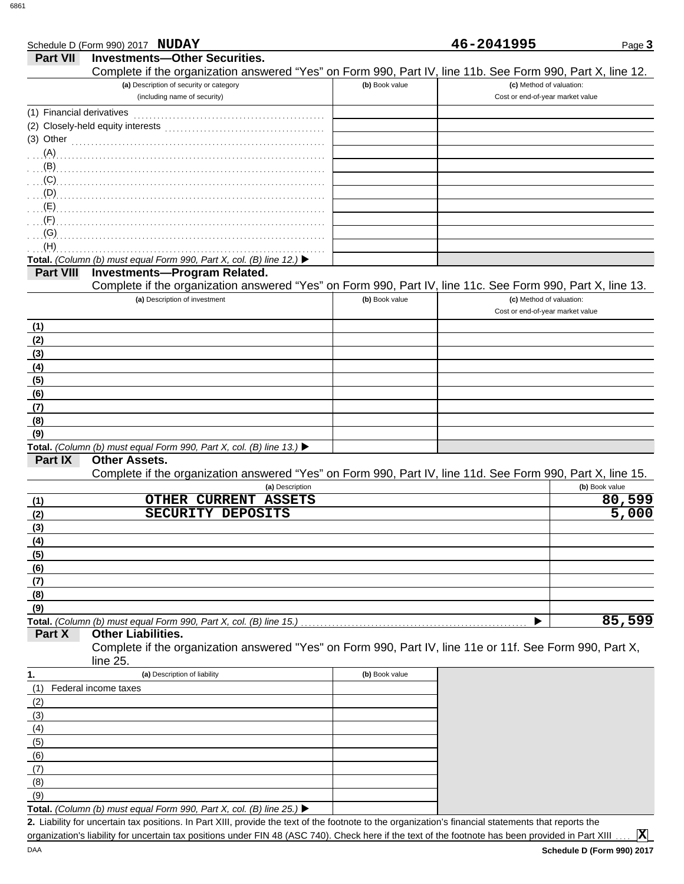| <b>Part VII</b>                                            | Schedule D (Form 990) 2017 NUDAY<br><b>Investments-Other Securities.</b>                                                                                                                                                          |                | 46-2041995                                                   | Page 3          |
|------------------------------------------------------------|-----------------------------------------------------------------------------------------------------------------------------------------------------------------------------------------------------------------------------------|----------------|--------------------------------------------------------------|-----------------|
|                                                            | Complete if the organization answered "Yes" on Form 990, Part IV, line 11b. See Form 990, Part X, line 12.                                                                                                                        |                |                                                              |                 |
|                                                            | (a) Description of security or category<br>(including name of security)                                                                                                                                                           | (b) Book value | (c) Method of valuation:<br>Cost or end-of-year market value |                 |
| (1) Financial derivatives                                  |                                                                                                                                                                                                                                   |                |                                                              |                 |
|                                                            |                                                                                                                                                                                                                                   |                |                                                              |                 |
|                                                            | $(3)$ Other                                                                                                                                                                                                                       |                |                                                              |                 |
|                                                            | $\mathbf{A}$                                                                                                                                                                                                                      |                |                                                              |                 |
|                                                            | $\mathcal{B}$ (B) and the continuum continuum continuum continuum continuum continuum continuum continuum continuum continuum continuum continuum continuum continuum continuum continuum continuum continuum continuum continuum |                |                                                              |                 |
|                                                            |                                                                                                                                                                                                                                   |                |                                                              |                 |
| $(D)$ and $(D)$ and $(D)$ and $(D)$ and $(D)$              |                                                                                                                                                                                                                                   |                |                                                              |                 |
|                                                            |                                                                                                                                                                                                                                   |                |                                                              |                 |
|                                                            |                                                                                                                                                                                                                                   |                |                                                              |                 |
| (G)                                                        |                                                                                                                                                                                                                                   |                |                                                              |                 |
| (H)                                                        |                                                                                                                                                                                                                                   |                |                                                              |                 |
| <b>Part VIII</b>                                           | Total. (Column (b) must equal Form 990, Part X, col. (B) line 12.) ▶<br><b>Investments-Program Related.</b>                                                                                                                       |                |                                                              |                 |
|                                                            | Complete if the organization answered "Yes" on Form 990, Part IV, line 11c. See Form 990, Part X, line 13.                                                                                                                        |                |                                                              |                 |
|                                                            | (a) Description of investment                                                                                                                                                                                                     | (b) Book value | (c) Method of valuation:                                     |                 |
|                                                            |                                                                                                                                                                                                                                   |                | Cost or end-of-year market value                             |                 |
| (1)                                                        |                                                                                                                                                                                                                                   |                |                                                              |                 |
| (2)                                                        |                                                                                                                                                                                                                                   |                |                                                              |                 |
| (3)                                                        |                                                                                                                                                                                                                                   |                |                                                              |                 |
| (4)                                                        |                                                                                                                                                                                                                                   |                |                                                              |                 |
| (5)                                                        |                                                                                                                                                                                                                                   |                |                                                              |                 |
| (6)                                                        |                                                                                                                                                                                                                                   |                |                                                              |                 |
|                                                            |                                                                                                                                                                                                                                   |                |                                                              |                 |
|                                                            |                                                                                                                                                                                                                                   |                |                                                              |                 |
|                                                            |                                                                                                                                                                                                                                   |                |                                                              |                 |
|                                                            |                                                                                                                                                                                                                                   |                |                                                              |                 |
|                                                            | Total. (Column (b) must equal Form 990, Part X, col. (B) line 13.) ▶                                                                                                                                                              |                |                                                              |                 |
| <b>Part IX</b>                                             | <b>Other Assets.</b>                                                                                                                                                                                                              |                |                                                              |                 |
| (9)                                                        | Complete if the organization answered "Yes" on Form 990, Part IV, line 11d. See Form 990, Part X, line 15.                                                                                                                        |                |                                                              |                 |
|                                                            | (a) Description                                                                                                                                                                                                                   |                |                                                              | (b) Book value  |
| (1)                                                        | <b>CURRENT</b><br><b>ASSETS</b><br><b>OTHER</b>                                                                                                                                                                                   |                |                                                              |                 |
| (2)                                                        | <b>SECURITY</b><br><b>DEPOSITS</b>                                                                                                                                                                                                |                |                                                              |                 |
|                                                            |                                                                                                                                                                                                                                   |                |                                                              | 80,599<br>5,000 |
|                                                            |                                                                                                                                                                                                                                   |                |                                                              |                 |
|                                                            |                                                                                                                                                                                                                                   |                |                                                              |                 |
|                                                            |                                                                                                                                                                                                                                   |                |                                                              |                 |
|                                                            |                                                                                                                                                                                                                                   |                |                                                              |                 |
|                                                            |                                                                                                                                                                                                                                   |                |                                                              |                 |
| (4)<br>(6)<br>(9)                                          | Total. (Column (b) must equal Form 990, Part X, col. (B) line 15.)                                                                                                                                                                |                |                                                              |                 |
| Part X                                                     | <b>Other Liabilities.</b>                                                                                                                                                                                                         |                |                                                              |                 |
|                                                            | Complete if the organization answered "Yes" on Form 990, Part IV, line 11e or 11f. See Form 990, Part X,                                                                                                                          |                |                                                              | 85,599          |
|                                                            | line 25.                                                                                                                                                                                                                          |                |                                                              |                 |
|                                                            | (a) Description of liability                                                                                                                                                                                                      | (b) Book value |                                                              |                 |
|                                                            | Federal income taxes                                                                                                                                                                                                              |                |                                                              |                 |
|                                                            |                                                                                                                                                                                                                                   |                |                                                              |                 |
|                                                            |                                                                                                                                                                                                                                   |                |                                                              |                 |
|                                                            |                                                                                                                                                                                                                                   |                |                                                              |                 |
|                                                            |                                                                                                                                                                                                                                   |                |                                                              |                 |
|                                                            |                                                                                                                                                                                                                                   |                |                                                              |                 |
| (1)<br>(2)<br>(3)<br>(4)<br>(5)<br>(6)<br>(7)              |                                                                                                                                                                                                                                   |                |                                                              |                 |
| (7)<br>(8)<br>(3)<br>(5)<br>(7)<br>(8)<br>1.<br>(8)<br>(9) |                                                                                                                                                                                                                                   |                |                                                              |                 |

Liability for uncertain tax positions. In Part XIII, provide the text of the footnote to the organization's financial statements that reports the **2.** organization's liability for uncertain tax positions under FIN 48 (ASC 740). Check here if the text of the footnote has been provided in Part XIII

**X**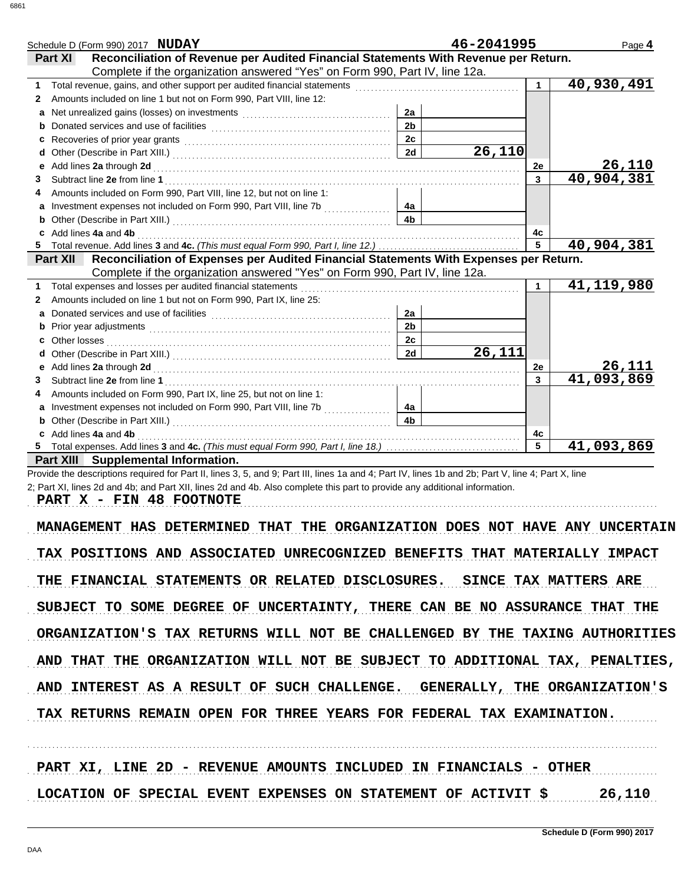|   | Schedule D (Form 990) 2017 NUDAY                                                                                                                                                                                              |                | 46-2041995 |                         | Page 4                  |
|---|-------------------------------------------------------------------------------------------------------------------------------------------------------------------------------------------------------------------------------|----------------|------------|-------------------------|-------------------------|
|   | Reconciliation of Revenue per Audited Financial Statements With Revenue per Return.<br>Part XI                                                                                                                                |                |            |                         |                         |
|   | Complete if the organization answered "Yes" on Form 990, Part IV, line 12a.                                                                                                                                                   |                |            |                         |                         |
| 1 |                                                                                                                                                                                                                               |                |            | $\mathbf 1$             | 40,930,491              |
| 2 | Amounts included on line 1 but not on Form 990, Part VIII, line 12:                                                                                                                                                           |                |            |                         |                         |
| a |                                                                                                                                                                                                                               | 2a             |            |                         |                         |
|   |                                                                                                                                                                                                                               | 2 <sub>b</sub> |            |                         |                         |
| c |                                                                                                                                                                                                                               | 2c             |            |                         |                         |
| d |                                                                                                                                                                                                                               | 2d             | 26,110     |                         |                         |
| е | Add lines 2a through 2d [11] Additional Property and Property and Property and Property and Property and Property and Property and Property and Property and Property and Property and Property and Property and Property and |                |            | 2e                      | 26,110                  |
| 3 |                                                                                                                                                                                                                               |                |            | $\overline{\mathbf{3}}$ | 40,904,381              |
|   | Amounts included on Form 990, Part VIII, line 12, but not on line 1:                                                                                                                                                          |                |            |                         |                         |
|   | Investment expenses not included on Form 990, Part VIII, line 7b [[[[[[[[[[[[[[[[[[[[[[[[[]]]]]]]]]                                                                                                                           | 4a             |            |                         |                         |
| b |                                                                                                                                                                                                                               | 4 <sub>b</sub> |            |                         |                         |
| c | Add lines 4a and 4b                                                                                                                                                                                                           |                |            | 4c                      |                         |
|   |                                                                                                                                                                                                                               |                |            | $\overline{5}$          | 40,904,381              |
|   | Reconciliation of Expenses per Audited Financial Statements With Expenses per Return.<br>Part XII                                                                                                                             |                |            |                         |                         |
|   | Complete if the organization answered "Yes" on Form 990, Part IV, line 12a.                                                                                                                                                   |                |            |                         |                         |
| 1 |                                                                                                                                                                                                                               |                |            | 1                       | $\overline{41,}119,980$ |
| 2 | Amounts included on line 1 but not on Form 990, Part IX, line 25:                                                                                                                                                             |                |            |                         |                         |
| a |                                                                                                                                                                                                                               | 2a             |            |                         |                         |
| b |                                                                                                                                                                                                                               | 2 <sub>b</sub> |            |                         |                         |
| c |                                                                                                                                                                                                                               | 2c             |            |                         |                         |
| d |                                                                                                                                                                                                                               | 2d             | 26,111     |                         |                         |
| е | Add lines 2a through 2d [11] Additional Property and Property and Property and Property and Property and Property and Property and Property and Property and Property and Property and Property and Property and Property and |                |            | 2е                      |                         |
| 3 |                                                                                                                                                                                                                               |                |            | $\mathbf{3}$            | 26,111<br>41,093,869    |
|   | Amounts included on Form 990, Part IX, line 25, but not on line 1:                                                                                                                                                            |                |            |                         |                         |
| a | Investment expenses not included on Form 990, Part VIII, line 7b [[[[[[[[[[[[[[[[[[[[[[[[]]]]]]]]                                                                                                                             | 4a             |            |                         |                         |
|   |                                                                                                                                                                                                                               | 4 <sub>b</sub> |            |                         |                         |
|   | Add lines 4a and 4b                                                                                                                                                                                                           |                |            | 4с                      |                         |
|   |                                                                                                                                                                                                                               |                |            | $\overline{5}$          | 41,093,869              |
|   | Part XIII Supplemental Information.                                                                                                                                                                                           |                |            |                         |                         |

Provide the descriptions required for Part II, lines 3, 5, and 9; Part III, lines 1a and 4; Part IV, lines 1b and 2b; Part V, line 4; Part X, line 2; Part XI, lines 2d and 4b; and Part XII, lines 2d and 4b. Also complete this part to provide any additional information.

**PART X - FIN 48 FOOTNOTE**

MANAGEMENT HAS DETERMINED THAT THE ORGANIZATION DOES NOT HAVE ANY UNCERTAIN TAX POSITIONS AND ASSOCIATED UNRECOGNIZED BENEFITS THAT MATERIALLY IMPACT THE FINANCIAL STATEMENTS OR RELATED DISCLOSURES. SINCE TAX MATTERS ARE SUBJECT TO SOME DEGREE OF UNCERTAINTY, THERE CAN BE NO ASSURANCE THAT THE ORGANIZATION'S TAX RETURNS WILL NOT BE CHALLENGED BY THE TAXING AUTHORITIES AND THAT THE ORGANIZATION WILL NOT BE SUBJECT TO ADDITIONAL TAX, PENALTIES, AND INTEREST AS A RESULT OF SUCH CHALLENGE. GENERALLY, THE ORGANIZATION'S TAX RETURNS REMAIN OPEN FOR THREE YEARS FOR FEDERAL TAX EXAMINATION.

. . . . . . . . . . . . . . . . . . . . . . . . . . . . . . . . . . . . . . . . . . . . . . . . . . . . . . . . . . . . . . . . . . . . . . . . . . . . . . . . . . . . . . . . . . . . . . . . . . . . . . . . . . . . . . . . . . . . . . . . . . . . . . . . . . . . . . . . . . . . . . . . . . . . . . . . . . . . . . . . .

PART XI, LINE 2D - REVENUE AMOUNTS INCLUDED IN FINANCIALS - OTHER LOCATION OF SPECIAL EVENT EXPENSES ON STATEMENT OF ACTIVIT \$ 26,110

. . . . . . . . . . . . . . . . . . . . . . . . . . . . . . . . . . . . . . . . . . . . . . . . . . . . . . . . . . . . . . . . . . . . . . . . . . . . . . . . . . . . . . . . . . . . . . . . . . . . . . . . . . . . . . . . . . . . . . . . . . . . . . . . . . . . . . . . . . . . . . . . . . . . . . . . . . . . . . . . .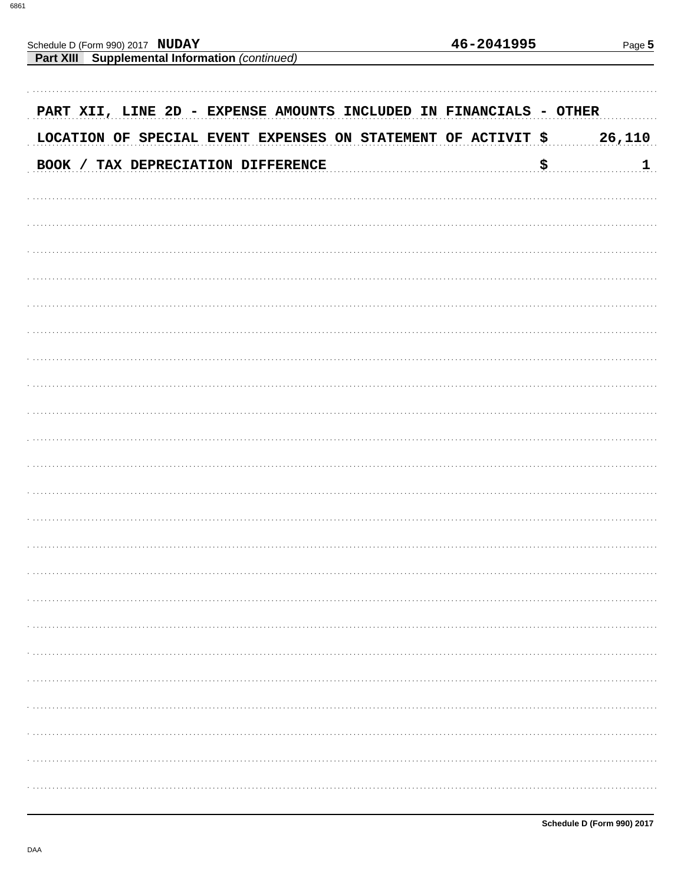| Schedule D (Form 990) 2017 NUDAY |  |  |
|----------------------------------|--|--|
|                                  |  |  |

**Part XIII** Supplemental Information (continued)

PART XII, LINE 2D - EXPENSE AMOUNTS INCLUDED IN FINANCIALS - OTHER LOCATION OF SPECIAL EVENT EXPENSES ON STATEMENT OF ACTIVIT \$ 26,110 BOOK / TAX DEPRECIATION DIFFERENCE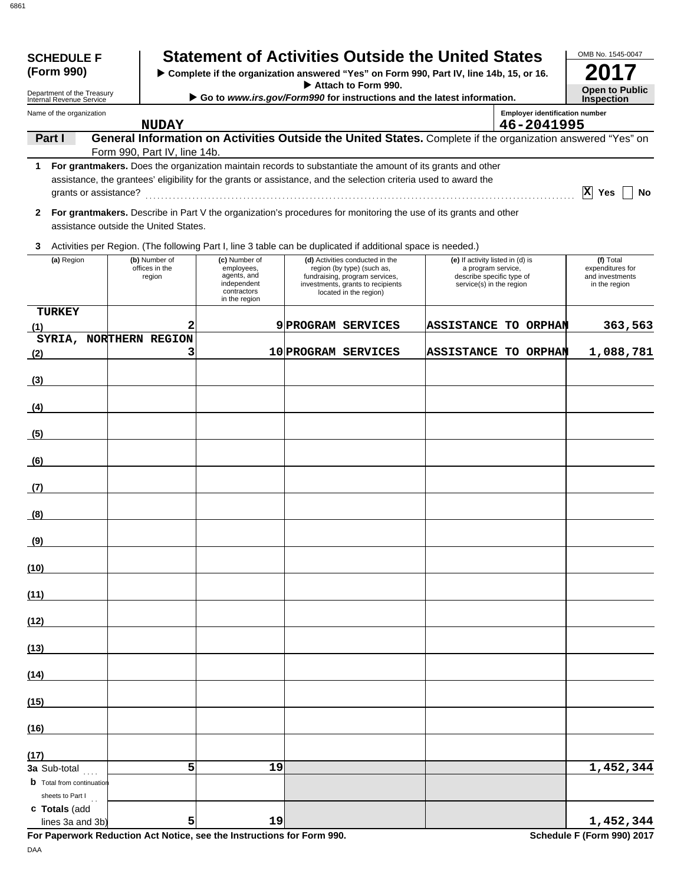| <b>SCHEDULE F</b><br>(Form 990)                        |                                                                                                                                                           | <b>Statement of Activities Outside the United States</b>                                 |                                                                                               |                                                        |                                                     | OMB No. 1545-0047<br>2017        |
|--------------------------------------------------------|-----------------------------------------------------------------------------------------------------------------------------------------------------------|------------------------------------------------------------------------------------------|-----------------------------------------------------------------------------------------------|--------------------------------------------------------|-----------------------------------------------------|----------------------------------|
|                                                        |                                                                                                                                                           | > Complete if the organization answered "Yes" on Form 990, Part IV, line 14b, 15, or 16. | Attach to Form 990.                                                                           |                                                        |                                                     | <b>Open to Public</b>            |
| Department of the Treasury<br>Internal Revenue Service | Go to www.irs.gov/Form990 for instructions and the latest information.                                                                                    | <b>Inspection</b>                                                                        |                                                                                               |                                                        |                                                     |                                  |
| Name of the organization                               | <b>NUDAY</b>                                                                                                                                              |                                                                                          |                                                                                               |                                                        | <b>Employer identification number</b><br>46-2041995 |                                  |
| Part I                                                 | General Information on Activities Outside the United States. Complete if the organization answered "Yes" on                                               |                                                                                          |                                                                                               |                                                        |                                                     |                                  |
|                                                        | Form 990, Part IV, line 14b.<br>1 For grantmakers. Does the organization maintain records to substantiate the amount of its grants and other              |                                                                                          |                                                                                               |                                                        |                                                     |                                  |
|                                                        | assistance, the grantees' eligibility for the grants or assistance, and the selection criteria used to award the                                          |                                                                                          |                                                                                               |                                                        |                                                     |                                  |
|                                                        | grants or assistance?                                                                                                                                     |                                                                                          |                                                                                               |                                                        |                                                     | X<br>Yes<br>No                   |
| $\mathbf{2}$                                           | For grantmakers. Describe in Part V the organization's procedures for monitoring the use of its grants and other<br>assistance outside the United States. |                                                                                          |                                                                                               |                                                        |                                                     |                                  |
| 3                                                      | Activities per Region. (The following Part I, line 3 table can be duplicated if additional space is needed.)                                              |                                                                                          |                                                                                               |                                                        |                                                     |                                  |
| (a) Region                                             | (b) Number of<br>offices in the                                                                                                                           | (c) Number of<br>employees,                                                              | (d) Activities conducted in the<br>region (by type) (such as,                                 | (e) If activity listed in (d) is<br>a program service, |                                                     | (f) Total<br>expenditures for    |
|                                                        | region                                                                                                                                                    | agents, and<br>independent<br>contractors                                                | fundraising, program services,<br>investments, grants to recipients<br>located in the region) | describe specific type of<br>service(s) in the region  |                                                     | and investments<br>in the region |
| <b>TURKEY</b>                                          |                                                                                                                                                           | in the region                                                                            |                                                                                               |                                                        |                                                     |                                  |
| (1)                                                    | 2                                                                                                                                                         |                                                                                          | 9 PROGRAM SERVICES                                                                            |                                                        | <b>ASSISTANCE TO ORPHAN</b>                         | 363,563                          |
|                                                        | SYRIA, NORTHERN REGION                                                                                                                                    |                                                                                          |                                                                                               |                                                        |                                                     |                                  |
| (2)                                                    | 3                                                                                                                                                         |                                                                                          | 10 PROGRAM SERVICES                                                                           |                                                        | <b>ASSISTANCE TO ORPHAN</b>                         | 1,088,781                        |
| (3)                                                    |                                                                                                                                                           |                                                                                          |                                                                                               |                                                        |                                                     |                                  |
| (4)                                                    |                                                                                                                                                           |                                                                                          |                                                                                               |                                                        |                                                     |                                  |
| (5)                                                    |                                                                                                                                                           |                                                                                          |                                                                                               |                                                        |                                                     |                                  |
| (6)                                                    |                                                                                                                                                           |                                                                                          |                                                                                               |                                                        |                                                     |                                  |
| (7)                                                    |                                                                                                                                                           |                                                                                          |                                                                                               |                                                        |                                                     |                                  |
|                                                        |                                                                                                                                                           |                                                                                          |                                                                                               |                                                        |                                                     |                                  |
| (8)                                                    |                                                                                                                                                           |                                                                                          |                                                                                               |                                                        |                                                     |                                  |
| (9)                                                    |                                                                                                                                                           |                                                                                          |                                                                                               |                                                        |                                                     |                                  |
| (10)                                                   |                                                                                                                                                           |                                                                                          |                                                                                               |                                                        |                                                     |                                  |
| (11)                                                   |                                                                                                                                                           |                                                                                          |                                                                                               |                                                        |                                                     |                                  |
| (12)                                                   |                                                                                                                                                           |                                                                                          |                                                                                               |                                                        |                                                     |                                  |
| (13)                                                   |                                                                                                                                                           |                                                                                          |                                                                                               |                                                        |                                                     |                                  |
| (14)                                                   |                                                                                                                                                           |                                                                                          |                                                                                               |                                                        |                                                     |                                  |
| (15)                                                   |                                                                                                                                                           |                                                                                          |                                                                                               |                                                        |                                                     |                                  |
| (16)                                                   |                                                                                                                                                           |                                                                                          |                                                                                               |                                                        |                                                     |                                  |
| (17)                                                   |                                                                                                                                                           |                                                                                          |                                                                                               |                                                        |                                                     |                                  |
| 3a Sub-total                                           | 5                                                                                                                                                         | 19                                                                                       |                                                                                               |                                                        |                                                     | 1,452,344                        |
| <b>b</b> Total from continuation<br>sheets to Part I   |                                                                                                                                                           |                                                                                          |                                                                                               |                                                        |                                                     |                                  |
| c Totals (add                                          |                                                                                                                                                           |                                                                                          |                                                                                               |                                                        |                                                     |                                  |
| lines 3a and 3b)                                       | 5                                                                                                                                                         | 19                                                                                       |                                                                                               |                                                        |                                                     | 1,452,344                        |

**For Paperwork Reduction Act Notice, see the Instructions for Form 990.** Schedule F (Form 990) 2017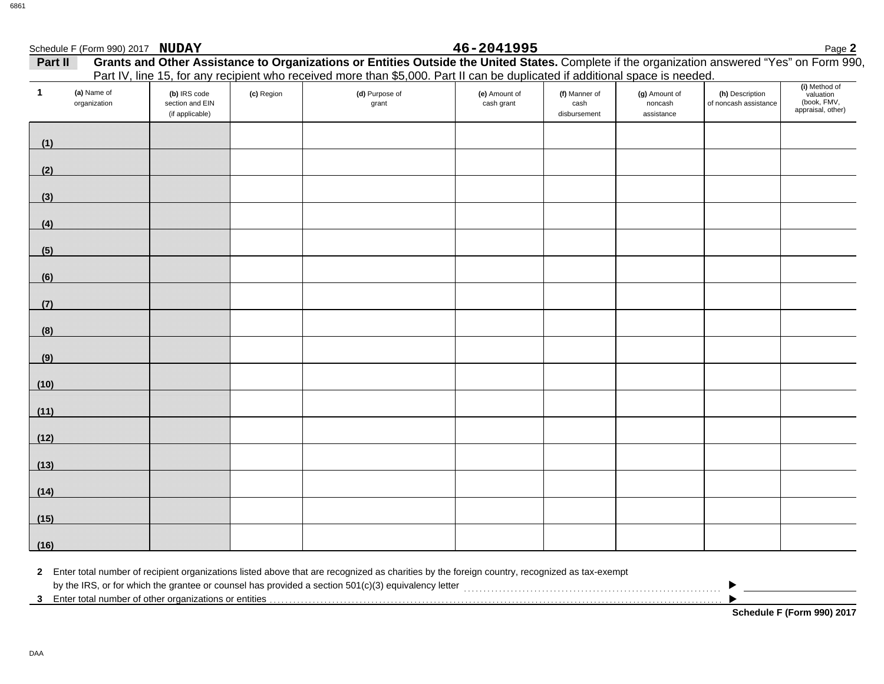| Part II      | Schedule F (Form 990) 2017 NUDAY |                                                    |            | <u>46-2041995</u><br>Grants and Other Assistance to Organizations or Entities Outside the United States. Complete if the organization answered "Yes" on Form 990 | 46-2041995                  |                                       |                                        |                                          |                                                                |
|--------------|----------------------------------|----------------------------------------------------|------------|------------------------------------------------------------------------------------------------------------------------------------------------------------------|-----------------------------|---------------------------------------|----------------------------------------|------------------------------------------|----------------------------------------------------------------|
|              |                                  |                                                    |            | Part IV, line 15, for any recipient who received more than \$5,000. Part II can be duplicated if additional space is needed.                                     |                             |                                       |                                        |                                          |                                                                |
| -1           | (a) Name of<br>organization      | (b) IRS code<br>section and EIN<br>(if applicable) | (c) Region | (d) Purpose of<br>grant                                                                                                                                          | (e) Amount of<br>cash grant | (f) Manner of<br>cash<br>disbursement | (g) Amount of<br>noncash<br>assistance | (h) Description<br>of noncash assistance | (i) Method of<br>valuation<br>(book, FMV,<br>appraisal, other) |
| (1)          |                                  |                                                    |            |                                                                                                                                                                  |                             |                                       |                                        |                                          |                                                                |
| (2)          |                                  |                                                    |            |                                                                                                                                                                  |                             |                                       |                                        |                                          |                                                                |
| (3)          |                                  |                                                    |            |                                                                                                                                                                  |                             |                                       |                                        |                                          |                                                                |
| (4)          |                                  |                                                    |            |                                                                                                                                                                  |                             |                                       |                                        |                                          |                                                                |
| (5)          |                                  |                                                    |            |                                                                                                                                                                  |                             |                                       |                                        |                                          |                                                                |
| (6)          |                                  |                                                    |            |                                                                                                                                                                  |                             |                                       |                                        |                                          |                                                                |
| (7)          |                                  |                                                    |            |                                                                                                                                                                  |                             |                                       |                                        |                                          |                                                                |
| (8)          |                                  |                                                    |            |                                                                                                                                                                  |                             |                                       |                                        |                                          |                                                                |
| (9)          |                                  |                                                    |            |                                                                                                                                                                  |                             |                                       |                                        |                                          |                                                                |
| (10)         |                                  |                                                    |            |                                                                                                                                                                  |                             |                                       |                                        |                                          |                                                                |
| (11)         |                                  |                                                    |            |                                                                                                                                                                  |                             |                                       |                                        |                                          |                                                                |
| (12)         |                                  |                                                    |            |                                                                                                                                                                  |                             |                                       |                                        |                                          |                                                                |
| (13)         |                                  |                                                    |            |                                                                                                                                                                  |                             |                                       |                                        |                                          |                                                                |
| (14)         |                                  |                                                    |            |                                                                                                                                                                  |                             |                                       |                                        |                                          |                                                                |
| (15)<br>(16) |                                  |                                                    |            |                                                                                                                                                                  |                             |                                       |                                        |                                          |                                                                |

**2** Enter total number of recipient organizations listed above that are recognized as charities by the foreign country, recognized as tax-exempt

by the IRS, or for which the grantee or counsel has provided a section 501(c)(3) equivalency letter . . . . . . . . . . . . . . . . . . . . . . . . . . . . . . . . . . . . . . . . . . . . . . . . . . . . . . . . . . . . . . . . . .Enter total number of other organizations or entities . . . . . . . . . . . . . . . . . . . . . . . . . . . . . . . . . . . . . . . . . . . . . . . . . . . . . . . . . . . . . . . . . . . . . . . . . . . . . . . . . . . . . . . . . . . . . . . . . . . . . . . . . . . . . . . . . . . .

▶  $\blacktriangleright$ 

**Schedule F (Form 990) 2017**

**3**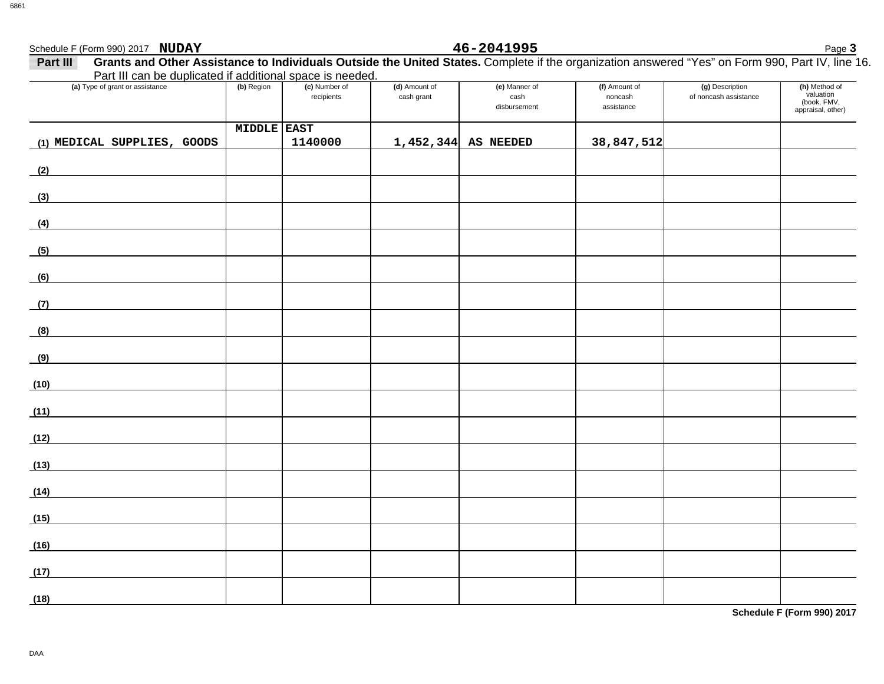### Schedule F (Form 990) 2017 Page **3**

### **NUDAY 46-2041995**. Page<br> **46-2041995** Page:<br> **Actor Complete if the ergenization applyced "Ves" on Form 000, Bort IV, line**

| Part III<br>Grants and Other Assistance to Individuals Outside the United States. Complete if the organization answered "Yes" on Form 990, Part IV, line 16. |                    |                             |                             |                                       |                                        |                                          |                                                                |
|--------------------------------------------------------------------------------------------------------------------------------------------------------------|--------------------|-----------------------------|-----------------------------|---------------------------------------|----------------------------------------|------------------------------------------|----------------------------------------------------------------|
| Part III can be duplicated if additional space is needed.                                                                                                    |                    |                             |                             |                                       |                                        |                                          |                                                                |
| (a) Type of grant or assistance                                                                                                                              | (b) Region         | (c) Number of<br>recipients | (d) Amount of<br>cash grant | (e) Manner of<br>cash<br>disbursement | (f) Amount of<br>noncash<br>assistance | (g) Description<br>of noncash assistance | (h) Method of<br>valuation<br>(book, FMV,<br>appraisal, other) |
|                                                                                                                                                              | <b>MIDDLE</b> EAST |                             |                             |                                       |                                        |                                          |                                                                |
| (1) MEDICAL SUPPLIES, GOODS                                                                                                                                  |                    | 1140000                     |                             | $1,452,344$ AS NEEDED                 | 38,847,512                             |                                          |                                                                |
| (2)                                                                                                                                                          |                    |                             |                             |                                       |                                        |                                          |                                                                |
| (3)                                                                                                                                                          |                    |                             |                             |                                       |                                        |                                          |                                                                |
| (4)                                                                                                                                                          |                    |                             |                             |                                       |                                        |                                          |                                                                |
| (5)                                                                                                                                                          |                    |                             |                             |                                       |                                        |                                          |                                                                |
| (6)                                                                                                                                                          |                    |                             |                             |                                       |                                        |                                          |                                                                |
| (7)                                                                                                                                                          |                    |                             |                             |                                       |                                        |                                          |                                                                |
| (8)                                                                                                                                                          |                    |                             |                             |                                       |                                        |                                          |                                                                |
| (9)                                                                                                                                                          |                    |                             |                             |                                       |                                        |                                          |                                                                |
| (10)                                                                                                                                                         |                    |                             |                             |                                       |                                        |                                          |                                                                |
| (11)                                                                                                                                                         |                    |                             |                             |                                       |                                        |                                          |                                                                |
| (12)                                                                                                                                                         |                    |                             |                             |                                       |                                        |                                          |                                                                |
| (13)                                                                                                                                                         |                    |                             |                             |                                       |                                        |                                          |                                                                |
| (14)                                                                                                                                                         |                    |                             |                             |                                       |                                        |                                          |                                                                |
| (15)                                                                                                                                                         |                    |                             |                             |                                       |                                        |                                          |                                                                |
| (16)                                                                                                                                                         |                    |                             |                             |                                       |                                        |                                          |                                                                |
| (17)                                                                                                                                                         |                    |                             |                             |                                       |                                        |                                          |                                                                |
| (18)                                                                                                                                                         |                    |                             |                             |                                       |                                        |                                          |                                                                |

**Schedule F (Form 990) 2017**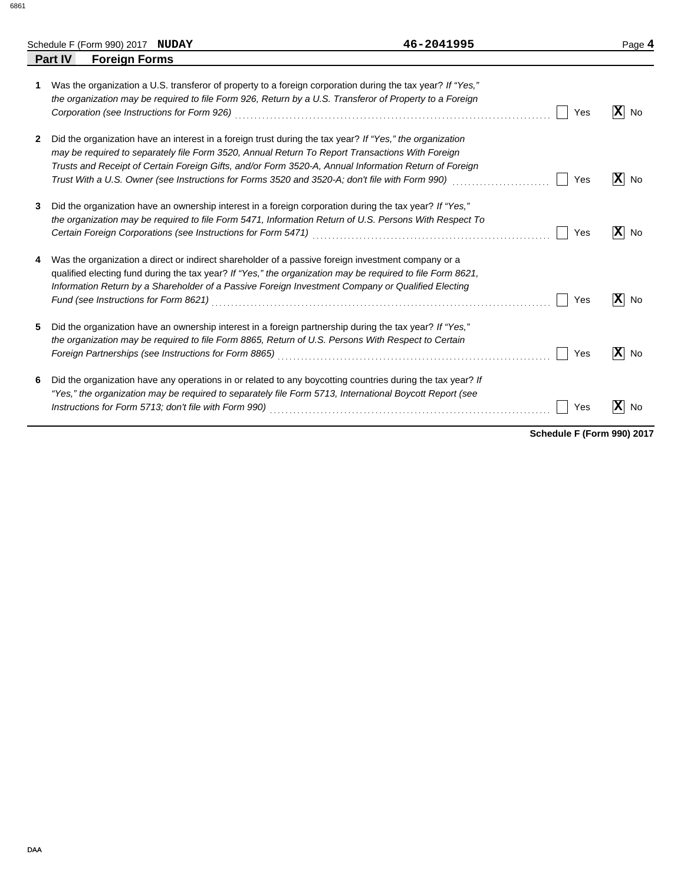|                | Schedule F (Form 990) 2017<br><b>NUDAY</b>                                                                                                                                                                                                                                                                                                                                                                             | 46-2041995 |     | Page 4  |
|----------------|------------------------------------------------------------------------------------------------------------------------------------------------------------------------------------------------------------------------------------------------------------------------------------------------------------------------------------------------------------------------------------------------------------------------|------------|-----|---------|
| <b>Part IV</b> | <b>Foreign Forms</b>                                                                                                                                                                                                                                                                                                                                                                                                   |            |     |         |
|                | Was the organization a U.S. transferor of property to a foreign corporation during the tax year? If "Yes,"<br>the organization may be required to file Form 926, Return by a U.S. Transferor of Property to a Foreign<br>Corporation (see Instructions for Form 926)                                                                                                                                                   |            | Yes | X<br>No |
|                | Did the organization have an interest in a foreign trust during the tax year? If "Yes," the organization<br>may be required to separately file Form 3520, Annual Return To Report Transactions With Foreign<br>Trusts and Receipt of Certain Foreign Gifts, and/or Form 3520-A, Annual Information Return of Foreign<br>Trust With a U.S. Owner (see Instructions for Forms 3520 and 3520-A; don't file with Form 990) |            | Yes | X<br>No |
| 3              | Did the organization have an ownership interest in a foreign corporation during the tax year? If "Yes,"<br>the organization may be required to file Form 5471, Information Return of U.S. Persons With Respect To<br>Certain Foreign Corporations (see Instructions for Form 5471) [11] [2010] [2010] [2010] [2010] [2010] [2010] [                                                                                    |            | Yes | X<br>No |
| 4              | Was the organization a direct or indirect shareholder of a passive foreign investment company or a<br>qualified electing fund during the tax year? If "Yes," the organization may be required to file Form 8621,<br>Information Return by a Shareholder of a Passive Foreign Investment Company or Qualified Electing<br>Fund (see Instructions for Form 8621)                                                         |            | Yes | No      |

*Foreign Partnerships (see Instructions for Form 8865)* . . . . . . . . . . . . . . . . . . . . . . . . . . . . . . . . . . . . . . . . . . . . . . . . . . . . . . . . . . . . . . . . . . . . . .

*Instructions for Form 5713; don't file with Form 990)* . . . . . . . . . . . . . . . . . . . . . . . . . . . . . . . . . . . . . . . . . . . . . . . . . . . . . . . . . . . . . . . . . . . . . . . .

**5** Did the organization have an ownership interest in a foreign partnership during the tax year? *If "Yes,"*

*the organization may be required to file Form 8865, Return of U.S. Persons With Respect to Certain*

**6** Did the organization have any operations in or related to any boycotting countries during the tax year? *If*

*"Yes," the organization may be required to separately file Form 5713, International Boycott Report (see*

**Schedule F (Form 990) 2017**

Yes **X** No

Yes **X** No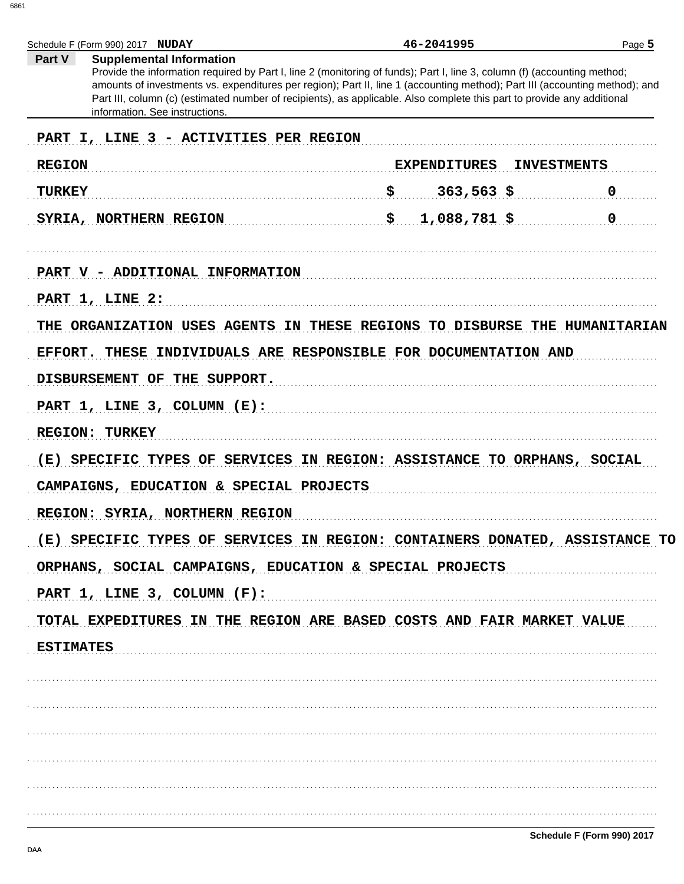|                                                                             | Schedule F (Form 990) 2017 NUDAY                        | 46-2041995                                                                                                                                                                                                                                                                                                                                                                         | Page 5      |  |
|-----------------------------------------------------------------------------|---------------------------------------------------------|------------------------------------------------------------------------------------------------------------------------------------------------------------------------------------------------------------------------------------------------------------------------------------------------------------------------------------------------------------------------------------|-------------|--|
| Part V<br><b>Supplemental Information</b><br>information. See instructions. |                                                         | Provide the information required by Part I, line 2 (monitoring of funds); Part I, line 3, column (f) (accounting method;<br>amounts of investments vs. expenditures per region); Part II, line 1 (accounting method); Part III (accounting method); and<br>Part III, column (c) (estimated number of recipients), as applicable. Also complete this part to provide any additional |             |  |
|                                                                             | PART I, LINE 3 - ACTIVITIES PER REGION                  |                                                                                                                                                                                                                                                                                                                                                                                    |             |  |
| <b>REGION</b>                                                               |                                                         | <b>EXPENDITURES</b><br><b>INVESTMENTS</b>                                                                                                                                                                                                                                                                                                                                          |             |  |
| <b>TURKEY</b>                                                               |                                                         | \$<br>$363,563$ \$                                                                                                                                                                                                                                                                                                                                                                 | 0           |  |
|                                                                             | SYRIA, NORTHERN REGION                                  | $1,088,781$ \$                                                                                                                                                                                                                                                                                                                                                                     | $\mathbf 0$ |  |
|                                                                             | PART V - ADDITIONAL INFORMATION                         |                                                                                                                                                                                                                                                                                                                                                                                    |             |  |
|                                                                             | PART 1, LINE 2:                                         |                                                                                                                                                                                                                                                                                                                                                                                    |             |  |
|                                                                             |                                                         | THE ORGANIZATION USES AGENTS IN THESE REGIONS TO DISBURSE THE HUMANITARIAN                                                                                                                                                                                                                                                                                                         |             |  |
|                                                                             |                                                         | EFFORT. THESE INDIVIDUALS ARE RESPONSIBLE FOR DOCUMENTATION AND                                                                                                                                                                                                                                                                                                                    |             |  |
|                                                                             | DISBURSEMENT OF THE SUPPORT.                            |                                                                                                                                                                                                                                                                                                                                                                                    |             |  |
|                                                                             | PART 1, LINE 3, COLUMN (E):                             |                                                                                                                                                                                                                                                                                                                                                                                    |             |  |
|                                                                             | <b>REGION: TURKEY</b>                                   |                                                                                                                                                                                                                                                                                                                                                                                    |             |  |
|                                                                             | (E) SPECIFIC TYPES OF SERVICES                          | IN REGION: ASSISTANCE TO ORPHANS, SOCIAL                                                                                                                                                                                                                                                                                                                                           |             |  |
|                                                                             | CAMPAIGNS, EDUCATION & SPECIAL PROJECTS                 |                                                                                                                                                                                                                                                                                                                                                                                    |             |  |
|                                                                             | REGION: SYRIA, NORTHERN REGION                          |                                                                                                                                                                                                                                                                                                                                                                                    |             |  |
|                                                                             |                                                         | (E) SPECIFIC TYPES OF SERVICES IN REGION: CONTAINERS DONATED, ASSISTANCE TO                                                                                                                                                                                                                                                                                                        |             |  |
|                                                                             | ORPHANS, SOCIAL CAMPAIGNS, EDUCATION & SPECIAL PROJECTS |                                                                                                                                                                                                                                                                                                                                                                                    |             |  |
|                                                                             | PART 1, LINE 3, COLUMN (F):                             |                                                                                                                                                                                                                                                                                                                                                                                    |             |  |
|                                                                             |                                                         | TOTAL EXPEDITURES IN THE REGION ARE BASED COSTS AND FAIR MARKET VALUE                                                                                                                                                                                                                                                                                                              |             |  |
| <b>ESTIMATES</b>                                                            |                                                         |                                                                                                                                                                                                                                                                                                                                                                                    |             |  |
|                                                                             |                                                         |                                                                                                                                                                                                                                                                                                                                                                                    |             |  |
|                                                                             |                                                         |                                                                                                                                                                                                                                                                                                                                                                                    |             |  |
|                                                                             |                                                         |                                                                                                                                                                                                                                                                                                                                                                                    |             |  |
|                                                                             |                                                         |                                                                                                                                                                                                                                                                                                                                                                                    |             |  |
|                                                                             |                                                         |                                                                                                                                                                                                                                                                                                                                                                                    |             |  |
|                                                                             |                                                         |                                                                                                                                                                                                                                                                                                                                                                                    |             |  |
|                                                                             |                                                         | Schedule F (Form 990) 2017                                                                                                                                                                                                                                                                                                                                                         |             |  |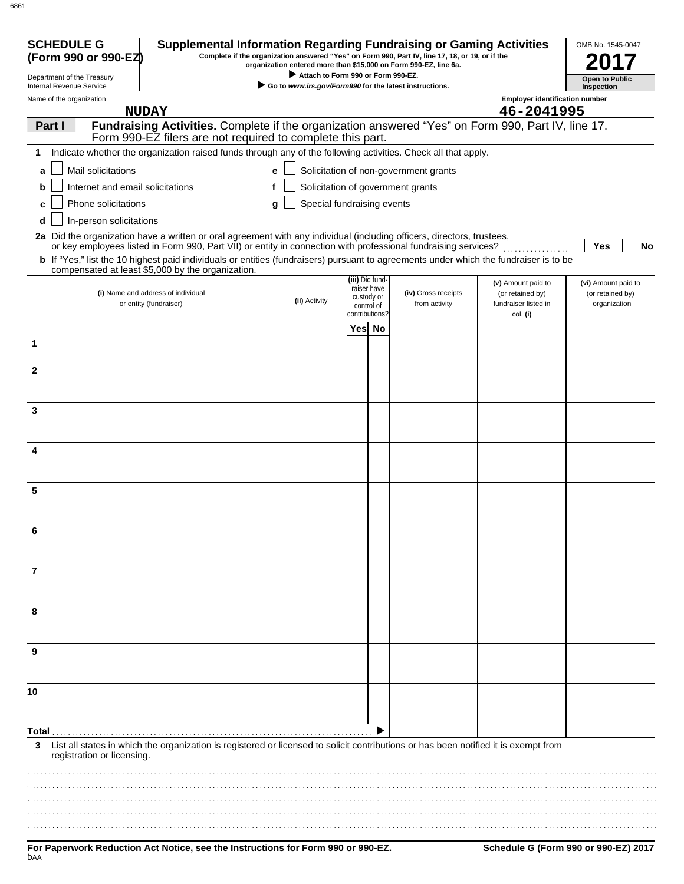| (Form 990 or 990-EZ                                                                                                                                                                                                                                                                                                         | <b>Supplemental Information Regarding Fundraising or Gaming Activities</b>                                                                                       |   |                                    |                 |                          | Complete if the organization answered "Yes" on Form 990, Part IV, line 17, 18, or 19, or if the<br>organization entered more than \$15,000 on Form 990-EZ, line 6a. |                                                      |                                  |
|-----------------------------------------------------------------------------------------------------------------------------------------------------------------------------------------------------------------------------------------------------------------------------------------------------------------------------|------------------------------------------------------------------------------------------------------------------------------------------------------------------|---|------------------------------------|-----------------|--------------------------|---------------------------------------------------------------------------------------------------------------------------------------------------------------------|------------------------------------------------------|----------------------------------|
| Department of the Treasury                                                                                                                                                                                                                                                                                                  |                                                                                                                                                                  |   | Attach to Form 990 or Form 990-EZ. |                 |                          | Go to www.irs.gov/Form990 for the latest instructions.                                                                                                              |                                                      | <b>Open to Public</b>            |
| Internal Revenue Service<br>Name of the organization                                                                                                                                                                                                                                                                        |                                                                                                                                                                  |   |                                    |                 |                          |                                                                                                                                                                     | <b>Employer identification number</b>                | Inspection                       |
| <b>NUDAY</b>                                                                                                                                                                                                                                                                                                                |                                                                                                                                                                  |   |                                    |                 |                          |                                                                                                                                                                     | 46-2041995                                           |                                  |
| Part I                                                                                                                                                                                                                                                                                                                      | Fundraising Activities. Complete if the organization answered "Yes" on Form 990, Part IV, line 17.<br>Form 990-EZ filers are not required to complete this part. |   |                                    |                 |                          |                                                                                                                                                                     |                                                      |                                  |
| 1                                                                                                                                                                                                                                                                                                                           | Indicate whether the organization raised funds through any of the following activities. Check all that apply.                                                    |   |                                    |                 |                          |                                                                                                                                                                     |                                                      |                                  |
| Mail solicitations<br>a                                                                                                                                                                                                                                                                                                     |                                                                                                                                                                  | e |                                    |                 |                          | Solicitation of non-government grants                                                                                                                               |                                                      |                                  |
| Internet and email solicitations<br>b                                                                                                                                                                                                                                                                                       |                                                                                                                                                                  |   |                                    |                 |                          | Solicitation of government grants                                                                                                                                   |                                                      |                                  |
| Phone solicitations                                                                                                                                                                                                                                                                                                         |                                                                                                                                                                  | a | Special fundraising events         |                 |                          |                                                                                                                                                                     |                                                      |                                  |
| In-person solicitations<br>d                                                                                                                                                                                                                                                                                                |                                                                                                                                                                  |   |                                    |                 |                          |                                                                                                                                                                     |                                                      |                                  |
| 2a Did the organization have a written or oral agreement with any individual (including officers, directors, trustees,<br><b>b</b> If "Yes," list the 10 highest paid individuals or entities (fundraisers) pursuant to agreements under which the fundraiser is to be<br>compensated at least \$5,000 by the organization. | or key employees listed in Form 990, Part VII) or entity in connection with professional fundraising services?                                                   |   |                                    |                 |                          |                                                                                                                                                                     |                                                      | Yes<br>No                        |
|                                                                                                                                                                                                                                                                                                                             |                                                                                                                                                                  |   |                                    | (iii) Did fund- | raiser have              |                                                                                                                                                                     | (v) Amount paid to                                   | (vi) Amount paid to              |
| (i) Name and address of individual<br>or entity (fundraiser)                                                                                                                                                                                                                                                                |                                                                                                                                                                  |   | (ii) Activity                      | contributions?  | custody or<br>control of | (iv) Gross receipts<br>from activity                                                                                                                                | (or retained by)<br>fundraiser listed in<br>col. (i) | (or retained by)<br>organization |
|                                                                                                                                                                                                                                                                                                                             |                                                                                                                                                                  |   |                                    | Yes No          |                          |                                                                                                                                                                     |                                                      |                                  |
| 1                                                                                                                                                                                                                                                                                                                           |                                                                                                                                                                  |   |                                    |                 |                          |                                                                                                                                                                     |                                                      |                                  |
| $\mathbf{2}$                                                                                                                                                                                                                                                                                                                |                                                                                                                                                                  |   |                                    |                 |                          |                                                                                                                                                                     |                                                      |                                  |
|                                                                                                                                                                                                                                                                                                                             |                                                                                                                                                                  |   |                                    |                 |                          |                                                                                                                                                                     |                                                      |                                  |
| 3                                                                                                                                                                                                                                                                                                                           |                                                                                                                                                                  |   |                                    |                 |                          |                                                                                                                                                                     |                                                      |                                  |
|                                                                                                                                                                                                                                                                                                                             |                                                                                                                                                                  |   |                                    |                 |                          |                                                                                                                                                                     |                                                      |                                  |
| 4                                                                                                                                                                                                                                                                                                                           |                                                                                                                                                                  |   |                                    |                 |                          |                                                                                                                                                                     |                                                      |                                  |
| 5                                                                                                                                                                                                                                                                                                                           |                                                                                                                                                                  |   |                                    |                 |                          |                                                                                                                                                                     |                                                      |                                  |
|                                                                                                                                                                                                                                                                                                                             |                                                                                                                                                                  |   |                                    |                 |                          |                                                                                                                                                                     |                                                      |                                  |
|                                                                                                                                                                                                                                                                                                                             |                                                                                                                                                                  |   |                                    |                 |                          |                                                                                                                                                                     |                                                      |                                  |
|                                                                                                                                                                                                                                                                                                                             |                                                                                                                                                                  |   |                                    |                 |                          |                                                                                                                                                                     |                                                      |                                  |
| 7                                                                                                                                                                                                                                                                                                                           |                                                                                                                                                                  |   |                                    |                 |                          |                                                                                                                                                                     |                                                      |                                  |
|                                                                                                                                                                                                                                                                                                                             |                                                                                                                                                                  |   |                                    |                 |                          |                                                                                                                                                                     |                                                      |                                  |
| 8                                                                                                                                                                                                                                                                                                                           |                                                                                                                                                                  |   |                                    |                 |                          |                                                                                                                                                                     |                                                      |                                  |
| 9                                                                                                                                                                                                                                                                                                                           |                                                                                                                                                                  |   |                                    |                 |                          |                                                                                                                                                                     |                                                      |                                  |
| 10                                                                                                                                                                                                                                                                                                                          |                                                                                                                                                                  |   |                                    |                 |                          |                                                                                                                                                                     |                                                      |                                  |
|                                                                                                                                                                                                                                                                                                                             |                                                                                                                                                                  |   |                                    |                 |                          |                                                                                                                                                                     |                                                      |                                  |
| Total                                                                                                                                                                                                                                                                                                                       |                                                                                                                                                                  |   |                                    |                 |                          |                                                                                                                                                                     |                                                      |                                  |
| 3<br>registration or licensing.                                                                                                                                                                                                                                                                                             | List all states in which the organization is registered or licensed to solicit contributions or has been notified it is exempt from                              |   |                                    |                 |                          |                                                                                                                                                                     |                                                      |                                  |
|                                                                                                                                                                                                                                                                                                                             |                                                                                                                                                                  |   |                                    |                 |                          |                                                                                                                                                                     |                                                      |                                  |
|                                                                                                                                                                                                                                                                                                                             |                                                                                                                                                                  |   |                                    |                 |                          |                                                                                                                                                                     |                                                      |                                  |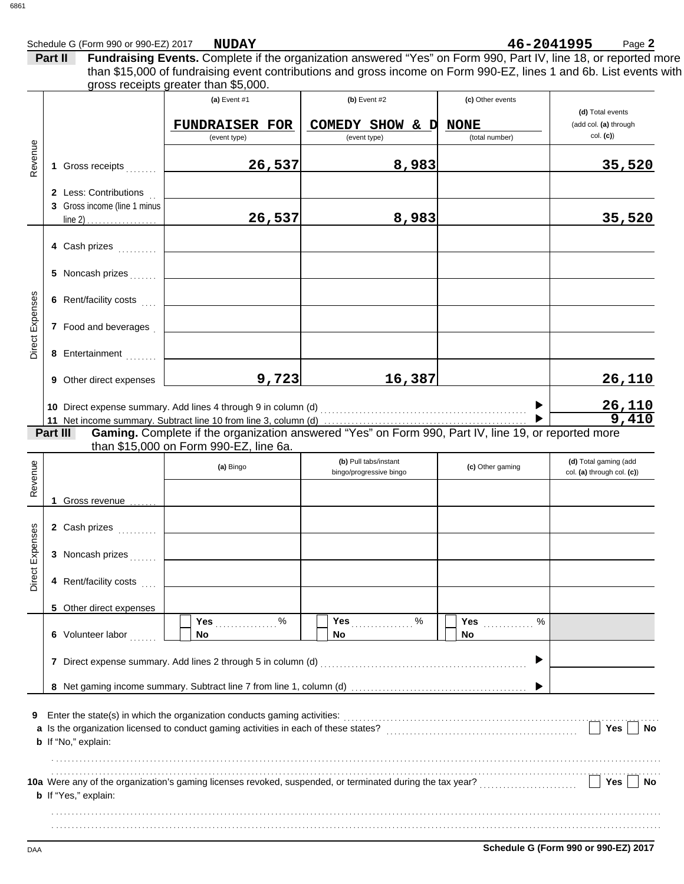|                 |         | Schedule G (Form 990 or 990-EZ) 2017 NUDAY |                                                                                                                                                                                                                                       |                         |                  | 46-2041995<br>Page 2                      |
|-----------------|---------|--------------------------------------------|---------------------------------------------------------------------------------------------------------------------------------------------------------------------------------------------------------------------------------------|-------------------------|------------------|-------------------------------------------|
|                 | Part II |                                            | Fundraising Events. Complete if the organization answered "Yes" on Form 990, Part IV, line 18, or reported more<br>than \$15,000 of fundraising event contributions and gross income on Form 990-EZ, lines 1 and 6b. List events with |                         |                  |                                           |
|                 |         |                                            | gross receipts greater than \$5,000.                                                                                                                                                                                                  |                         |                  |                                           |
|                 |         |                                            | (a) Event $#1$                                                                                                                                                                                                                        | (b) Event $#2$          | (c) Other events |                                           |
|                 |         |                                            | <b>FUNDRAISER FOR</b>                                                                                                                                                                                                                 | COMEDY SHOW & D NONE    |                  | (d) Total events<br>(add col. (a) through |
|                 |         |                                            | (event type)                                                                                                                                                                                                                          | (event type)            | (total number)   | col. (c)                                  |
| Revenue         |         |                                            |                                                                                                                                                                                                                                       |                         |                  |                                           |
|                 |         | 1 Gross receipts                           | 26,537                                                                                                                                                                                                                                | 8,983                   |                  | 35,520                                    |
|                 |         | 2 Less: Contributions                      |                                                                                                                                                                                                                                       |                         |                  |                                           |
|                 |         | 3 Gross income (line 1 minus               |                                                                                                                                                                                                                                       |                         |                  |                                           |
|                 |         |                                            | 26,537                                                                                                                                                                                                                                | 8,983                   |                  | 35,520                                    |
|                 |         | 4 Cash prizes                              |                                                                                                                                                                                                                                       |                         |                  |                                           |
|                 |         |                                            |                                                                                                                                                                                                                                       |                         |                  |                                           |
|                 |         | 5 Noncash prizes                           |                                                                                                                                                                                                                                       |                         |                  |                                           |
|                 |         | 6 Rent/facility costs                      |                                                                                                                                                                                                                                       |                         |                  |                                           |
| Direct Expenses |         |                                            |                                                                                                                                                                                                                                       |                         |                  |                                           |
|                 |         | 7 Food and beverages                       |                                                                                                                                                                                                                                       |                         |                  |                                           |
|                 |         | 8 Entertainment                            |                                                                                                                                                                                                                                       |                         |                  |                                           |
|                 |         |                                            |                                                                                                                                                                                                                                       |                         |                  |                                           |
|                 |         | 9 Other direct expenses                    | 9,723                                                                                                                                                                                                                                 | 16,387                  |                  | 26,110                                    |
|                 |         |                                            | 10 Direct expense summary. Add lines 4 through 9 in column (d)                                                                                                                                                                        |                         |                  |                                           |
|                 |         |                                            |                                                                                                                                                                                                                                       |                         |                  | $\frac{26,110}{9,410}$                    |
|                 |         | Part III                                   | Gaming. Complete if the organization answered "Yes" on Form 990, Part IV, line 19, or reported more<br>than \$15,000 on Form 990-EZ, line 6a.                                                                                         |                         |                  |                                           |
|                 |         |                                            |                                                                                                                                                                                                                                       | (b) Pull tabs/instant   |                  | (d) Total gaming (add                     |
| Revenue         |         |                                            | (a) Bingo                                                                                                                                                                                                                             | bingo/progressive bingo | (c) Other gaming | col. (a) through col. (c))                |
|                 |         |                                            |                                                                                                                                                                                                                                       |                         |                  |                                           |
|                 |         | 1 Gross revenue                            |                                                                                                                                                                                                                                       |                         |                  |                                           |
| ses             |         |                                            |                                                                                                                                                                                                                                       |                         |                  |                                           |
|                 |         |                                            |                                                                                                                                                                                                                                       |                         |                  |                                           |
|                 |         | 3 Noncash prizes                           |                                                                                                                                                                                                                                       |                         |                  |                                           |
| Direct Expen    |         | 4 Rent/facility costs                      |                                                                                                                                                                                                                                       |                         |                  |                                           |
|                 |         |                                            |                                                                                                                                                                                                                                       |                         |                  |                                           |
|                 |         | 5 Other direct expenses                    | Yes $%$                                                                                                                                                                                                                               | Yes 2000                | %<br><b>Yes</b>  |                                           |
|                 |         | 6 Volunteer labor                          | No                                                                                                                                                                                                                                    | No.                     | No.              |                                           |
|                 |         |                                            |                                                                                                                                                                                                                                       |                         |                  |                                           |
|                 |         |                                            | 7 Direct expense summary. Add lines 2 through 5 in column (d) [11] [21] Direct expenses summary. Add lines 2 through 5 in column (d) [11] $\sim$ 0.15 and 0.15 and 0.15 and 0.15 and 0.15 and 0.15 and 0.15 and 0.15 and 0.15 an      |                         |                  |                                           |
|                 |         |                                            |                                                                                                                                                                                                                                       |                         |                  |                                           |
|                 |         |                                            |                                                                                                                                                                                                                                       |                         |                  |                                           |
| 9               |         |                                            | Enter the state(s) in which the organization conducts gaming activities:<br>[[CONDITER STATE STATE STATE STATE STATE STATE STATE STATE STATE STATE STATE STATE STATE STATE STATE STATE ST                                             |                         |                  | Yes<br>No                                 |
|                 |         | <b>b</b> If "No," explain:                 |                                                                                                                                                                                                                                       |                         |                  |                                           |
|                 |         |                                            |                                                                                                                                                                                                                                       |                         |                  |                                           |
|                 |         |                                            |                                                                                                                                                                                                                                       |                         |                  | Yes<br>No                                 |
|                 |         | <b>b</b> If "Yes," explain:                |                                                                                                                                                                                                                                       |                         |                  |                                           |
|                 |         |                                            |                                                                                                                                                                                                                                       |                         |                  |                                           |
|                 |         |                                            |                                                                                                                                                                                                                                       |                         |                  |                                           |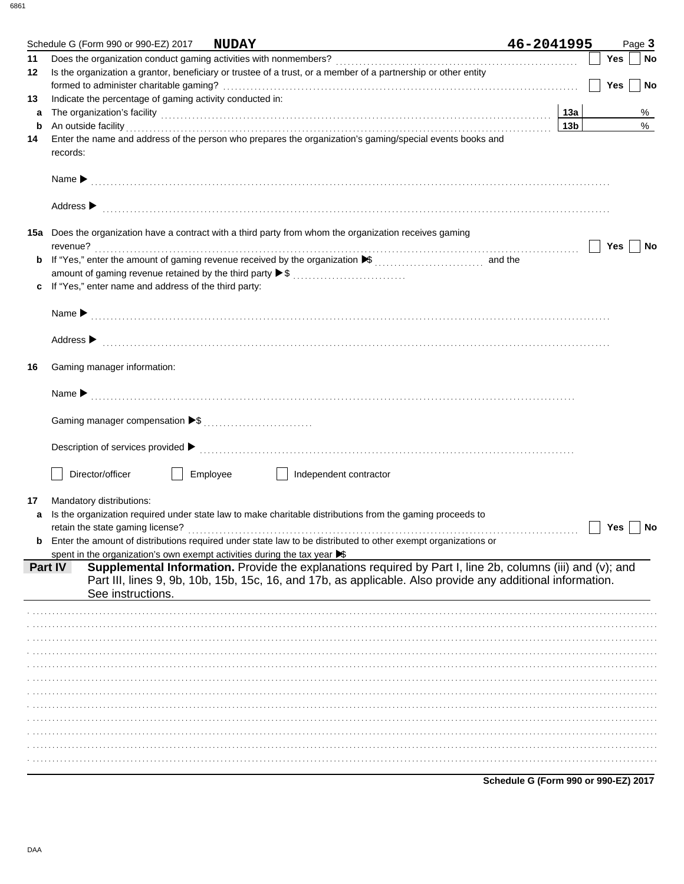|    | Schedule G (Form 990 or 990-EZ) 2017<br><b>NUDAY</b>                                                                                                                                                                                                     | 46-2041995                           |  | Page 3     |  |    |
|----|----------------------------------------------------------------------------------------------------------------------------------------------------------------------------------------------------------------------------------------------------------|--------------------------------------|--|------------|--|----|
| 11 |                                                                                                                                                                                                                                                          |                                      |  | <b>Yes</b> |  | No |
| 12 | Is the organization a grantor, beneficiary or trustee of a trust, or a member of a partnership or other entity                                                                                                                                           |                                      |  |            |  |    |
|    |                                                                                                                                                                                                                                                          |                                      |  | <b>Yes</b> |  | No |
| 13 | Indicate the percentage of gaming activity conducted in:                                                                                                                                                                                                 |                                      |  |            |  |    |
| a  | The organization's facility <b>contained a contained a contained a contained a contained a contained a contained a</b>                                                                                                                                   | 13a                                  |  |            |  | %  |
| b  | An outside facility <b>contained an activity of the facility contained an activity of the contained and activity of the contained and contained and contained and contained and contained and contained and contained and cont</b>                       | 13 <sub>b</sub>                      |  |            |  | %  |
| 14 | Enter the name and address of the person who prepares the organization's gaming/special events books and<br>records:                                                                                                                                     |                                      |  |            |  |    |
|    |                                                                                                                                                                                                                                                          |                                      |  |            |  |    |
|    | Address ▶                                                                                                                                                                                                                                                |                                      |  |            |  |    |
|    | 15a Does the organization have a contract with a third party from whom the organization receives gaming<br>revenue?                                                                                                                                      |                                      |  | Yes        |  | No |
| b  | and the                                                                                                                                                                                                                                                  |                                      |  |            |  |    |
|    |                                                                                                                                                                                                                                                          |                                      |  |            |  |    |
| c  | If "Yes," enter name and address of the third party:                                                                                                                                                                                                     |                                      |  |            |  |    |
|    |                                                                                                                                                                                                                                                          |                                      |  |            |  |    |
|    | Address $\blacktriangleright$                                                                                                                                                                                                                            |                                      |  |            |  |    |
| 16 | Gaming manager information:                                                                                                                                                                                                                              |                                      |  |            |  |    |
|    | Name $\blacktriangleright$                                                                                                                                                                                                                               |                                      |  |            |  |    |
|    |                                                                                                                                                                                                                                                          |                                      |  |            |  |    |
|    |                                                                                                                                                                                                                                                          |                                      |  |            |  |    |
|    | Director/officer<br>Employee<br>Independent contractor                                                                                                                                                                                                   |                                      |  |            |  |    |
| 17 | Mandatory distributions:                                                                                                                                                                                                                                 |                                      |  |            |  |    |
| a  | Is the organization required under state law to make charitable distributions from the gaming proceeds to                                                                                                                                                |                                      |  |            |  |    |
|    | retain the state gaming license?                                                                                                                                                                                                                         |                                      |  | Yes        |  | No |
|    | <b>b</b> Enter the amount of distributions required under state law to be distributed to other exempt organizations or                                                                                                                                   |                                      |  |            |  |    |
|    | spent in the organization's own exempt activities during the tax year $\blacktriangleright$                                                                                                                                                              |                                      |  |            |  |    |
|    | Supplemental Information. Provide the explanations required by Part I, line 2b, columns (iii) and (v); and<br>Part IV<br>Part III, lines 9, 9b, 10b, 15b, 15c, 16, and 17b, as applicable. Also provide any additional information.<br>See instructions. |                                      |  |            |  |    |
|    |                                                                                                                                                                                                                                                          |                                      |  |            |  |    |
|    |                                                                                                                                                                                                                                                          |                                      |  |            |  |    |
|    |                                                                                                                                                                                                                                                          |                                      |  |            |  |    |
|    |                                                                                                                                                                                                                                                          |                                      |  |            |  |    |
|    |                                                                                                                                                                                                                                                          |                                      |  |            |  |    |
|    |                                                                                                                                                                                                                                                          |                                      |  |            |  |    |
|    |                                                                                                                                                                                                                                                          |                                      |  |            |  |    |
|    |                                                                                                                                                                                                                                                          |                                      |  |            |  |    |
|    |                                                                                                                                                                                                                                                          |                                      |  |            |  |    |
|    |                                                                                                                                                                                                                                                          |                                      |  |            |  |    |
|    |                                                                                                                                                                                                                                                          |                                      |  |            |  |    |
|    |                                                                                                                                                                                                                                                          |                                      |  |            |  |    |
|    |                                                                                                                                                                                                                                                          | Schodule G (Form 000 or 000 EZ) 2017 |  |            |  |    |

Schedule G (Form 990 or 990-EZ) 2017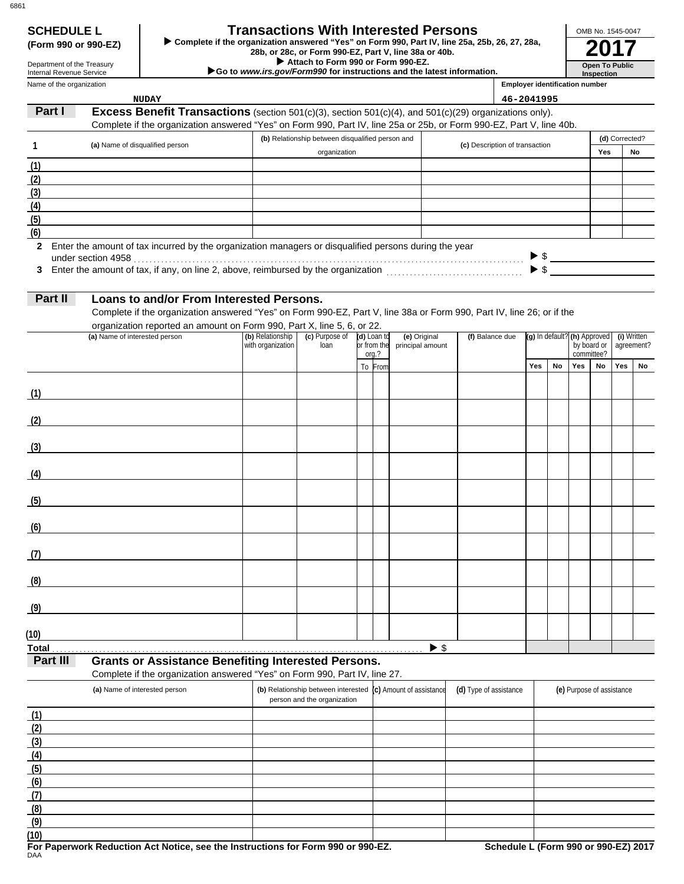## **SCHEDULE L Transactions With Interested Persons**

**(Form 990 or 990-EZ) ► Complete if the organization answered "Yes" on Form 990, Part IV, line 25a, 25b, 26, 27, 28a,<br>28b, or 28c, or Form 990-EZ, Part V, line 38a or 40b.<br>2017** 

 **Attach to Form 990 or Form 990-EZ.**

**Go to** *www.irs.gov/Form990* **for instructions and the latest information.**

Name of the organization Department of the Treasury Internal Revenue Service

**Inspection Employer identification number**

**Open To Public**

OMB No. 1545-0047

|                                                        | <b>NUDAY</b>                                                                                                          |                                       |                                                              |             |             |                                  |                        | 46-2041995                     |    |                              |                           |                |                                                                                                                                                 |
|--------------------------------------------------------|-----------------------------------------------------------------------------------------------------------------------|---------------------------------------|--------------------------------------------------------------|-------------|-------------|----------------------------------|------------------------|--------------------------------|----|------------------------------|---------------------------|----------------|-------------------------------------------------------------------------------------------------------------------------------------------------|
| Part I                                                 | <b>Excess Benefit Transactions</b> (section $501(c)(3)$ , section $501(c)(4)$ , and $501(c)(29)$ organizations only). |                                       |                                                              |             |             |                                  |                        |                                |    |                              |                           |                |                                                                                                                                                 |
|                                                        | Complete if the organization answered "Yes" on Form 990, Part IV, line 25a or 25b, or Form 990-EZ, Part V, line 40b.  |                                       |                                                              |             |             |                                  |                        |                                |    |                              |                           |                |                                                                                                                                                 |
| 1                                                      | (a) Name of disqualified person                                                                                       |                                       | (b) Relationship between disqualified person and             |             |             |                                  |                        | (c) Description of transaction |    |                              |                           | (d) Corrected? |                                                                                                                                                 |
|                                                        |                                                                                                                       |                                       | organization                                                 |             |             |                                  |                        |                                |    |                              | Yes                       |                | No                                                                                                                                              |
| (1)                                                    |                                                                                                                       |                                       |                                                              |             |             |                                  |                        |                                |    |                              |                           |                |                                                                                                                                                 |
|                                                        |                                                                                                                       |                                       |                                                              |             |             |                                  |                        |                                |    |                              |                           |                |                                                                                                                                                 |
|                                                        |                                                                                                                       |                                       |                                                              |             |             |                                  |                        |                                |    |                              |                           |                |                                                                                                                                                 |
| $\frac{(2)}{(3)}$<br>(4)<br>(5)                        |                                                                                                                       |                                       |                                                              |             |             |                                  |                        |                                |    |                              |                           |                |                                                                                                                                                 |
| $\overline{(6)}$                                       |                                                                                                                       |                                       |                                                              |             |             |                                  |                        |                                |    |                              |                           |                |                                                                                                                                                 |
| $\mathbf{2}$                                           | Enter the amount of tax incurred by the organization managers or disqualified persons during the year                 |                                       |                                                              |             |             |                                  |                        |                                |    |                              |                           |                |                                                                                                                                                 |
|                                                        |                                                                                                                       |                                       |                                                              |             |             |                                  |                        |                                |    |                              |                           |                | $\begin{array}{c}\n\blacktriangleright \text{ $$\$}\n\\ \n\blacktriangleright \text{ $$\$}\n\\ \n\blacktriangleright \text{ $$\$}\n\end{array}$ |
| 3                                                      |                                                                                                                       |                                       |                                                              |             |             |                                  |                        |                                |    |                              |                           |                |                                                                                                                                                 |
|                                                        |                                                                                                                       |                                       |                                                              |             |             |                                  |                        |                                |    |                              |                           |                |                                                                                                                                                 |
| Part II                                                | Loans to and/or From Interested Persons.                                                                              |                                       |                                                              |             |             |                                  |                        |                                |    |                              |                           |                |                                                                                                                                                 |
|                                                        | Complete if the organization answered "Yes" on Form 990-EZ, Part V, line 38a or Form 990, Part IV, line 26; or if the |                                       |                                                              |             |             |                                  |                        |                                |    |                              |                           |                |                                                                                                                                                 |
|                                                        | organization reported an amount on Form 990, Part X, line 5, 6, or 22.                                                |                                       |                                                              |             |             |                                  |                        |                                |    |                              |                           |                |                                                                                                                                                 |
|                                                        | (a) Name of interested person                                                                                         | (b) Relationship<br>with organization | (c) Purpose of<br>loan                                       | (d) Loan to | or from the | (e) Original<br>principal amount | (f) Balance due        |                                |    | (g) In default? (h) Approved | by board or               |                | (i) Written<br>agreement?                                                                                                                       |
|                                                        |                                                                                                                       |                                       |                                                              |             | org.?       |                                  |                        |                                |    |                              | committee?                |                |                                                                                                                                                 |
|                                                        |                                                                                                                       |                                       |                                                              |             | To From     |                                  |                        | Yes                            | No | Yes                          | No                        | Yes            | No                                                                                                                                              |
| (1)                                                    |                                                                                                                       |                                       |                                                              |             |             |                                  |                        |                                |    |                              |                           |                |                                                                                                                                                 |
|                                                        |                                                                                                                       |                                       |                                                              |             |             |                                  |                        |                                |    |                              |                           |                |                                                                                                                                                 |
| (2)                                                    |                                                                                                                       |                                       |                                                              |             |             |                                  |                        |                                |    |                              |                           |                |                                                                                                                                                 |
|                                                        |                                                                                                                       |                                       |                                                              |             |             |                                  |                        |                                |    |                              |                           |                |                                                                                                                                                 |
| (3)                                                    |                                                                                                                       |                                       |                                                              |             |             |                                  |                        |                                |    |                              |                           |                |                                                                                                                                                 |
|                                                        |                                                                                                                       |                                       |                                                              |             |             |                                  |                        |                                |    |                              |                           |                |                                                                                                                                                 |
| (4)                                                    |                                                                                                                       |                                       |                                                              |             |             |                                  |                        |                                |    |                              |                           |                |                                                                                                                                                 |
|                                                        |                                                                                                                       |                                       |                                                              |             |             |                                  |                        |                                |    |                              |                           |                |                                                                                                                                                 |
| (5)                                                    |                                                                                                                       |                                       |                                                              |             |             |                                  |                        |                                |    |                              |                           |                |                                                                                                                                                 |
|                                                        |                                                                                                                       |                                       |                                                              |             |             |                                  |                        |                                |    |                              |                           |                |                                                                                                                                                 |
| (6)                                                    |                                                                                                                       |                                       |                                                              |             |             |                                  |                        |                                |    |                              |                           |                |                                                                                                                                                 |
|                                                        |                                                                                                                       |                                       |                                                              |             |             |                                  |                        |                                |    |                              |                           |                |                                                                                                                                                 |
| (7)                                                    |                                                                                                                       |                                       |                                                              |             |             |                                  |                        |                                |    |                              |                           |                |                                                                                                                                                 |
| (8)                                                    |                                                                                                                       |                                       |                                                              |             |             |                                  |                        |                                |    |                              |                           |                |                                                                                                                                                 |
|                                                        |                                                                                                                       |                                       |                                                              |             |             |                                  |                        |                                |    |                              |                           |                |                                                                                                                                                 |
| (9)                                                    |                                                                                                                       |                                       |                                                              |             |             |                                  |                        |                                |    |                              |                           |                |                                                                                                                                                 |
|                                                        |                                                                                                                       |                                       |                                                              |             |             |                                  |                        |                                |    |                              |                           |                |                                                                                                                                                 |
| (10)                                                   |                                                                                                                       |                                       |                                                              |             |             |                                  |                        |                                |    |                              |                           |                |                                                                                                                                                 |
| <b>Total</b>                                           |                                                                                                                       |                                       |                                                              |             |             | $\blacktriangleright$ \$         |                        |                                |    |                              |                           |                |                                                                                                                                                 |
| Part III                                               | <b>Grants or Assistance Benefiting Interested Persons.</b>                                                            |                                       |                                                              |             |             |                                  |                        |                                |    |                              |                           |                |                                                                                                                                                 |
|                                                        | Complete if the organization answered "Yes" on Form 990, Part IV, line 27.                                            |                                       |                                                              |             |             |                                  |                        |                                |    |                              |                           |                |                                                                                                                                                 |
|                                                        | (a) Name of interested person                                                                                         |                                       | (b) Relationship between interested (c) Amount of assistance |             |             |                                  | (d) Type of assistance |                                |    |                              | (e) Purpose of assistance |                |                                                                                                                                                 |
|                                                        |                                                                                                                       |                                       | person and the organization                                  |             |             |                                  |                        |                                |    |                              |                           |                |                                                                                                                                                 |
|                                                        |                                                                                                                       |                                       |                                                              |             |             |                                  |                        |                                |    |                              |                           |                |                                                                                                                                                 |
|                                                        |                                                                                                                       |                                       |                                                              |             |             |                                  |                        |                                |    |                              |                           |                |                                                                                                                                                 |
|                                                        |                                                                                                                       |                                       |                                                              |             |             |                                  |                        |                                |    |                              |                           |                |                                                                                                                                                 |
|                                                        |                                                                                                                       |                                       |                                                              |             |             |                                  |                        |                                |    |                              |                           |                |                                                                                                                                                 |
|                                                        |                                                                                                                       |                                       |                                                              |             |             |                                  |                        |                                |    |                              |                           |                |                                                                                                                                                 |
|                                                        |                                                                                                                       |                                       |                                                              |             |             |                                  |                        |                                |    |                              |                           |                |                                                                                                                                                 |
|                                                        |                                                                                                                       |                                       |                                                              |             |             |                                  |                        |                                |    |                              |                           |                |                                                                                                                                                 |
| $(1)$<br>(2)<br>(3)<br>(4)<br>(5)<br>(6)<br>(7)<br>(8) |                                                                                                                       |                                       |                                                              |             |             |                                  |                        |                                |    |                              |                           |                |                                                                                                                                                 |
| (10)                                                   |                                                                                                                       |                                       |                                                              |             |             |                                  |                        |                                |    |                              |                           |                |                                                                                                                                                 |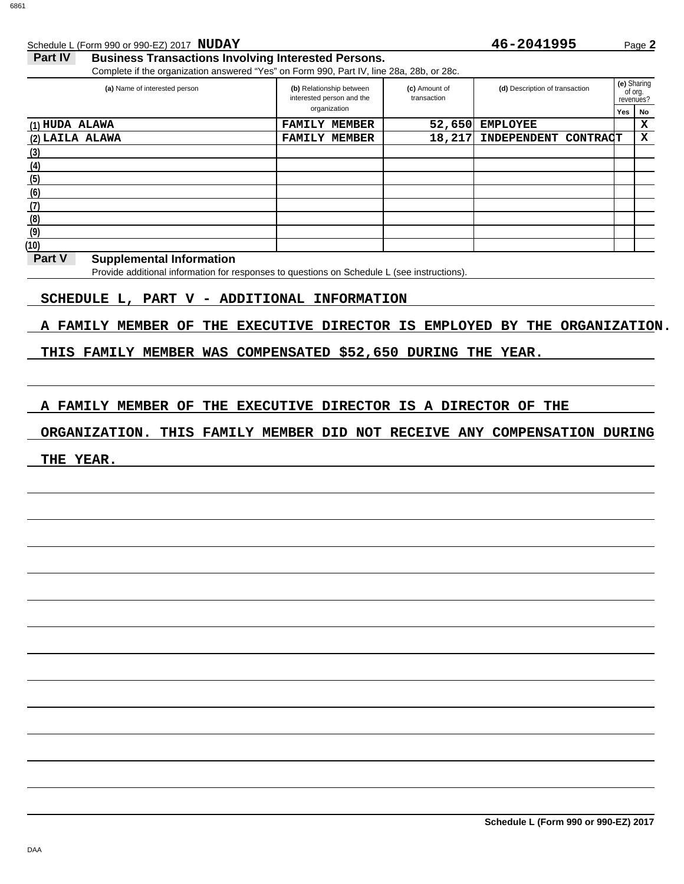| Schedule L (Form 990 or 990-EZ) 2017 NUDAY                                               |               | 46-2041995                                            |                              |                                | Page 2   |     |                                     |  |
|------------------------------------------------------------------------------------------|---------------|-------------------------------------------------------|------------------------------|--------------------------------|----------|-----|-------------------------------------|--|
| <b>Part IV</b><br><b>Business Transactions Involving Interested Persons.</b>             |               |                                                       |                              |                                |          |     |                                     |  |
| Complete if the organization answered "Yes" on Form 990, Part IV, line 28a, 28b, or 28c. |               |                                                       |                              |                                |          |     |                                     |  |
| (a) Name of interested person                                                            |               | (b) Relationship between<br>interested person and the | (c) Amount of<br>transaction | (d) Description of transaction |          |     | (e) Sharing<br>of org.<br>revenues? |  |
|                                                                                          |               | organization                                          |                              |                                |          | Yes | No                                  |  |
| (1) HUDA ALAWA                                                                           | <b>FAMILY</b> | <b>MEMBER</b>                                         | 52,650                       | <b>EMPLOYEE</b>                |          |     | X                                   |  |
| $(2)$ LAILA ALAWA                                                                        | <b>FAMILY</b> | <b>MEMBER</b>                                         | 18,217                       | <b>INDEPENDENT</b>             | CONTRACT |     | X                                   |  |
| (3)                                                                                      |               |                                                       |                              |                                |          |     |                                     |  |
| (4)                                                                                      |               |                                                       |                              |                                |          |     |                                     |  |
| (5)                                                                                      |               |                                                       |                              |                                |          |     |                                     |  |
| (6)                                                                                      |               |                                                       |                              |                                |          |     |                                     |  |
| (7)                                                                                      |               |                                                       |                              |                                |          |     |                                     |  |
| (8)                                                                                      |               |                                                       |                              |                                |          |     |                                     |  |
| (9)                                                                                      |               |                                                       |                              |                                |          |     |                                     |  |
| (10)                                                                                     |               |                                                       |                              |                                |          |     |                                     |  |

### **Part V** Supplemental Information

Provide additional information for responses to questions on Schedule L (see instructions).

### **SCHEDULE L, PART V - ADDITIONAL INFORMATION**

## **A FAMILY MEMBER OF THE EXECUTIVE DIRECTOR IS EMPLOYED BY THE ORGANIZATION.**

### **THIS FAMILY MEMBER WAS COMPENSATED \$52,650 DURING THE YEAR.**

### **A FAMILY MEMBER OF THE EXECUTIVE DIRECTOR IS A DIRECTOR OF THE**

### **ORGANIZATION. THIS FAMILY MEMBER DID NOT RECEIVE ANY COMPENSATION DURING**

### **THE YEAR.**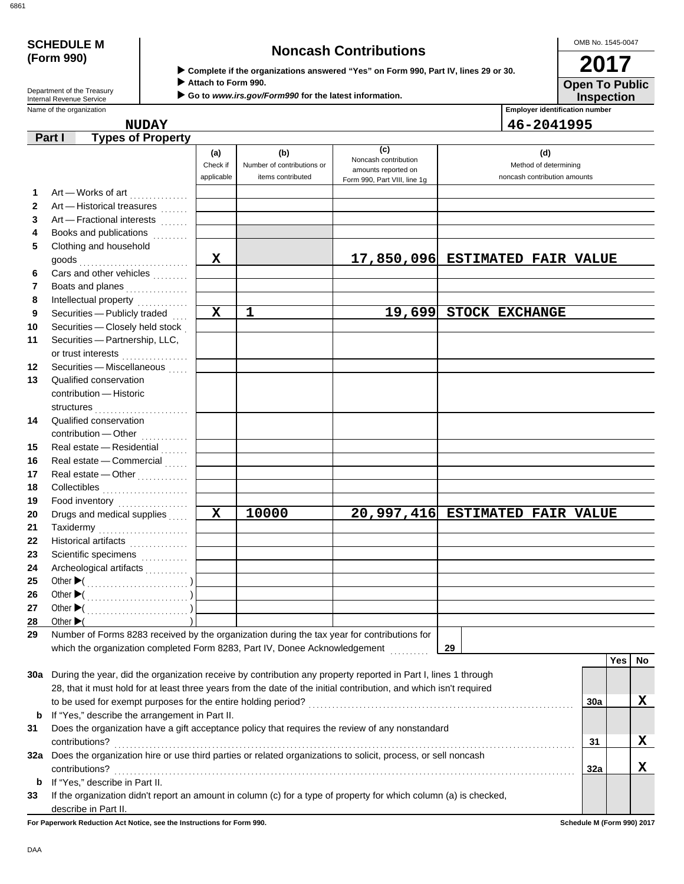6861

Department of the Treasury<br>Internal Revenue Service

# **SCHEDULE M Noncash Contributions**

OMB No. 1545-0047

 **Attach to Form 990.**

 **Go to** *www.irs.gov/Form990* **for the latest information.**

**Inspection Open To Public 2017**

| 46-2041995 |  |  |  |
|------------|--|--|--|

|              | <b>NUDAY</b>                                                                                                       |                               |                                                        |                                                                                    | 46-2041995                                                   |            |     |     |
|--------------|--------------------------------------------------------------------------------------------------------------------|-------------------------------|--------------------------------------------------------|------------------------------------------------------------------------------------|--------------------------------------------------------------|------------|-----|-----|
|              | <b>Types of Property</b><br>Part I                                                                                 |                               |                                                        |                                                                                    |                                                              |            |     |     |
|              |                                                                                                                    | (a)<br>Check if<br>applicable | (b)<br>Number of contributions or<br>items contributed | (c)<br>Noncash contribution<br>amounts reported on<br>Form 990, Part VIII, line 1g | (d)<br>Method of determining<br>noncash contribution amounts |            |     |     |
| 1            | Art - Works of art<br>.                                                                                            |                               |                                                        |                                                                                    |                                                              |            |     |     |
| $\mathbf{2}$ | Art - Historical treasures                                                                                         |                               |                                                        |                                                                                    |                                                              |            |     |     |
| 3            | Art - Fractional interests                                                                                         |                               |                                                        |                                                                                    |                                                              |            |     |     |
| 4            | Books and publications                                                                                             |                               |                                                        |                                                                                    |                                                              |            |     |     |
| 5            | Clothing and household                                                                                             | $\mathbf X$                   |                                                        |                                                                                    | 17,850,096 ESTIMATED FAIR VALUE                              |            |     |     |
| 6            | Cars and other vehicles                                                                                            |                               |                                                        |                                                                                    |                                                              |            |     |     |
| 7            | Boats and planes                                                                                                   |                               |                                                        |                                                                                    |                                                              |            |     |     |
| 8            | .<br>Intellectual property                                                                                         |                               |                                                        |                                                                                    |                                                              |            |     |     |
| 9            | Securities - Publicly traded                                                                                       | $\mathbf x$                   | $\mathbf{1}$                                           |                                                                                    | 19,699 STOCK EXCHANGE                                        |            |     |     |
| 10           | Securities - Closely held stock                                                                                    |                               |                                                        |                                                                                    |                                                              |            |     |     |
| 11           | Securities - Partnership, LLC,                                                                                     |                               |                                                        |                                                                                    |                                                              |            |     |     |
|              | or trust interests                                                                                                 |                               |                                                        |                                                                                    |                                                              |            |     |     |
| 12<br>13     | Securities - Miscellaneous<br>Qualified conservation                                                               |                               |                                                        |                                                                                    |                                                              |            |     |     |
|              | contribution - Historic                                                                                            |                               |                                                        |                                                                                    |                                                              |            |     |     |
|              | structures                                                                                                         |                               |                                                        |                                                                                    |                                                              |            |     |     |
| 14           | Qualified conservation                                                                                             |                               |                                                        |                                                                                    |                                                              |            |     |     |
|              | contribution - Other<br>.<br>.                                                                                     |                               |                                                        |                                                                                    |                                                              |            |     |     |
| 15           | Real estate - Residential                                                                                          |                               |                                                        |                                                                                    |                                                              |            |     |     |
| 16           | Real estate - Commercial                                                                                           |                               |                                                        |                                                                                    |                                                              |            |     |     |
| 17           | Real estate - Other<br>                                                                                            |                               |                                                        |                                                                                    |                                                              |            |     |     |
| 18           |                                                                                                                    |                               |                                                        |                                                                                    |                                                              |            |     |     |
| 19           | Food inventory                                                                                                     |                               |                                                        |                                                                                    |                                                              |            |     |     |
| 20           | Drugs and medical supplies                                                                                         | $\mathbf x$                   | 10000                                                  |                                                                                    | 20,997,416 ESTIMATED FAIR VALUE                              |            |     |     |
| 21           | Taxidermy                                                                                                          |                               |                                                        |                                                                                    |                                                              |            |     |     |
| 22           | Historical artifacts                                                                                               |                               |                                                        |                                                                                    |                                                              |            |     |     |
| 23<br>24     | Scientific specimens                                                                                               |                               |                                                        |                                                                                    |                                                              |            |     |     |
| 25           | Archeological artifacts                                                                                            |                               |                                                        |                                                                                    |                                                              |            |     |     |
| 26           |                                                                                                                    |                               |                                                        |                                                                                    |                                                              |            |     |     |
| 27           | Other $\blacktriangleright$ (                                                                                      |                               |                                                        |                                                                                    |                                                              |            |     |     |
| 28           | Other $\blacktriangleright$                                                                                        |                               |                                                        |                                                                                    |                                                              |            |     |     |
| 29           | Number of Forms 8283 received by the organization during the tax year for contributions for                        |                               |                                                        |                                                                                    |                                                              |            |     |     |
|              | which the organization completed Form 8283, Part IV, Donee Acknowledgement                                         |                               |                                                        |                                                                                    | 29                                                           |            |     |     |
|              |                                                                                                                    |                               |                                                        |                                                                                    |                                                              |            | Yes | No. |
|              | 30a During the year, did the organization receive by contribution any property reported in Part I, lines 1 through |                               |                                                        |                                                                                    |                                                              |            |     |     |
|              | 28, that it must hold for at least three years from the date of the initial contribution, and which isn't required |                               |                                                        |                                                                                    |                                                              |            |     |     |
|              | to be used for exempt purposes for the entire holding period?                                                      |                               |                                                        |                                                                                    |                                                              | <b>30a</b> |     | x   |
|              | <b>b</b> If "Yes," describe the arrangement in Part II.                                                            |                               |                                                        |                                                                                    |                                                              |            |     |     |
| 31           | Does the organization have a gift acceptance policy that requires the review of any nonstandard                    |                               |                                                        |                                                                                    |                                                              |            |     |     |
|              | contributions?                                                                                                     |                               |                                                        |                                                                                    |                                                              | 31         |     | X   |
|              | 32a Does the organization hire or use third parties or related organizations to solicit, process, or sell noncash  |                               |                                                        |                                                                                    |                                                              |            |     |     |
|              | contributions?                                                                                                     |                               |                                                        |                                                                                    |                                                              | 32a        |     | X   |
|              | <b>b</b> If "Yes," describe in Part II.                                                                            |                               |                                                        |                                                                                    |                                                              |            |     |     |
| 33           | If the organization didn't report an amount in column (c) for a type of property for which column (a) is checked,  |                               |                                                        |                                                                                    |                                                              |            |     |     |
|              | describe in Part II.                                                                                               |                               |                                                        |                                                                                    |                                                              |            |     |     |

**For Paperwork Reduction Act Notice, see the Instructions for Form 990. Schedule M (Form 990) 2017**

Name of the organization **Employer identification number Employer identification number**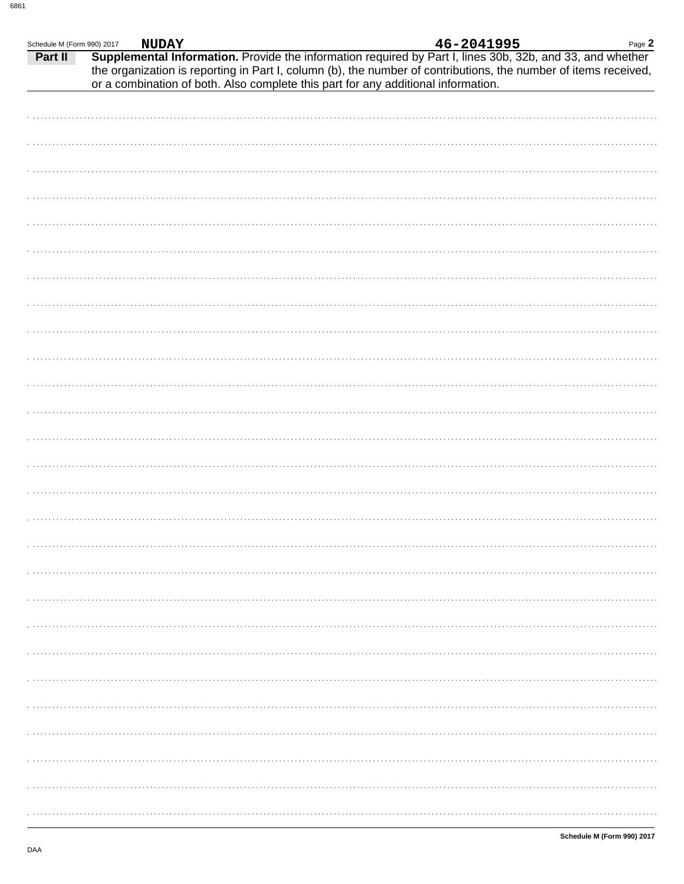| Schedule M (Form 990) 2017 | <b>NUDAY</b>                                                                                                                                                                                                                                                                                                   | 46-2041995 | Page 2 |
|----------------------------|----------------------------------------------------------------------------------------------------------------------------------------------------------------------------------------------------------------------------------------------------------------------------------------------------------------|------------|--------|
| Part II                    | Supplemental Information. Provide the information required by Part I, lines 30b, 32b, and 33, and whether the organization is reporting in Part I, column (b), the number of contributions, the number of items received,<br>or a combination of both. Also complete this part for any additional information. |            |        |
|                            |                                                                                                                                                                                                                                                                                                                |            |        |
|                            |                                                                                                                                                                                                                                                                                                                |            |        |
|                            |                                                                                                                                                                                                                                                                                                                |            |        |
|                            |                                                                                                                                                                                                                                                                                                                |            |        |
|                            |                                                                                                                                                                                                                                                                                                                |            |        |
|                            |                                                                                                                                                                                                                                                                                                                |            |        |
|                            |                                                                                                                                                                                                                                                                                                                |            |        |
|                            |                                                                                                                                                                                                                                                                                                                |            |        |
|                            |                                                                                                                                                                                                                                                                                                                |            |        |
|                            |                                                                                                                                                                                                                                                                                                                |            |        |
|                            |                                                                                                                                                                                                                                                                                                                |            |        |
|                            |                                                                                                                                                                                                                                                                                                                |            |        |
|                            |                                                                                                                                                                                                                                                                                                                |            |        |
|                            |                                                                                                                                                                                                                                                                                                                |            |        |
|                            |                                                                                                                                                                                                                                                                                                                |            |        |
|                            |                                                                                                                                                                                                                                                                                                                |            |        |
|                            |                                                                                                                                                                                                                                                                                                                |            |        |
|                            |                                                                                                                                                                                                                                                                                                                |            |        |
|                            |                                                                                                                                                                                                                                                                                                                |            |        |
|                            |                                                                                                                                                                                                                                                                                                                |            |        |
|                            |                                                                                                                                                                                                                                                                                                                |            |        |
|                            |                                                                                                                                                                                                                                                                                                                |            |        |
|                            |                                                                                                                                                                                                                                                                                                                |            |        |
|                            |                                                                                                                                                                                                                                                                                                                |            |        |
|                            |                                                                                                                                                                                                                                                                                                                |            |        |
|                            |                                                                                                                                                                                                                                                                                                                |            |        |
|                            |                                                                                                                                                                                                                                                                                                                |            |        |
|                            |                                                                                                                                                                                                                                                                                                                |            |        |
|                            |                                                                                                                                                                                                                                                                                                                |            |        |
|                            |                                                                                                                                                                                                                                                                                                                |            |        |
|                            |                                                                                                                                                                                                                                                                                                                |            |        |
|                            |                                                                                                                                                                                                                                                                                                                |            |        |
|                            |                                                                                                                                                                                                                                                                                                                |            |        |
|                            |                                                                                                                                                                                                                                                                                                                |            |        |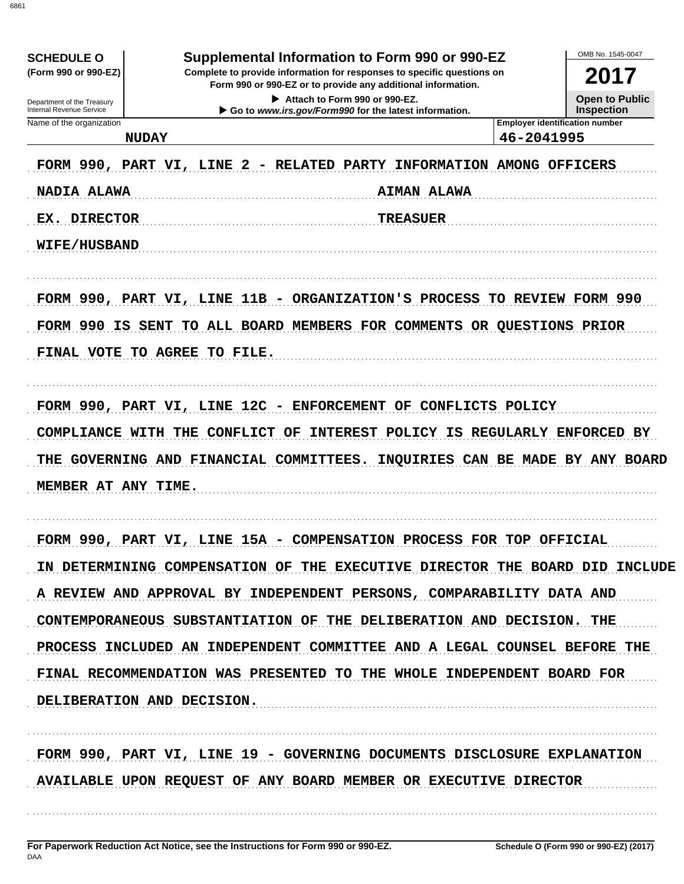| (Form 990 or 990-EZ)                                   | Supplemental Information to Form 990 or 990-EZ<br>Complete to provide information for responses to specific questions on<br>Form 990 or 990-EZ or to provide any additional information. |                    |                                                     | 2017                                       |  |  |  |
|--------------------------------------------------------|------------------------------------------------------------------------------------------------------------------------------------------------------------------------------------------|--------------------|-----------------------------------------------------|--------------------------------------------|--|--|--|
| Department of the Treasury<br>Internal Revenue Service | Attach to Form 990 or 990-EZ.<br>Go to www.irs.gov/Form990 for the latest information.                                                                                                   |                    |                                                     | <b>Open to Public</b><br><b>Inspection</b> |  |  |  |
| Name of the organization<br><b>NUDAY</b>               |                                                                                                                                                                                          |                    | <b>Employer identification number</b><br>46-2041995 |                                            |  |  |  |
|                                                        | FORM 990, PART VI, LINE 2 - RELATED PARTY INFORMATION AMONG OFFICERS                                                                                                                     |                    |                                                     |                                            |  |  |  |
| <b>NADIA ALAWA</b>                                     |                                                                                                                                                                                          | <b>AIMAN ALAWA</b> |                                                     |                                            |  |  |  |
| EX. DIRECTOR                                           |                                                                                                                                                                                          | <b>TREASUER</b>    |                                                     |                                            |  |  |  |
| <b>WIFE/HUSBAND</b>                                    |                                                                                                                                                                                          |                    |                                                     |                                            |  |  |  |
|                                                        |                                                                                                                                                                                          |                    |                                                     |                                            |  |  |  |
|                                                        | FORM 990, PART VI, LINE 11B - ORGANIZATION'S PROCESS TO REVIEW FORM 990                                                                                                                  |                    |                                                     |                                            |  |  |  |
|                                                        | FORM 990 IS SENT TO ALL BOARD MEMBERS FOR COMMENTS OR QUESTIONS PRIOR                                                                                                                    |                    |                                                     |                                            |  |  |  |
|                                                        |                                                                                                                                                                                          |                    |                                                     |                                            |  |  |  |
|                                                        | FINAL VOTE TO AGREE TO FILE.                                                                                                                                                             |                    |                                                     |                                            |  |  |  |
|                                                        |                                                                                                                                                                                          |                    |                                                     |                                            |  |  |  |
|                                                        | FORM 990, PART VI, LINE 12C - ENFORCEMENT OF CONFLICTS POLICY                                                                                                                            |                    |                                                     |                                            |  |  |  |
|                                                        | COMPLIANCE WITH THE CONFLICT OF INTEREST POLICY IS REGULARLY ENFORCED BY                                                                                                                 |                    |                                                     |                                            |  |  |  |
|                                                        |                                                                                                                                                                                          |                    |                                                     |                                            |  |  |  |
| MEMBER AT ANY TIME.                                    | THE GOVERNING AND FINANCIAL COMMITTEES. INQUIRIES CAN BE MADE BY ANY BOARD                                                                                                               |                    |                                                     |                                            |  |  |  |
|                                                        |                                                                                                                                                                                          |                    |                                                     |                                            |  |  |  |
|                                                        | FORM 990, PART VI, LINE 15A - COMPENSATION PROCESS FOR TOP OFFICIAL                                                                                                                      |                    |                                                     |                                            |  |  |  |
|                                                        | IN DETERMINING COMPENSATION OF THE EXECUTIVE DIRECTOR THE BOARD DID INCLUDE                                                                                                              |                    |                                                     |                                            |  |  |  |
|                                                        | A REVIEW AND APPROVAL BY INDEPENDENT PERSONS, COMPARABILITY DATA AND                                                                                                                     |                    |                                                     |                                            |  |  |  |
|                                                        | CONTEMPORANEOUS SUBSTANTIATION OF THE DELIBERATION AND DECISION. THE                                                                                                                     |                    |                                                     |                                            |  |  |  |
|                                                        | PROCESS INCLUDED AN INDEPENDENT COMMITTEE AND A LEGAL COUNSEL BEFORE THE                                                                                                                 |                    |                                                     |                                            |  |  |  |
|                                                        | FINAL RECOMMENDATION WAS PRESENTED TO THE WHOLE INDEPENDENT BOARD FOR                                                                                                                    |                    |                                                     |                                            |  |  |  |
| DELIBERATION AND DECISION.                             |                                                                                                                                                                                          |                    |                                                     |                                            |  |  |  |
|                                                        |                                                                                                                                                                                          |                    |                                                     |                                            |  |  |  |
|                                                        | FORM 990, PART VI, LINE 19 - GOVERNING DOCUMENTS DISCLOSURE EXPLANATION                                                                                                                  |                    |                                                     |                                            |  |  |  |

6861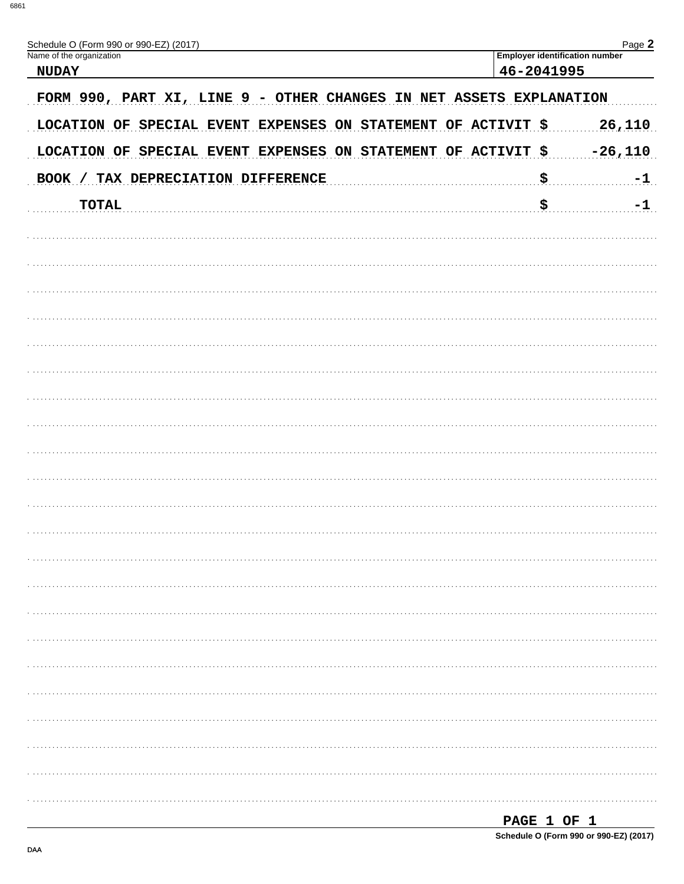| Schedule O (Form 990 or 990-EZ) (2017)<br>Name of the organization  |            | Page 2<br><b>Employer identification number</b> |
|---------------------------------------------------------------------|------------|-------------------------------------------------|
| <b>NUDAY</b>                                                        | 46-2041995 |                                                 |
| FORM 990, PART XI, LINE 9 - OTHER CHANGES IN NET ASSETS EXPLANATION |            |                                                 |
| LOCATION OF SPECIAL EVENT EXPENSES ON STATEMENT OF ACTIVIT          | - \$       | 26,110                                          |
| LOCATION OF SPECIAL EVENT EXPENSES ON STATEMENT OF ACTIVIT          | <u>ِي</u>  | $-26,110$                                       |
| BOOK / TAX DEPRECIATION DIFFERENCE                                  | \$.        | $-1$ .                                          |
| <b>TOTAL</b>                                                        | \$         | $-1$                                            |
|                                                                     |            |                                                 |
|                                                                     |            |                                                 |
|                                                                     |            |                                                 |
|                                                                     |            |                                                 |
|                                                                     |            |                                                 |
|                                                                     |            |                                                 |
|                                                                     |            |                                                 |
|                                                                     |            |                                                 |
|                                                                     |            |                                                 |
|                                                                     |            |                                                 |
|                                                                     |            |                                                 |
|                                                                     |            |                                                 |
|                                                                     |            |                                                 |
|                                                                     |            |                                                 |
|                                                                     |            |                                                 |
|                                                                     |            |                                                 |
|                                                                     |            |                                                 |
|                                                                     |            |                                                 |
|                                                                     |            |                                                 |
|                                                                     |            |                                                 |
|                                                                     |            |                                                 |
|                                                                     |            |                                                 |
|                                                                     |            |                                                 |
|                                                                     |            |                                                 |
|                                                                     |            |                                                 |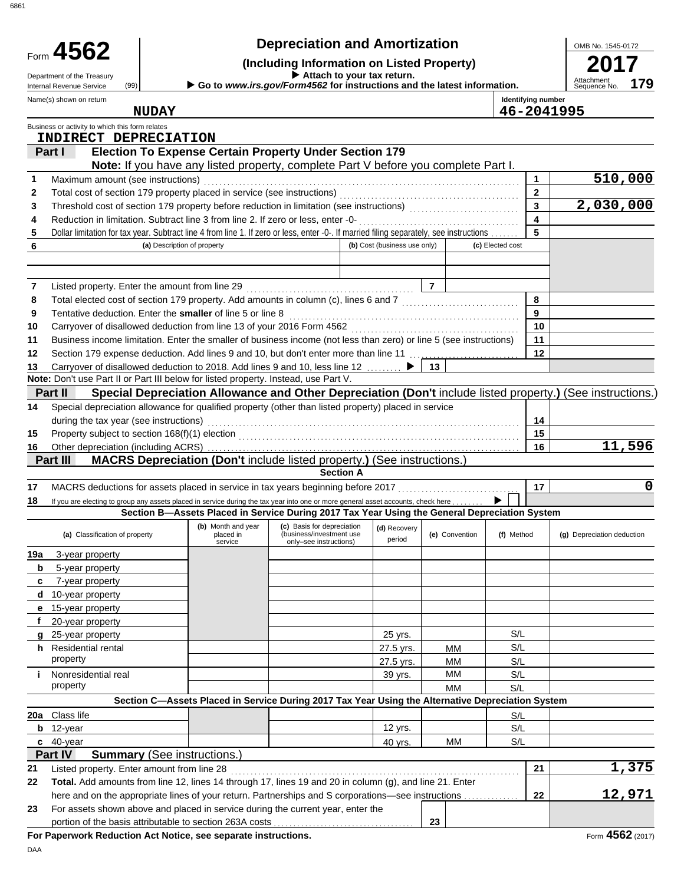|                       | Form 4562<br>Department of the Treasury<br>(99)<br>Internal Revenue Service                                                                                                           | Go to www.irs.gov/Form4562 for instructions and the latest information.                                             |                                                    | <b>Depreciation and Amortization</b><br>(Including Information on Listed Property)<br>Attach to your tax return. | OMB No. 1545-0172<br>Attachment<br>179<br>Sequence No. |                 |                  |                           |                                                                                                            |
|-----------------------|---------------------------------------------------------------------------------------------------------------------------------------------------------------------------------------|---------------------------------------------------------------------------------------------------------------------|----------------------------------------------------|------------------------------------------------------------------------------------------------------------------|--------------------------------------------------------|-----------------|------------------|---------------------------|------------------------------------------------------------------------------------------------------------|
|                       | Name(s) shown on return<br><b>NUDAY</b>                                                                                                                                               |                                                                                                                     |                                                    |                                                                                                                  |                                                        |                 |                  | <b>Identifying number</b> | 46-2041995                                                                                                 |
|                       | Business or activity to which this form relates                                                                                                                                       |                                                                                                                     |                                                    |                                                                                                                  |                                                        |                 |                  |                           |                                                                                                            |
|                       | INDIRECT DEPRECIATION                                                                                                                                                                 |                                                                                                                     |                                                    |                                                                                                                  |                                                        |                 |                  |                           |                                                                                                            |
|                       | <b>Election To Expense Certain Property Under Section 179</b><br>Part I<br>Note: If you have any listed property, complete Part V before you complete Part I.                         |                                                                                                                     |                                                    |                                                                                                                  |                                                        |                 |                  |                           |                                                                                                            |
| 1                     | Maximum amount (see instructions)                                                                                                                                                     |                                                                                                                     |                                                    |                                                                                                                  |                                                        |                 |                  | $\mathbf{1}$              | 510,000                                                                                                    |
| 2                     |                                                                                                                                                                                       |                                                                                                                     |                                                    |                                                                                                                  |                                                        |                 |                  | $\mathbf{2}$              |                                                                                                            |
| 3                     |                                                                                                                                                                                       |                                                                                                                     |                                                    |                                                                                                                  |                                                        |                 |                  | 3                         | $\overline{2,030}$ ,000                                                                                    |
| 4                     | Reduction in limitation. Subtract line 3 from line 2. If zero or less, enter -0-                                                                                                      |                                                                                                                     |                                                    |                                                                                                                  |                                                        |                 |                  | 4                         |                                                                                                            |
| 5                     | Dollar limitation for tax year. Subtract line 4 from line 1. If zero or less, enter -0-. If married filing separately, see instructions                                               |                                                                                                                     |                                                    |                                                                                                                  |                                                        |                 |                  | 5                         |                                                                                                            |
| 6                     |                                                                                                                                                                                       | (a) Description of property                                                                                         |                                                    | (b) Cost (business use only)                                                                                     |                                                        |                 | (c) Elected cost |                           |                                                                                                            |
|                       |                                                                                                                                                                                       |                                                                                                                     |                                                    |                                                                                                                  |                                                        |                 |                  |                           |                                                                                                            |
| 7                     | Listed property. Enter the amount from line 29                                                                                                                                        |                                                                                                                     |                                                    |                                                                                                                  | $\overline{7}$                                         |                 |                  |                           |                                                                                                            |
| 8                     | Total elected cost of section 179 property. Add amounts in column (c), lines 6 and 7                                                                                                  |                                                                                                                     |                                                    |                                                                                                                  |                                                        |                 |                  | 8                         |                                                                                                            |
| 9                     | Tentative deduction. Enter the smaller of line 5 or line 8                                                                                                                            |                                                                                                                     |                                                    |                                                                                                                  |                                                        |                 |                  | 9                         |                                                                                                            |
| 10<br>11              | Business income limitation. Enter the smaller of business income (not less than zero) or line 5 (see instructions)                                                                    |                                                                                                                     |                                                    |                                                                                                                  |                                                        |                 |                  | 10<br>11                  |                                                                                                            |
| 12                    | Section 179 expense deduction. Add lines 9 and 10, but don't enter more than line 11                                                                                                  |                                                                                                                     |                                                    |                                                                                                                  |                                                        |                 |                  | 12                        |                                                                                                            |
| 13                    | Carryover of disallowed deduction to 2018. Add lines 9 and 10, less line 12                                                                                                           |                                                                                                                     |                                                    |                                                                                                                  | 13                                                     |                 |                  |                           |                                                                                                            |
|                       | Note: Don't use Part II or Part III below for listed property. Instead, use Part V.                                                                                                   |                                                                                                                     |                                                    |                                                                                                                  |                                                        |                 |                  |                           |                                                                                                            |
|                       | Part II                                                                                                                                                                               |                                                                                                                     |                                                    |                                                                                                                  |                                                        |                 |                  |                           | Special Depreciation Allowance and Other Depreciation (Don't include listed property.) (See instructions.) |
| 14                    | Special depreciation allowance for qualified property (other than listed property) placed in service                                                                                  |                                                                                                                     |                                                    |                                                                                                                  |                                                        |                 |                  |                           |                                                                                                            |
|                       | during the tax year (see instructions)                                                                                                                                                |                                                                                                                     |                                                    |                                                                                                                  |                                                        |                 |                  | 14                        |                                                                                                            |
| 15                    |                                                                                                                                                                                       |                                                                                                                     |                                                    |                                                                                                                  |                                                        |                 |                  | 15                        |                                                                                                            |
| 16                    |                                                                                                                                                                                       |                                                                                                                     |                                                    |                                                                                                                  |                                                        |                 |                  | 16                        |                                                                                                            |
|                       |                                                                                                                                                                                       |                                                                                                                     |                                                    |                                                                                                                  |                                                        |                 |                  |                           |                                                                                                            |
|                       | Part III                                                                                                                                                                              |                                                                                                                     |                                                    | MACRS Depreciation (Don't include listed property.) (See instructions.)                                          |                                                        |                 |                  |                           |                                                                                                            |
|                       |                                                                                                                                                                                       |                                                                                                                     |                                                    | <b>Section A</b>                                                                                                 |                                                        |                 |                  |                           |                                                                                                            |
|                       | MACRS deductions for assets placed in service in tax years beginning before 2017                                                                                                      |                                                                                                                     |                                                    |                                                                                                                  |                                                        |                 |                  | 17                        |                                                                                                            |
|                       | If you are electing to group any assets placed in service during the tax year into one or more general asset accounts, check here                                                     |                                                                                                                     |                                                    |                                                                                                                  |                                                        |                 |                  |                           |                                                                                                            |
|                       |                                                                                                                                                                                       | Section B-Assets Placed in Service During 2017 Tax Year Using the General Depreciation System<br>(b) Month and year | (c) Basis for depreciation                         |                                                                                                                  |                                                        |                 |                  |                           |                                                                                                            |
|                       | (a) Classification of property                                                                                                                                                        | placed in<br>service                                                                                                | (business/investment use<br>only-see instructions) | (d) Recovery<br>period                                                                                           |                                                        | (e) Convention  | (f) Method       |                           | (g) Depreciation deduction                                                                                 |
|                       | 3-year property                                                                                                                                                                       |                                                                                                                     |                                                    |                                                                                                                  |                                                        |                 |                  |                           |                                                                                                            |
| b                     | 5-year property                                                                                                                                                                       |                                                                                                                     |                                                    |                                                                                                                  |                                                        |                 |                  |                           |                                                                                                            |
| c                     | 7-year property                                                                                                                                                                       |                                                                                                                     |                                                    |                                                                                                                  |                                                        |                 |                  |                           |                                                                                                            |
|                       | d 10-year property                                                                                                                                                                    |                                                                                                                     |                                                    |                                                                                                                  |                                                        |                 |                  |                           |                                                                                                            |
|                       | e 15-year property                                                                                                                                                                    |                                                                                                                     |                                                    |                                                                                                                  |                                                        |                 |                  |                           |                                                                                                            |
| f                     | 20-year property                                                                                                                                                                      |                                                                                                                     |                                                    |                                                                                                                  |                                                        |                 |                  |                           |                                                                                                            |
| a                     | 25-year property                                                                                                                                                                      |                                                                                                                     |                                                    | 25 yrs.                                                                                                          |                                                        |                 | S/L              |                           |                                                                                                            |
|                       | <b>h</b> Residential rental<br>property                                                                                                                                               |                                                                                                                     |                                                    | 27.5 yrs.                                                                                                        |                                                        | MМ              | S/L              |                           |                                                                                                            |
| 17<br>18<br>19a<br>j. | Nonresidential real                                                                                                                                                                   |                                                                                                                     |                                                    | 27.5 yrs.                                                                                                        |                                                        | MM<br><b>MM</b> | S/L              |                           |                                                                                                            |
|                       | property                                                                                                                                                                              |                                                                                                                     |                                                    | 39 yrs.                                                                                                          |                                                        | <b>MM</b>       | S/L<br>S/L       |                           |                                                                                                            |
|                       |                                                                                                                                                                                       | Section C-Assets Placed in Service During 2017 Tax Year Using the Alternative Depreciation System                   |                                                    |                                                                                                                  |                                                        |                 |                  |                           |                                                                                                            |
|                       | Class life                                                                                                                                                                            |                                                                                                                     |                                                    |                                                                                                                  |                                                        |                 | S/L              |                           |                                                                                                            |
| b                     | 12-year                                                                                                                                                                               |                                                                                                                     |                                                    | 12 yrs.                                                                                                          |                                                        |                 | S/L              |                           |                                                                                                            |
|                       | $c$ 40-year                                                                                                                                                                           |                                                                                                                     |                                                    | 40 yrs.                                                                                                          |                                                        | MM              | S/L              |                           |                                                                                                            |
|                       | Part IV<br><b>Summary (See instructions.)</b>                                                                                                                                         |                                                                                                                     |                                                    |                                                                                                                  |                                                        |                 |                  |                           |                                                                                                            |
|                       | Listed property. Enter amount from line 28                                                                                                                                            |                                                                                                                     |                                                    |                                                                                                                  |                                                        |                 |                  | 21                        |                                                                                                            |
|                       | Total. Add amounts from line 12, lines 14 through 17, lines 19 and 20 in column (g), and line 21. Enter                                                                               |                                                                                                                     |                                                    |                                                                                                                  |                                                        |                 |                  |                           | 11,596<br>0<br>1,375                                                                                       |
| 20a<br>21<br>22<br>23 | here and on the appropriate lines of your return. Partnerships and S corporations—see instructions<br>For assets shown above and placed in service during the current year, enter the |                                                                                                                     |                                                    |                                                                                                                  |                                                        |                 |                  | 22                        | 12,971                                                                                                     |

**For Paperwork Reduction Act Notice, see separate instructions.**

6861